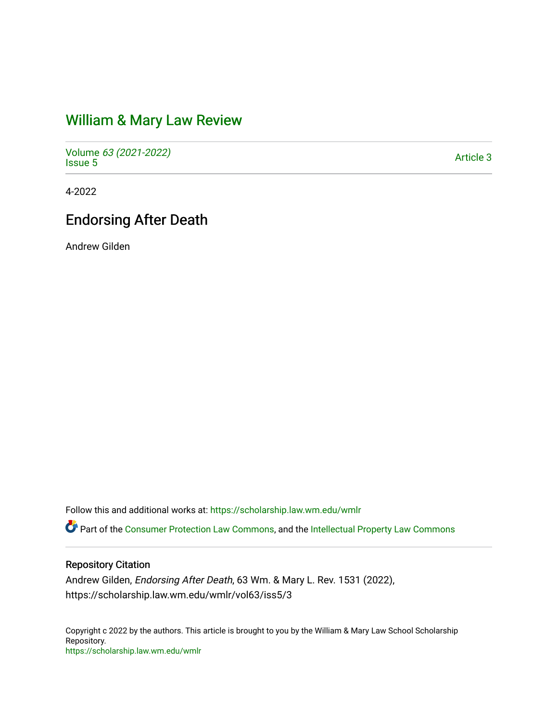# [William & Mary Law Review](https://scholarship.law.wm.edu/wmlr)

Volume [63 \(2021-2022\)](https://scholarship.law.wm.edu/wmlr/vol63)  volume os (2027-2022)<br>[Issue 5](https://scholarship.law.wm.edu/wmlr/vol63/iss5)

4-2022

## Endorsing After Death

Andrew Gilden

Follow this and additional works at: [https://scholarship.law.wm.edu/wmlr](https://scholarship.law.wm.edu/wmlr?utm_source=scholarship.law.wm.edu%2Fwmlr%2Fvol63%2Fiss5%2F3&utm_medium=PDF&utm_campaign=PDFCoverPages)

Part of the [Consumer Protection Law Commons,](https://network.bepress.com/hgg/discipline/838?utm_source=scholarship.law.wm.edu%2Fwmlr%2Fvol63%2Fiss5%2F3&utm_medium=PDF&utm_campaign=PDFCoverPages) and the [Intellectual Property Law Commons](https://network.bepress.com/hgg/discipline/896?utm_source=scholarship.law.wm.edu%2Fwmlr%2Fvol63%2Fiss5%2F3&utm_medium=PDF&utm_campaign=PDFCoverPages) 

## Repository Citation

Andrew Gilden, Endorsing After Death, 63 Wm. & Mary L. Rev. 1531 (2022), https://scholarship.law.wm.edu/wmlr/vol63/iss5/3

Copyright c 2022 by the authors. This article is brought to you by the William & Mary Law School Scholarship Repository. <https://scholarship.law.wm.edu/wmlr>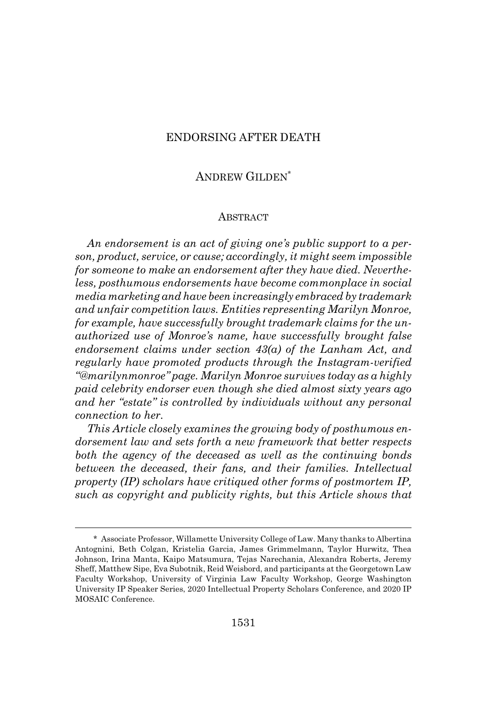## ENDORSING AFTER DEATH

## ANDREW GILDEN\*

#### **ABSTRACT**

*An endorsement is an act of giving one's public support to a person, product, service, or cause; accordingly, it might seem impossible for someone to make an endorsement after they have died. Nevertheless, posthumous endorsements have become commonplace in social media marketing and have been increasingly embraced by trademark and unfair competition laws. Entities representing Marilyn Monroe, for example, have successfully brought trademark claims for the unauthorized use of Monroe's name, have successfully brought false endorsement claims under section 43(a) of the Lanham Act, and regularly have promoted products through the Instagram-verified "@marilynmonroe" page. Marilyn Monroe survives today as a highly paid celebrity endorser even though she died almost sixty years ago and her "estate" is controlled by individuals without any personal connection to her.*

*This Article closely examines the growing body of posthumous endorsement law and sets forth a new framework that better respects both the agency of the deceased as well as the continuing bonds between the deceased, their fans, and their families. Intellectual property (IP) scholars have critiqued other forms of postmortem IP, such as copyright and publicity rights, but this Article shows that*

<sup>\*</sup> Associate Professor, Willamette University College of Law. Many thanks to Albertina Antognini, Beth Colgan, Kristelia Garcia, James Grimmelmann, Taylor Hurwitz, Thea Johnson, Irina Manta, Kaipo Matsumura, Tejas Narechania, Alexandra Roberts, Jeremy Sheff, Matthew Sipe, Eva Subotnik, Reid Weisbord, and participants at the Georgetown Law Faculty Workshop, University of Virginia Law Faculty Workshop, George Washington University IP Speaker Series, 2020 Intellectual Property Scholars Conference, and 2020 IP MOSAIC Conference.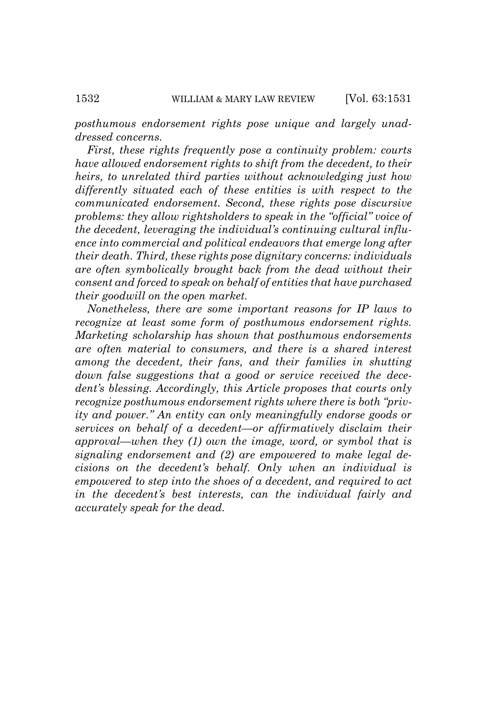*posthumous endorsement rights pose unique and largely unaddressed concerns.*

*First, these rights frequently pose a continuity problem: courts have allowed endorsement rights to shift from the decedent, to their heirs, to unrelated third parties without acknowledging just how differently situated each of these entities is with respect to the communicated endorsement. Second, these rights pose discursive problems: they allow rightsholders to speak in the "official" voice of the decedent, leveraging the individual's continuing cultural influence into commercial and political endeavors that emerge long after their death. Third, these rights pose dignitary concerns: individuals are often symbolically brought back from the dead without their consent and forced to speak on behalf of entities that have purchased their goodwill on the open market.*

*Nonetheless, there are some important reasons for IP laws to recognize at least some form of posthumous endorsement rights. Marketing scholarship has shown that posthumous endorsements are often material to consumers, and there is a shared interest among the decedent, their fans, and their families in shutting down false suggestions that a good or service received the decedent's blessing. Accordingly, this Article proposes that courts only recognize posthumous endorsement rights where there is both "privity and power." An entity can only meaningfully endorse goods or services on behalf of a decedent—or affirmatively disclaim their approval—when they (1) own the image, word, or symbol that is signaling endorsement and (2) are empowered to make legal decisions on the decedent's behalf. Only when an individual is empowered to step into the shoes of a decedent, and required to act in the decedent's best interests, can the individual fairly and accurately speak for the dead.*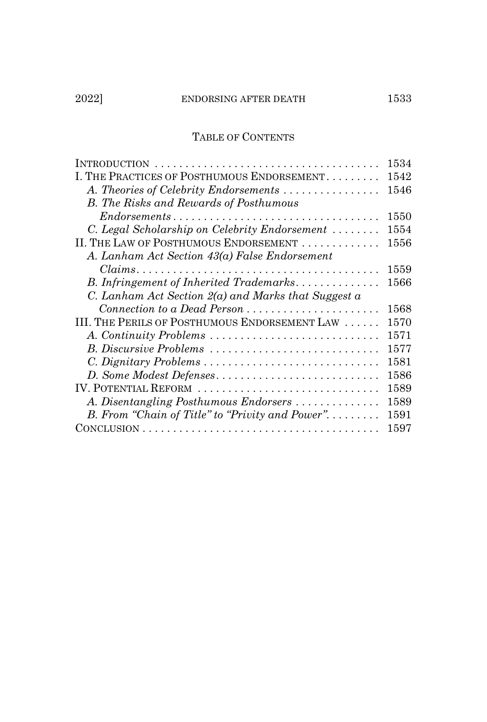## TABLE OF CONTENTS

|                                                                                                      | 1534 |
|------------------------------------------------------------------------------------------------------|------|
| I. THE PRACTICES OF POSTHUMOUS ENDORSEMENT                                                           | 1542 |
| A. Theories of Celebrity Endorsements                                                                | 1546 |
| <b>B.</b> The Risks and Rewards of Posthumous                                                        |      |
| $Endorsements \dots \dots \dots \dots \dots \dots \dots \dots \dots \dots \dots \dots$               | 1550 |
| C. Legal Scholarship on Celebrity Endorsement                                                        | 1554 |
| II. THE LAW OF POSTHUMOUS ENDORSEMENT                                                                | 1556 |
| A. Lanham Act Section 43(a) False Endorsement                                                        |      |
| $Clains. \ldots \ldots \ldots \ldots \ldots \ldots \ldots \ldots \ldots \ldots \ldots \ldots \ldots$ | 1559 |
| B. Infringement of Inherited Trademarks                                                              | 1566 |
| C. Lanham Act Section $2(a)$ and Marks that Suggest a                                                |      |
|                                                                                                      | 1568 |
| III. THE PERILS OF POSTHUMOUS ENDORSEMENT LAW                                                        | 1570 |
| A. Continuity Problems                                                                               | 1571 |
| B. Discursive Problems                                                                               | 1577 |
| C. Dignitary Problems                                                                                | 1581 |
| D. Some Modest Defenses                                                                              | 1586 |
| IV. POTENTIAL REFORM                                                                                 | 1589 |
| A. Disentangling Posthumous Endorsers                                                                | 1589 |
| B. From "Chain of Title" to "Privity and Power"                                                      | 1591 |
|                                                                                                      | 1597 |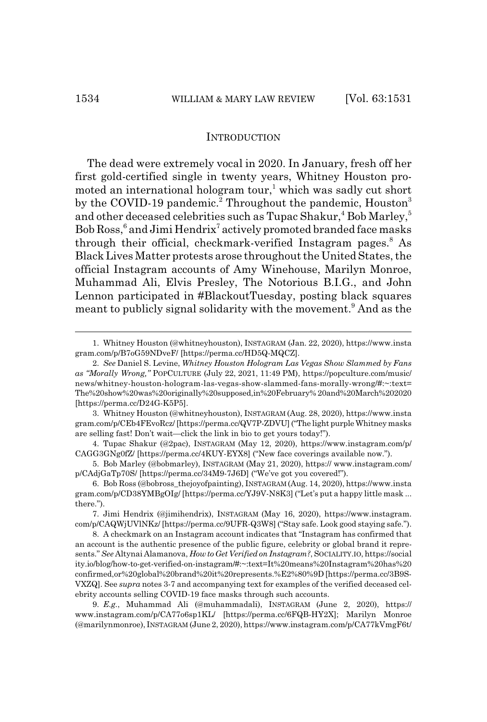#### **INTRODUCTION**

The dead were extremely vocal in 2020. In January, fresh off her first gold-certified single in twenty years, Whitney Houston promoted an international hologram tour,<sup>1</sup> which was sadly cut short by the COVID-19 pandemic.<sup>2</sup> Throughout the pandemic, Houston<sup>3</sup> and other deceased celebrities such as Tupac Shakur,<sup>4</sup> Bob Marley,<sup>5</sup> Bob Ross,<sup>6</sup> and Jimi Hendrix<sup>7</sup> actively promoted branded face masks through their official, checkmark-verified Instagram pages.<sup>8</sup> As Black Lives Matter protests arose throughout the United States, the official Instagram accounts of Amy Winehouse, Marilyn Monroe, Muhammad Ali, Elvis Presley, The Notorious B.I.G., and John Lennon participated in #BlackoutTuesday, posting black squares meant to publicly signal solidarity with the movement.<sup>9</sup> And as the

4. Tupac Shakur (@2pac), INSTAGRAM (May 12, 2020), https://www.instagram.com/p/ CAGG3GNg0fZ/ [https://perma.cc/4KUY-EYX8] ("New face coverings available now.").

5. Bob Marley (@bobmarley), INSTAGRAM (May 21, 2020), https:// www.instagram.com/ p/CAdjGaTp70S/ [https://perma.cc/34M9-7J6D] ("We've got you covered!").

9. *E.g.*, Muhammad Ali (@muhammadali), INSTAGRAM (June 2, 2020), https:// www.instagram.com/p/CA77o6sp1KL/ [https://perma.cc/6FQB-HY2X]; Marilyn Monroe (@marilynmonroe), INSTAGRAM (June 2, 2020), https://www.instagram.com/p/CA77kVmgF6t/

<sup>1.</sup> Whitney Houston (@whitneyhouston), INSTAGRAM (Jan. 22, 2020), https://www.insta gram.com/p/B7oG59NDveF/ [https://perma.cc/HD5Q-MQCZ].

<sup>2.</sup> *See* Daniel S. Levine, *Whitney Houston Hologram Las Vegas Show Slammed by Fans as "Morally Wrong,"* POPCULTURE (July 22, 2021, 11:49 PM), https://popculture.com/music/ news/whitney-houston-hologram-las-vegas-show-slammed-fans-morally-wrong/#:~:text= The%20show%20was%20originally%20supposed,in%20February% 20and%20March%202020 [https://perma.cc/D24G-K5P5].

<sup>3.</sup> Whitney Houston (@whitneyhouston), INSTAGRAM (Aug. 28, 2020), https://www.insta gram.com/p/CEb4FEvoRcz/ [https://perma.cc/QV7P-ZDVU] ("The light purple Whitney masks are selling fast! Don't wait—click the link in bio to get yours today!").

<sup>6.</sup> Bob Ross (@bobross\_thejoyofpainting), INSTAGRAM (Aug. 14, 2020), https://www.insta gram.com/p/CD38YMBgOIg/ [https://perma.cc/YJ9V-N8K3] ("Let's put a happy little mask ... there.").

<sup>7.</sup> Jimi Hendrix (@jimihendrix), INSTAGRAM (May 16, 2020), https://www.instagram. com/p/CAQWjUVlNKz/ [https://perma.cc/9UFR-Q3W8] ("Stay safe. Look good staying safe.").

<sup>8.</sup> A checkmark on an Instagram account indicates that "Instagram has confirmed that an account is the authentic presence of the public figure, celebrity or global brand it represents."*See* Altynai Alamanova, *How to Get Verified on Instagram?*, SOCIALITY.IO, https://social ity.io/blog/how-to-get-verified-on-instagram/#:~:text=It%20means%20Instagram%20has%20 confirmed,or%20global%20brand%20it%20represents.%E2%80%9D [https://perma.cc/3B9S-VXZQ]. See *supra* notes 3-7 and accompanying text for examples of the verified deceased celebrity accounts selling COVID-19 face masks through such accounts.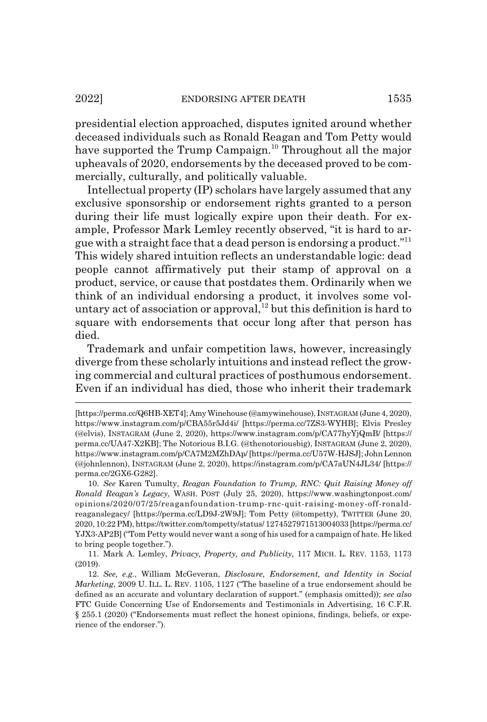presidential election approached, disputes ignited around whether deceased individuals such as Ronald Reagan and Tom Petty would have supported the Trump Campaign.<sup>10</sup> Throughout all the major upheavals of 2020, endorsements by the deceased proved to be commercially, culturally, and politically valuable.

Intellectual property (IP) scholars have largely assumed that any exclusive sponsorship or endorsement rights granted to a person during their life must logically expire upon their death. For example, Professor Mark Lemley recently observed, "it is hard to argue with a straight face that a dead person is endorsing a product."11 This widely shared intuition reflects an understandable logic: dead people cannot affirmatively put their stamp of approval on a product, service, or cause that postdates them. Ordinarily when we think of an individual endorsing a product, it involves some voluntary act of association or approval,<sup>12</sup> but this definition is hard to square with endorsements that occur long after that person has died.

Trademark and unfair competition laws, however, increasingly diverge from these scholarly intuitions and instead reflect the growing commercial and cultural practices of posthumous endorsement. Even if an individual has died, those who inherit their trademark

<sup>[</sup>https://perma.cc/Q6HB-XET4]; Amy Winehouse (@amywinehouse), INSTAGRAM (June 4, 2020), https://www.instagram.com/p/CBA55r5Jd4i/ [https://perma.cc/7ZS3-WYHB]; Elvis Presley (@elvis), INSTAGRAM (June 2, 2020), https://www.instagram.com/p/CA77hyYjQmB/ [https:// perma.cc/UA47-X2KB]; The Notorious B.I.G. (@thenotoriousbig), INSTAGRAM (June 2, 2020), https://www.instagram.com/p/CA7M2MZhDAp/ [https://perma.cc/U57W-HJSJ]; John Lennon (@johnlennon), INSTAGRAM (June 2, 2020), https://instagram.com/p/CA7aUN4JL34/ [https:// perma.cc/2GX6-G282].

<sup>10.</sup> *See* Karen Tumulty, *Reagan Foundation to Trump, RNC: Quit Raising Money off Ronald Reagan's Legacy*, WASH. POST (July 25, 2020), https://www.washingtonpost.com/ opinions/2020/07/25/reaganfoundation-trump-rnc-quit-raising-money-off-ronaldreaganslegacy/ [https://perma.cc/LD9J-2W9J]; Tom Petty (@tompetty), TWITTER (June 20, 2020, 10:22 PM), https://twitter.com/tompetty/status/ 1274527971513004033 [https://perma.cc/ YJX3-AP2B] ("Tom Petty would never want a song of his used for a campaign of hate. He liked to bring people together.").

<sup>11.</sup> Mark A. Lemley, *Privacy, Property, and Publicity*, 117 MICH. L. REV. 1153, 1173 (2019).

<sup>12.</sup> *See, e.g.*, William McGeveran, *Disclosure, Endorsement, and Identity in Social Marketing*, 2009 U. ILL. L. REV. 1105, 1127 ("The baseline of a true endorsement should be defined as an accurate and voluntary declaration of support." (emphasis omitted)); *see also* FTC Guide Concerning Use of Endorsements and Testimonials in Advertising, 16 C.F.R. § 255.1 (2020) ("Endorsements must reflect the honest opinions, findings, beliefs, or experience of the endorser.").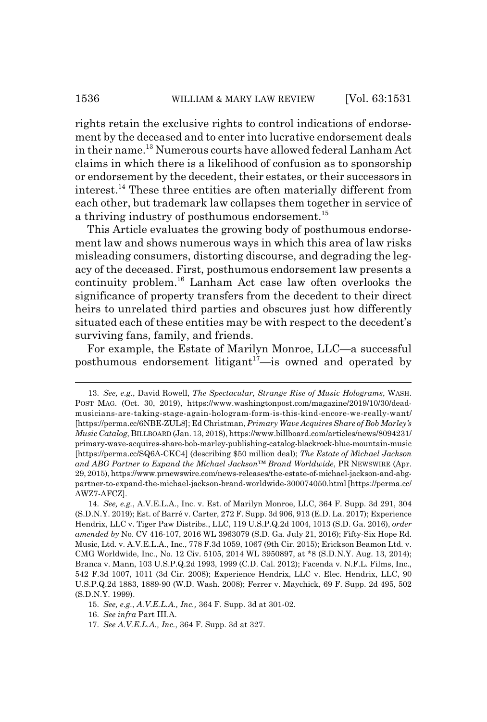rights retain the exclusive rights to control indications of endorsement by the deceased and to enter into lucrative endorsement deals in their name.13 Numerous courts have allowed federal Lanham Act claims in which there is a likelihood of confusion as to sponsorship or endorsement by the decedent, their estates, or their successors in interest.14 These three entities are often materially different from each other, but trademark law collapses them together in service of a thriving industry of posthumous endorsement.<sup>15</sup>

This Article evaluates the growing body of posthumous endorsement law and shows numerous ways in which this area of law risks misleading consumers, distorting discourse, and degrading the legacy of the deceased. First, posthumous endorsement law presents a continuity problem.16 Lanham Act case law often overlooks the significance of property transfers from the decedent to their direct heirs to unrelated third parties and obscures just how differently situated each of these entities may be with respect to the decedent's surviving fans, family, and friends.

For example, the Estate of Marilyn Monroe, LLC—a successful posthumous endorsement litigant $17$ —is owned and operated by

<sup>13.</sup> *See, e.g.*, David Rowell, *The Spectacular, Strange Rise of Music Holograms*, WASH. POST MAG. (Oct. 30, 2019), https://www.washingtonpost.com/magazine/2019/10/30/deadmusicians-are-taking-stage-again-hologram-form-is-this-kind-encore-we-really-want/ [https://perma.cc/6NBE-ZUL8]; Ed Christman, *Primary Wave Acquires Share of Bob Marley's Music Catalog*, BILLBOARD (Jan. 13, 2018), https://www.billboard.com/articles/news/8094231/ primary-wave-acquires-share-bob-marley-publishing-catalog-blackrock-blue-mountain-music [https://perma.cc/SQ6A-CKC4] (describing \$50 million deal); *The Estate of Michael Jackson and ABG Partner to Expand the Michael Jackson™ Brand Worldwide*, PR NEWSWIRE (Apr. 29, 2015), https://www.prnewswire.com/news-releases/the-estate-of-michael-jackson-and-abgpartner-to-expand-the-michael-jackson-brand-worldwide-300074050.html [https://perma.cc/ AWZ7-AFCZ].

<sup>14.</sup> *See, e.g.*, A.V.E.L.A., Inc. v. Est. of Marilyn Monroe, LLC, 364 F. Supp. 3d 291, 304 (S.D.N.Y. 2019); Est. of Barré v. Carter, 272 F. Supp. 3d 906, 913 (E.D. La. 2017); Experience Hendrix, LLC v. Tiger Paw Distribs., LLC, 119 U.S.P.Q.2d 1004, 1013 (S.D. Ga. 2016), *order amended by* No. CV 416-107, 2016 WL 3963079 (S.D. Ga. July 21, 2016); Fifty-Six Hope Rd. Music, Ltd. v. A.V.E.L.A., Inc., 778 F.3d 1059, 1067 (9th Cir. 2015); Erickson Beamon Ltd. v. CMG Worldwide, Inc., No. 12 Civ. 5105, 2014 WL 3950897, at \*8 (S.D.N.Y. Aug. 13, 2014); Branca v. Mann, 103 U.S.P.Q.2d 1993, 1999 (C.D. Cal. 2012); Facenda v. N.F.L. Films, Inc., 542 F.3d 1007, 1011 (3d Cir. 2008); Experience Hendrix, LLC v. Elec. Hendrix, LLC, 90 U.S.P.Q.2d 1883, 1889-90 (W.D. Wash. 2008); Ferrer v. Maychick, 69 F. Supp. 2d 495, 502 (S.D.N.Y. 1999).

<sup>15.</sup> *See, e.g.*, *A.V.E.L.A., Inc.,* 364 F. Supp. 3d at 301-02.

<sup>16.</sup> *See infra* Part III.A.

<sup>17.</sup> *See A.V.E.L.A., Inc.*, 364 F. Supp. 3d at 327.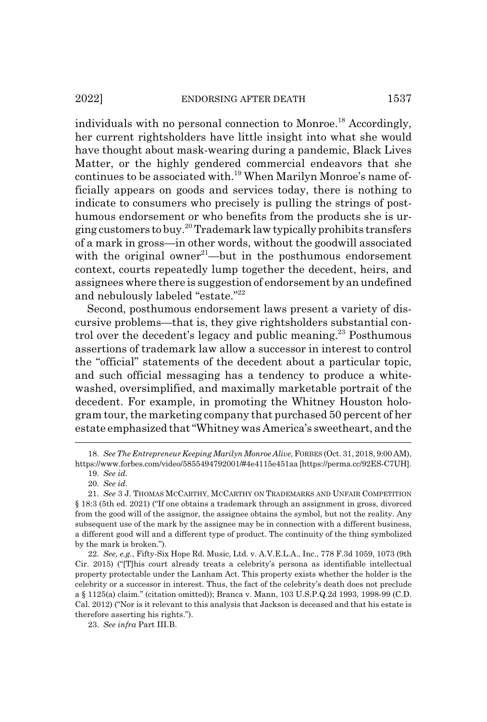individuals with no personal connection to Monroe.<sup>18</sup> Accordingly, her current rightsholders have little insight into what she would have thought about mask-wearing during a pandemic, Black Lives Matter, or the highly gendered commercial endeavors that she continues to be associated with.<sup>19</sup> When Marilyn Monroe's name officially appears on goods and services today, there is nothing to indicate to consumers who precisely is pulling the strings of posthumous endorsement or who benefits from the products she is urging customers to buy.20 Trademark law typically prohibits transfers of a mark in gross—in other words, without the goodwill associated with the original owner<sup>21</sup>—but in the posthumous endorsement context, courts repeatedly lump together the decedent, heirs, and assignees where there is suggestion of endorsement by an undefined and nebulously labeled "estate."<sup>22</sup>

Second, posthumous endorsement laws present a variety of discursive problems—that is, they give rightsholders substantial control over the decedent's legacy and public meaning.<sup>23</sup> Posthumous assertions of trademark law allow a successor in interest to control the "official" statements of the decedent about a particular topic, and such official messaging has a tendency to produce a whitewashed, oversimplified, and maximally marketable portrait of the decedent. For example, in promoting the Whitney Houston hologram tour, the marketing company that purchased 50 percent of her estate emphasized that "Whitney was America's sweetheart, and the

<sup>18.</sup> *See The Entrepreneur Keeping Marilyn Monroe Alive*, FORBES (Oct. 31, 2018, 9:00 AM), https://www.forbes.com/video/5855494792001/#4e4115e451aa [https://perma.cc/92ES-C7UH].

<sup>19.</sup> *See id.*

<sup>20.</sup> *See id.*

<sup>21.</sup> *See* 3 J. THOMAS MCCARTHY, MCCARTHY ON TRADEMARKS AND UNFAIR COMPETITION § 18:3 (5th ed. 2021) ("If one obtains a trademark through an assignment in gross, divorced from the good will of the assignor, the assignee obtains the symbol, but not the reality. Any subsequent use of the mark by the assignee may be in connection with a different business, a different good will and a different type of product. The continuity of the thing symbolized by the mark is broken.").

<sup>22.</sup> *See, e.g.*, Fifty-Six Hope Rd. Music, Ltd. v. A.V.E.L.A., Inc., 778 F.3d 1059, 1073 (9th Cir. 2015) ("[T]his court already treats a celebrity's persona as identifiable intellectual property protectable under the Lanham Act. This property exists whether the holder is the celebrity or a successor in interest. Thus, the fact of the celebrity's death does not preclude a § 1125(a) claim." (citation omitted)); Branca v. Mann, 103 U.S.P.Q.2d 1993, 1998-99 (C.D. Cal. 2012) ("Nor is it relevant to this analysis that Jackson is deceased and that his estate is therefore asserting his rights.").

<sup>23.</sup> *See infra* Part III.B.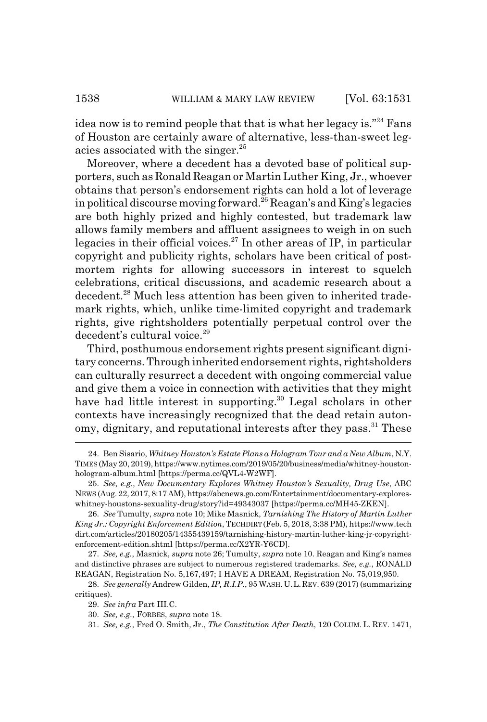idea now is to remind people that that is what her legacy is."<sup>24</sup> Fans of Houston are certainly aware of alternative, less-than-sweet legacies associated with the singer.25

Moreover, where a decedent has a devoted base of political supporters, such as Ronald Reagan or Martin Luther King, Jr., whoever obtains that person's endorsement rights can hold a lot of leverage in political discourse moving forward.<sup>26</sup> Reagan's and King's legacies are both highly prized and highly contested, but trademark law allows family members and affluent assignees to weigh in on such legacies in their official voices.<sup>27</sup> In other areas of IP, in particular copyright and publicity rights, scholars have been critical of postmortem rights for allowing successors in interest to squelch celebrations, critical discussions, and academic research about a decedent.28 Much less attention has been given to inherited trademark rights, which, unlike time-limited copyright and trademark rights, give rightsholders potentially perpetual control over the decedent's cultural voice.<sup>29</sup>

Third, posthumous endorsement rights present significant dignitary concerns. Through inherited endorsement rights, rightsholders can culturally resurrect a decedent with ongoing commercial value and give them a voice in connection with activities that they might have had little interest in supporting.<sup>30</sup> Legal scholars in other contexts have increasingly recognized that the dead retain autonomy, dignitary, and reputational interests after they pass.<sup>31</sup> These

<sup>24.</sup> Ben Sisario, *Whitney Houston's Estate Plans a Hologram Tour and a New Album*, N.Y. TIMES (May 20, 2019), https://www.nytimes.com/2019/05/20/business/media/whitney-houstonhologram-album.html [https://perma.cc/QVL4-W2WF].

<sup>25.</sup> *See, e.g*., *New Documentary Explores Whitney Houston's Sexuality, Drug Use*, ABC NEWS (Aug. 22, 2017, 8:17 AM), https://abcnews.go.com/Entertainment/documentary-exploreswhitney-houstons-sexuality-drug/story?id=49343037 [https://perma.cc/MH45-ZKEN].

<sup>26.</sup> *See* Tumulty, *supra* note 10; Mike Masnick, *Tarnishing The History of Martin Luther King Jr.: Copyright Enforcement Edition*, TECHDIRT (Feb. 5, 2018, 3:38 PM), https://www.tech dirt.com/articles/20180205/14355439159/tarnishing-history-martin-luther-king-jr-copyrightenforcement-edition.shtml [https://perma.cc/X2YR-Y6CD].

<sup>27.</sup> *See, e.g.*, Masnick, *supra* note 26; Tumulty, *supra* note 10. Reagan and King's names and distinctive phrases are subject to numerous registered trademarks. *See, e.g.*, RONALD REAGAN, Registration No. 5,167,497; I HAVE A DREAM, Registration No. 75,019,950.

<sup>28.</sup> *See generally* Andrew Gilden, *IP, R.I.P.*, 95 WASH.U.L.REV. 639 (2017) (summarizing critiques).

<sup>29.</sup> *See infra* Part III.C.

<sup>30.</sup> *See, e.g.*, FORBES, *supra* note 18.

<sup>31.</sup> *See, e.g.*, Fred O. Smith, Jr., *The Constitution After Death*, 120 COLUM. L. REV. 1471,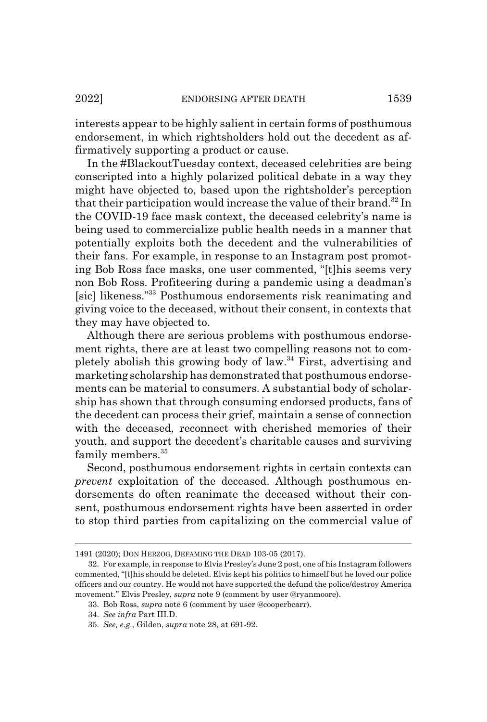interests appear to be highly salient in certain forms of posthumous endorsement, in which rightsholders hold out the decedent as affirmatively supporting a product or cause.

In the #BlackoutTuesday context, deceased celebrities are being conscripted into a highly polarized political debate in a way they might have objected to, based upon the rightsholder's perception that their participation would increase the value of their brand.<sup>32</sup> In the COVID-19 face mask context, the deceased celebrity's name is being used to commercialize public health needs in a manner that potentially exploits both the decedent and the vulnerabilities of their fans. For example, in response to an Instagram post promoting Bob Ross face masks, one user commented, "[t]his seems very non Bob Ross. Profiteering during a pandemic using a deadman's [sic] likeness."33 Posthumous endorsements risk reanimating and giving voice to the deceased, without their consent, in contexts that they may have objected to.

Although there are serious problems with posthumous endorsement rights, there are at least two compelling reasons not to completely abolish this growing body of law.34 First, advertising and marketing scholarship has demonstrated that posthumous endorsements can be material to consumers. A substantial body of scholarship has shown that through consuming endorsed products, fans of the decedent can process their grief, maintain a sense of connection with the deceased, reconnect with cherished memories of their youth, and support the decedent's charitable causes and surviving family members.<sup>35</sup>

Second, posthumous endorsement rights in certain contexts can *prevent* exploitation of the deceased. Although posthumous endorsements do often reanimate the deceased without their consent, posthumous endorsement rights have been asserted in order to stop third parties from capitalizing on the commercial value of

<sup>1491 (2020);</sup> DON HERZOG, DEFAMING THE DEAD 103-05 (2017).

<sup>32.</sup> For example, in response to Elvis Presley's June 2 post, one of his Instagram followers commented, "[t]his should be deleted. Elvis kept his politics to himself but he loved our police officers and our country. He would not have supported the defund the police/destroy America movement." Elvis Presley, *supra* note 9 (comment by user @ryanmoore).

<sup>33.</sup> Bob Ross, *supra* note 6 (comment by user @cooperbcarr).

<sup>34.</sup> *See infra* Part III.D.

<sup>35.</sup> *See, e.g.*, Gilden, *supra* note 28, at 691-92.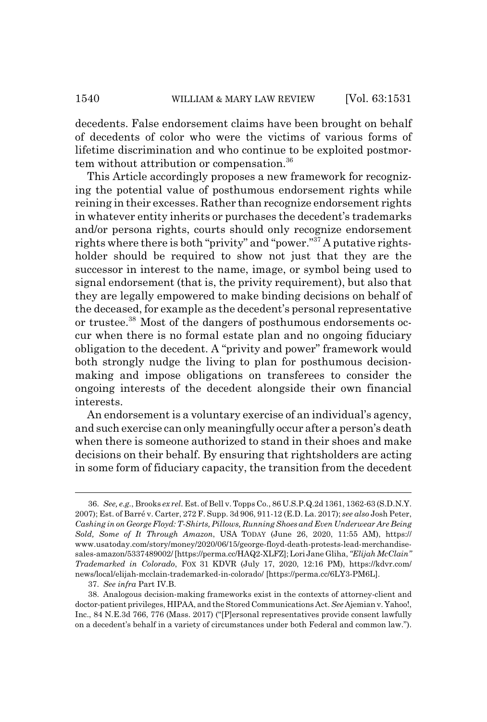decedents. False endorsement claims have been brought on behalf of decedents of color who were the victims of various forms of lifetime discrimination and who continue to be exploited postmortem without attribution or compensation.36

This Article accordingly proposes a new framework for recognizing the potential value of posthumous endorsement rights while reining in their excesses. Rather than recognize endorsement rights in whatever entity inherits or purchases the decedent's trademarks and/or persona rights, courts should only recognize endorsement rights where there is both "privity" and "power."37 A putative rightsholder should be required to show not just that they are the successor in interest to the name, image, or symbol being used to signal endorsement (that is, the privity requirement), but also that they are legally empowered to make binding decisions on behalf of the deceased, for example as the decedent's personal representative or trustee.38 Most of the dangers of posthumous endorsements occur when there is no formal estate plan and no ongoing fiduciary obligation to the decedent. A "privity and power" framework would both strongly nudge the living to plan for posthumous decisionmaking and impose obligations on transferees to consider the ongoing interests of the decedent alongside their own financial interests.

An endorsement is a voluntary exercise of an individual's agency, and such exercise can only meaningfully occur after a person's death when there is someone authorized to stand in their shoes and make decisions on their behalf. By ensuring that rightsholders are acting in some form of fiduciary capacity, the transition from the decedent

<sup>36.</sup> *See, e.g.*, Brooks *ex rel.* Est. of Bell v. Topps Co., 86 U.S.P.Q.2d 1361, 1362-63 (S.D.N.Y. 2007); Est. of Barré v. Carter, 272 F. Supp. 3d 906, 911-12 (E.D. La. 2017); *see also* Josh Peter, *Cashing in on George Floyd: T-Shirts, Pillows, Running Shoes and Even Underwear Are Being Sold, Some of It Through Amazon*, USA TODAY (June 26, 2020, 11:55 AM), https:// www.usatoday.com/story/money/2020/06/15/george-floyd-death-protests-lead-merchandisesales-amazon/5337489002/ [https://perma.cc/HAQ2-XLFZ]; Lori Jane Gliha, *"Elijah McClain" Trademarked in Colorado*, FOX 31 KDVR (July 17, 2020, 12:16 PM), https://kdvr.com/ news/local/elijah-mcclain-trademarked-in-colorado/ [https://perma.cc/6LY3-PM6L].

<sup>37.</sup> *See infra* Part IV.B.

<sup>38.</sup> Analogous decision-making frameworks exist in the contexts of attorney-client and doctor-patient privileges, HIPAA, and the Stored Communications Act. *See* Ajemian v. Yahoo!, Inc., 84 N.E.3d 766, 776 (Mass. 2017) ("[P]ersonal representatives provide consent lawfully on a decedent's behalf in a variety of circumstances under both Federal and common law.").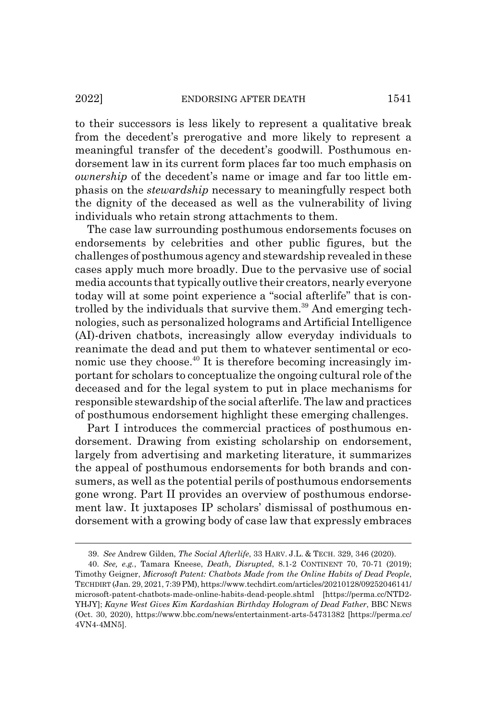to their successors is less likely to represent a qualitative break from the decedent's prerogative and more likely to represent a meaningful transfer of the decedent's goodwill. Posthumous endorsement law in its current form places far too much emphasis on *ownership* of the decedent's name or image and far too little emphasis on the *stewardship* necessary to meaningfully respect both the dignity of the deceased as well as the vulnerability of living individuals who retain strong attachments to them.

The case law surrounding posthumous endorsements focuses on endorsements by celebrities and other public figures, but the challenges of posthumous agency and stewardship revealed in these cases apply much more broadly. Due to the pervasive use of social media accounts that typically outlive their creators, nearly everyone today will at some point experience a "social afterlife" that is controlled by the individuals that survive them.<sup>39</sup> And emerging technologies, such as personalized holograms and Artificial Intelligence (AI)-driven chatbots, increasingly allow everyday individuals to reanimate the dead and put them to whatever sentimental or economic use they choose.40 It is therefore becoming increasingly important for scholars to conceptualize the ongoing cultural role of the deceased and for the legal system to put in place mechanisms for responsible stewardship of the social afterlife. The law and practices of posthumous endorsement highlight these emerging challenges.

Part I introduces the commercial practices of posthumous endorsement. Drawing from existing scholarship on endorsement, largely from advertising and marketing literature, it summarizes the appeal of posthumous endorsements for both brands and consumers, as well as the potential perils of posthumous endorsements gone wrong. Part II provides an overview of posthumous endorsement law. It juxtaposes IP scholars' dismissal of posthumous endorsement with a growing body of case law that expressly embraces

<sup>39.</sup> *See* Andrew Gilden, *The Social Afterlife*, 33 HARV. J.L. & TECH. 329, 346 (2020).

<sup>40.</sup> *See, e.g.*, Tamara Kneese, *Death, Disrupted*, 8.1-2 CONTINENT 70, 70-71 (2019); Timothy Geigner, *Microsoft Patent: Chatbots Made from the Online Habits of Dead People*, TECHDIRT (Jan. 29, 2021, 7:39 PM), https://www.techdirt.com/articles/20210128/09252046141/ microsoft-patent-chatbots-made-online-habits-dead-people.shtml [https://perma.cc/NTD2- YHJY]; *Kayne West Gives Kim Kardashian Birthday Hologram of Dead Father*, BBC NEWS (Oct. 30, 2020), https://www.bbc.com/news/entertainment-arts-54731382 [https://perma.cc/ 4VN4-4MN5].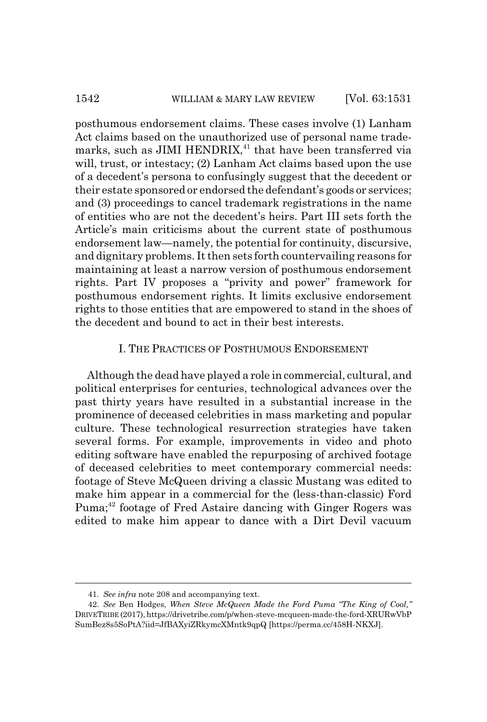posthumous endorsement claims. These cases involve (1) Lanham Act claims based on the unauthorized use of personal name trademarks, such as JIMI HENDRIX,<sup>41</sup> that have been transferred via will, trust, or intestacy; (2) Lanham Act claims based upon the use of a decedent's persona to confusingly suggest that the decedent or their estate sponsored or endorsed the defendant's goods or services; and (3) proceedings to cancel trademark registrations in the name of entities who are not the decedent's heirs. Part III sets forth the Article's main criticisms about the current state of posthumous endorsement law—namely, the potential for continuity, discursive, and dignitary problems. It then sets forth countervailing reasons for maintaining at least a narrow version of posthumous endorsement rights. Part IV proposes a "privity and power" framework for posthumous endorsement rights. It limits exclusive endorsement rights to those entities that are empowered to stand in the shoes of the decedent and bound to act in their best interests.

## I. THE PRACTICES OF POSTHUMOUS ENDORSEMENT

Although the dead have played a role in commercial, cultural, and political enterprises for centuries, technological advances over the past thirty years have resulted in a substantial increase in the prominence of deceased celebrities in mass marketing and popular culture. These technological resurrection strategies have taken several forms. For example, improvements in video and photo editing software have enabled the repurposing of archived footage of deceased celebrities to meet contemporary commercial needs: footage of Steve McQueen driving a classic Mustang was edited to make him appear in a commercial for the (less-than-classic) Ford Puma;<sup>42</sup> footage of Fred Astaire dancing with Ginger Rogers was edited to make him appear to dance with a Dirt Devil vacuum

<sup>41.</sup> *See infra* note 208 and accompanying text.

<sup>42.</sup> *See* Ben Hodges, *When Steve McQueen Made the Ford Puma "The King of Cool,"* DRIVETRIBE (2017), https://drivetribe.com/p/when-steve-mcqueen-made-the-ford-XRURwVbP SumBez8s5SoPtA?iid=JfBAXyiZRkymcXMntk9qpQ [https://perma.cc/458H-NKXJ].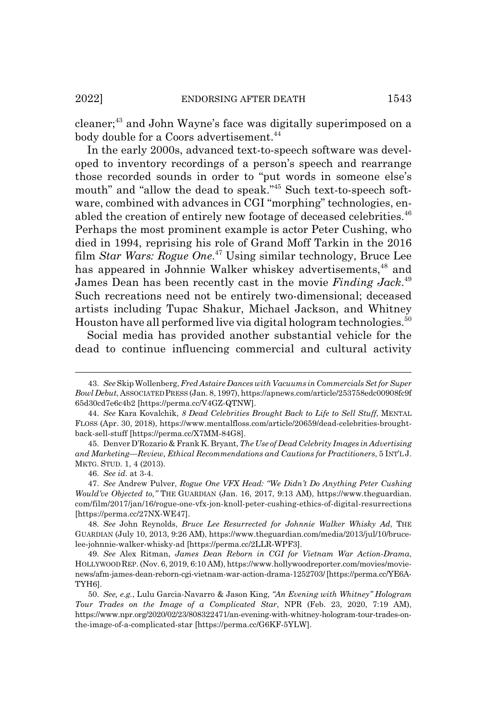cleaner;43 and John Wayne's face was digitally superimposed on a body double for a Coors advertisement.<sup>44</sup>

In the early 2000s, advanced text-to-speech software was developed to inventory recordings of a person's speech and rearrange those recorded sounds in order to "put words in someone else's mouth" and "allow the dead to speak."<sup>45</sup> Such text-to-speech software, combined with advances in CGI "morphing" technologies, enabled the creation of entirely new footage of deceased celebrities.<sup>46</sup> Perhaps the most prominent example is actor Peter Cushing, who died in 1994, reprising his role of Grand Moff Tarkin in the 2016 film *Star Wars: Rogue One*. 47 Using similar technology, Bruce Lee has appeared in Johnnie Walker whiskey advertisements,<sup>48</sup> and James Dean has been recently cast in the movie *Finding Jack*. 49 Such recreations need not be entirely two-dimensional; deceased artists including Tupac Shakur, Michael Jackson, and Whitney Houston have all performed live via digital hologram technologies.<sup>50</sup>

Social media has provided another substantial vehicle for the dead to continue influencing commercial and cultural activity

<sup>43.</sup> *See* Skip Wollenberg, *Fred Astaire Dances with Vacuums in Commercials Set for Super Bowl Debut*, ASSOCIATED PRESS (Jan. 8, 1997), https://apnews.com/article/253758edc00908fc9f 65d30cd7e6c4b2 [https://perma.cc/V4GZ-QTNW].

<sup>44.</sup> *See* Kara Kovalchik, *8 Dead Celebrities Brought Back to Life to Sell Stuff*, MENTAL FLOSS (Apr. 30, 2018), https://www.mentalfloss.com/article/20659/dead-celebrities-broughtback-sell-stuff [https://perma.cc/X7MM-84G8].

<sup>45.</sup> Denver D'Rozario & Frank K. Bryant, *The Use of Dead Celebrity Images in Advertising and Marketing—Review, Ethical Recommendations and Cautions for Practitioners*, 5 INT'L J. MKTG. STUD. 1, 4 (2013).

<sup>46.</sup> *See id.* at 3-4.

<sup>47.</sup> *See* Andrew Pulver, *Rogue One VFX Head: "We Didn't Do Anything Peter Cushing Would've Objected to,"* THE GUARDIAN (Jan. 16, 2017, 9:13 AM), https://www.theguardian. com/film/2017/jan/16/rogue-one-vfx-jon-knoll-peter-cushing-ethics-of-digital-resurrections [https://perma.cc/27NX-WE47].

<sup>48.</sup> *See* John Reynolds, *Bruce Lee Resurrected for Johnnie Walker Whisky Ad*, THE GUARDIAN (July 10, 2013, 9:26 AM), https://www.theguardian.com/media/2013/jul/10/brucelee-johnnie-walker-whisky-ad [https://perma.cc/2LLR-WPF3].

<sup>49.</sup> *See* Alex Ritman, *James Dean Reborn in CGI for Vietnam War Action-Drama*, HOLLYWOOD REP. (Nov. 6, 2019, 6:10 AM), https://www.hollywoodreporter.com/movies/movienews/afm-james-dean-reborn-cgi-vietnam-war-action-drama-1252703/ [https://perma.cc/YE6A-TYH6].

<sup>50.</sup> *See, e.g.*, Lulu Garcia-Navarro & Jason King, *"An Evening with Whitney" Hologram Tour Trades on the Image of a Complicated Star*, NPR (Feb. 23, 2020, 7:19 AM), https://www.npr.org/2020/02/23/808322471/an-evening-with-whitney-hologram-tour-trades-onthe-image-of-a-complicated-star [https://perma.cc/G6KF-5YLW].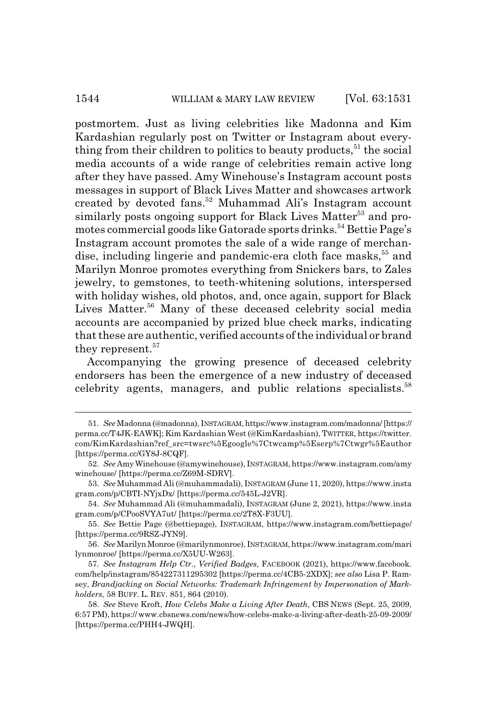postmortem. Just as living celebrities like Madonna and Kim Kardashian regularly post on Twitter or Instagram about everything from their children to politics to beauty products,  $51$  the social media accounts of a wide range of celebrities remain active long after they have passed. Amy Winehouse's Instagram account posts messages in support of Black Lives Matter and showcases artwork created by devoted fans.<sup>52</sup> Muhammad Ali's Instagram account similarly posts ongoing support for Black Lives Matter<sup>53</sup> and promotes commercial goods like Gatorade sports drinks.54 Bettie Page's Instagram account promotes the sale of a wide range of merchandise, including lingerie and pandemic-era cloth face masks,<sup>55</sup> and Marilyn Monroe promotes everything from Snickers bars, to Zales jewelry, to gemstones, to teeth-whitening solutions, interspersed with holiday wishes, old photos, and, once again, support for Black Lives Matter.<sup>56</sup> Many of these deceased celebrity social media accounts are accompanied by prized blue check marks, indicating that these are authentic, verified accounts of the individual or brand they represent.<sup>57</sup>

Accompanying the growing presence of deceased celebrity endorsers has been the emergence of a new industry of deceased celebrity agents, managers, and public relations specialists.<sup>58</sup>

<sup>51.</sup> *See* Madonna (@madonna), INSTAGRAM, https://www.instagram.com/madonna/ [https:// perma.cc/T4JK-EAWK]; Kim Kardashian West (@KimKardashian), TWITTER, https://twitter. com/KimKardashian?ref\_src=twsrc%5Egoogle%7Ctwcamp%5Eserp%7Ctwgr%5Eauthor [https://perma.cc/GY8J-8CQF].

<sup>52.</sup> *See* Amy Winehouse (@amywinehouse), INSTAGRAM, https://www.instagram.com/amy winehouse/ [https://perma.cc/Z69M-SDRV].

<sup>53.</sup> *See* Muhammad Ali (@muhammadali), INSTAGRAM (June 11, 2020), https://www.insta gram.com/p/CBTI-NYjxDx/ [https://perma.cc/545L-J2VR].

<sup>54.</sup> *See* Muhammad Ali (@muhammadali), INSTAGRAM (June 2, 2021), https://www.insta gram.com/p/CPooSVYA7ut/ [https://perma.cc/2T8X-F3UU].

<sup>55.</sup> *See* Bettie Page (@bettiepage), INSTAGRAM, https://www.instagram.com/bettiepage/ [https://perma.cc/9RSZ-JYN9].

<sup>56.</sup> *See* Marilyn Monroe (@marilynmonroe), INSTAGRAM, https://www.instagram.com/mari lynmonroe/ [https://perma.cc/X5UU-W263].

<sup>57.</sup> *See Instagram Help Ctr.*, *Verified Badges*, FACEBOOK (2021), https://www.facebook. com/help/instagram/854227311295302 [https://perma.cc/4CB5-2XDX]; *see also* Lisa P. Ramsey, *Brandjacking on Social Networks: Trademark Infringement by Impersonation of Markholders*, 58 BUFF. L. REV. 851, 864 (2010).

<sup>58.</sup> *See* Steve Kroft, *How Celebs Make a Living After Death*, CBS NEWS (Sept. 25, 2009, 6:57 PM), https:// www.cbsnews.com/news/how-celebs-make-a-living-after-death-25-09-2009/ [https://perma.cc/PHH4-JWQH].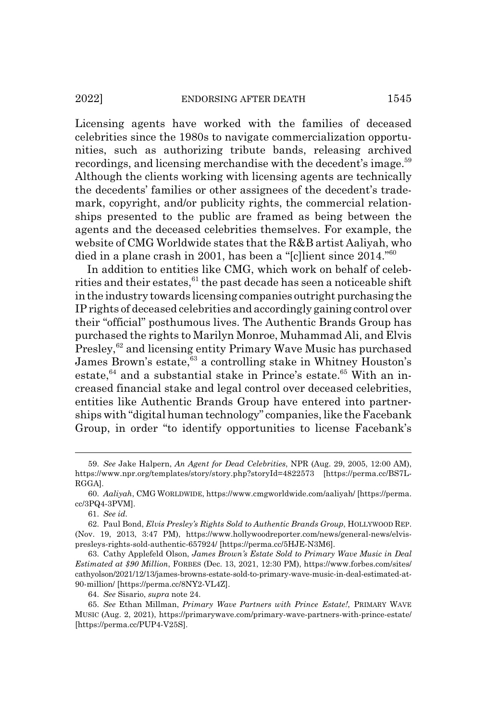Licensing agents have worked with the families of deceased celebrities since the 1980s to navigate commercialization opportunities, such as authorizing tribute bands, releasing archived recordings, and licensing merchandise with the decedent's image.<sup>59</sup> Although the clients working with licensing agents are technically the decedents' families or other assignees of the decedent's trademark, copyright, and/or publicity rights, the commercial relationships presented to the public are framed as being between the agents and the deceased celebrities themselves. For example, the website of CMG Worldwide states that the R&B artist Aaliyah, who died in a plane crash in 2001, has been a "[c]lient since 2014."<sup>60</sup>

In addition to entities like CMG, which work on behalf of celebrities and their estates, $61$  the past decade has seen a noticeable shift in the industry towards licensing companies outright purchasing the IP rights of deceased celebrities and accordingly gaining control over their "official" posthumous lives. The Authentic Brands Group has purchased the rights to Marilyn Monroe, Muhammad Ali, and Elvis Presley,<sup>62</sup> and licensing entity Primary Wave Music has purchased James Brown's estate,<sup>63</sup> a controlling stake in Whitney Houston's estate.<sup>64</sup> and a substantial stake in Prince's estate.<sup>65</sup> With an increased financial stake and legal control over deceased celebrities, entities like Authentic Brands Group have entered into partnerships with "digital human technology" companies, like the Facebank Group, in order "to identify opportunities to license Facebank's

64. *See* Sisario, *supra* note 24.

<sup>59.</sup> *See* Jake Halpern, *An Agent for Dead Celebrities*, NPR (Aug. 29, 2005, 12:00 AM), https://www.npr.org/templates/story/story.php?storyId=4822573 [https://perma.cc/BS7L-RGGA].

<sup>60.</sup> *Aaliyah*, CMG WORLDWIDE, https://www.cmgworldwide.com/aaliyah/ [https://perma. cc/3PQ4-3PVM].

<sup>61.</sup> *See id.*

<sup>62.</sup> Paul Bond, *Elvis Presley's Rights Sold to Authentic Brands Group*, HOLLYWOOD REP. (Nov. 19, 2013, 3:47 PM), https://www.hollywoodreporter.com/news/general-news/elvispresleys-rights-sold-authentic-657924/ [https://perma.cc/5HJE-N3M6].

<sup>63.</sup> Cathy Applefeld Olson, *James Brown's Estate Sold to Primary Wave Music in Deal Estimated at \$90 Million*, FORBES (Dec. 13, 2021, 12:30 PM), https://www.forbes.com/sites/ cathyolson/2021/12/13/james-browns-estate-sold-to-primary-wave-music-in-deal-estimated-at-90-million/ [https://perma.cc/8NY2-VL4Z].

<sup>65.</sup> *See* Ethan Millman, *Primary Wave Partners with Prince Estate!*, PRIMARY WAVE MUSIC (Aug. 2, 2021), https://primarywave.com/primary-wave-partners-with-prince-estate/ [https://perma.cc/PUP4-V25S].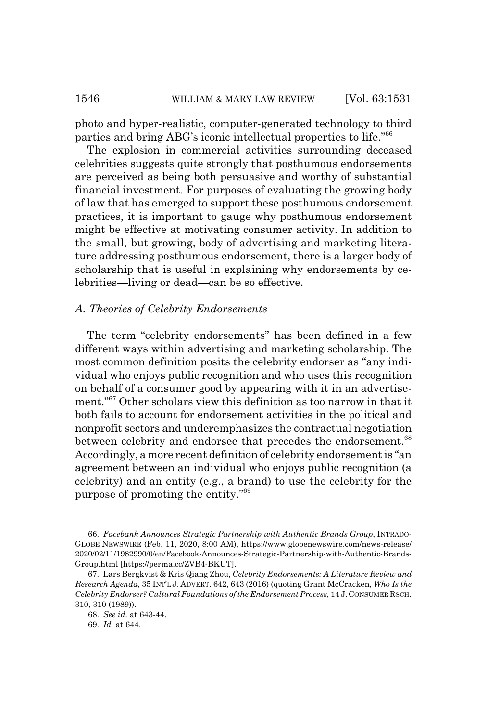photo and hyper-realistic, computer-generated technology to third parties and bring ABG's iconic intellectual properties to life."<sup>66</sup>

The explosion in commercial activities surrounding deceased celebrities suggests quite strongly that posthumous endorsements are perceived as being both persuasive and worthy of substantial financial investment. For purposes of evaluating the growing body of law that has emerged to support these posthumous endorsement practices, it is important to gauge why posthumous endorsement might be effective at motivating consumer activity. In addition to the small, but growing, body of advertising and marketing literature addressing posthumous endorsement, there is a larger body of scholarship that is useful in explaining why endorsements by celebrities—living or dead—can be so effective.

## *A. Theories of Celebrity Endorsements*

The term "celebrity endorsements" has been defined in a few different ways within advertising and marketing scholarship. The most common definition posits the celebrity endorser as "any individual who enjoys public recognition and who uses this recognition on behalf of a consumer good by appearing with it in an advertisement."67 Other scholars view this definition as too narrow in that it both fails to account for endorsement activities in the political and nonprofit sectors and underemphasizes the contractual negotiation between celebrity and endorsee that precedes the endorsement.<sup>68</sup> Accordingly, a more recent definition of celebrity endorsement is "an agreement between an individual who enjoys public recognition (a celebrity) and an entity (e.g., a brand) to use the celebrity for the purpose of promoting the entity."69

<sup>66.</sup> *Facebank Announces Strategic Partnership with Authentic Brands Group*, INTRADO-GLOBE NEWSWIRE (Feb. 11, 2020, 8:00 AM), https://www.globenewswire.com/news-release/ 2020/02/11/1982990/0/en/Facebook-Announces-Strategic-Partnership-with-Authentic-Brands-Group.html [https://perma.cc/ZVB4-BKUT].

<sup>67.</sup> Lars Bergkvist & Kris Qiang Zhou, *Celebrity Endorsements: A Literature Review and Research Agenda*, 35 INT'L J. ADVERT. 642, 643 (2016) (quoting Grant McCracken, *Who Is the Celebrity Endorser? Cultural Foundations of the Endorsement Process*, 14 J.CONSUMER RSCH. 310, 310 (1989)).

<sup>68.</sup> *See id.* at 643-44.

<sup>69.</sup> *Id.* at 644.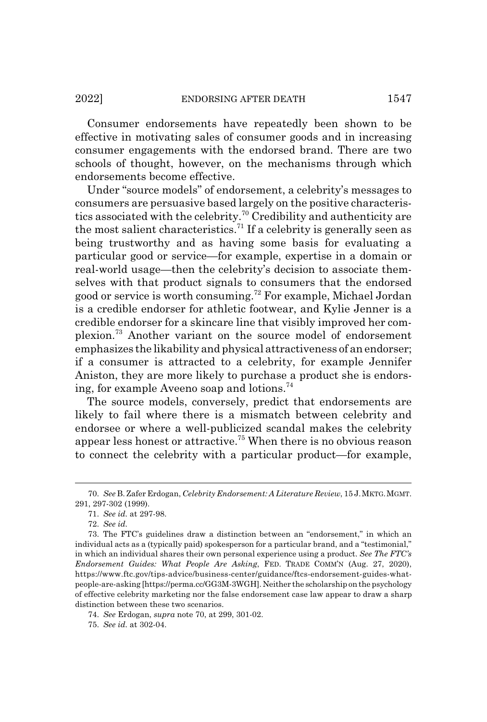Consumer endorsements have repeatedly been shown to be effective in motivating sales of consumer goods and in increasing consumer engagements with the endorsed brand. There are two schools of thought, however, on the mechanisms through which endorsements become effective.

Under "source models" of endorsement, a celebrity's messages to consumers are persuasive based largely on the positive characteristics associated with the celebrity.70 Credibility and authenticity are the most salient characteristics.<sup>71</sup> If a celebrity is generally seen as being trustworthy and as having some basis for evaluating a particular good or service—for example, expertise in a domain or real-world usage—then the celebrity's decision to associate themselves with that product signals to consumers that the endorsed good or service is worth consuming.72 For example, Michael Jordan is a credible endorser for athletic footwear, and Kylie Jenner is a credible endorser for a skincare line that visibly improved her complexion.73 Another variant on the source model of endorsement emphasizes the likability and physical attractiveness of an endorser; if a consumer is attracted to a celebrity, for example Jennifer Aniston, they are more likely to purchase a product she is endorsing, for example Aveeno soap and lotions.<sup>74</sup>

The source models, conversely, predict that endorsements are likely to fail where there is a mismatch between celebrity and endorsee or where a well-publicized scandal makes the celebrity appear less honest or attractive.75 When there is no obvious reason to connect the celebrity with a particular product—for example,

<sup>70.</sup> *See* B. Zafer Erdogan, *Celebrity Endorsement: A Literature Review*, 15 J.MKTG.MGMT. 291, 297-302 (1999).

<sup>71.</sup> *See id.* at 297-98.

<sup>72.</sup> *See id.*

<sup>73.</sup> The FTC's guidelines draw a distinction between an "endorsement," in which an individual acts as a (typically paid) spokesperson for a particular brand, and a "testimonial," in which an individual shares their own personal experience using a product. *See The FTC's Endorsement Guides: What People Are Asking*, FED. TRADE COMM'N (Aug. 27, 2020), https://www.ftc.gov/tips-advice/business-center/guidance/ftcs-endorsement-guides-whatpeople-are-asking [https://perma.cc/GG3M-3WGH]. Neither the scholarship on the psychology of effective celebrity marketing nor the false endorsement case law appear to draw a sharp distinction between these two scenarios.

<sup>74.</sup> *See* Erdogan, *supra* note 70, at 299, 301-02.

<sup>75.</sup> *See id.* at 302-04.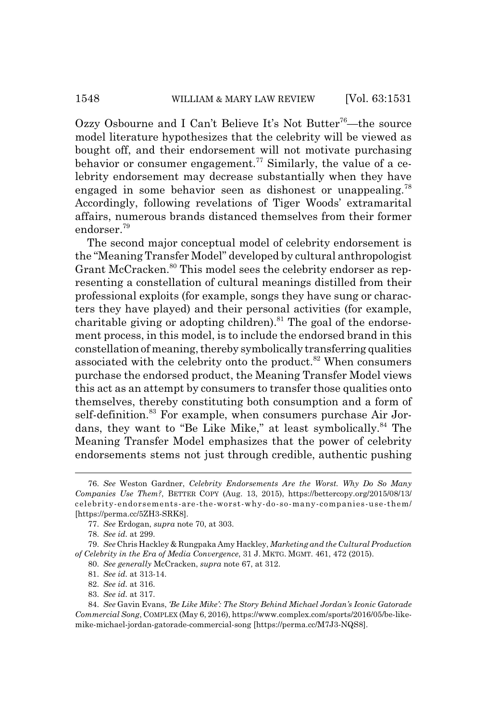Ozzy Osbourne and I Can't Believe It's Not Butter<sup>76</sup>—the source model literature hypothesizes that the celebrity will be viewed as bought off, and their endorsement will not motivate purchasing behavior or consumer engagement.<sup> $77$ </sup> Similarly, the value of a celebrity endorsement may decrease substantially when they have engaged in some behavior seen as dishonest or unappealing.<sup>78</sup> Accordingly, following revelations of Tiger Woods' extramarital affairs, numerous brands distanced themselves from their former endorser.<sup>79</sup>

The second major conceptual model of celebrity endorsement is the "Meaning Transfer Model" developed by cultural anthropologist Grant McCracken.<sup>80</sup> This model sees the celebrity endorser as representing a constellation of cultural meanings distilled from their professional exploits (for example, songs they have sung or characters they have played) and their personal activities (for example, charitable giving or adopting children).<sup>81</sup> The goal of the endorsement process, in this model, is to include the endorsed brand in this constellation of meaning, thereby symbolically transferring qualities associated with the celebrity onto the product.<sup>82</sup> When consumers purchase the endorsed product, the Meaning Transfer Model views this act as an attempt by consumers to transfer those qualities onto themselves, thereby constituting both consumption and a form of self-definition.<sup>83</sup> For example, when consumers purchase Air Jordans, they want to "Be Like Mike," at least symbolically.<sup>84</sup> The Meaning Transfer Model emphasizes that the power of celebrity endorsements stems not just through credible, authentic pushing

<sup>76.</sup> *See* Weston Gardner, *Celebrity Endorsements Are the Worst. Why Do So Many Companies Use Them?*, BETTER COPY (Aug. 13, 2015), https://bettercopy.org/2015/08/13/ celebrity-endorsements-are-the-worst-why-do-so-many-companies-use-them/ [https://perma.cc/5ZH3-SRK8].

<sup>77.</sup> *See* Erdogan, *supra* note 70, at 303.

<sup>78.</sup> *See id.* at 299.

<sup>79.</sup> *See* Chris Hackley & Rungpaka Amy Hackley, *Marketing and the Cultural Production of Celebrity in the Era of Media Convergence*, 31 J. MKTG. MGMT. 461, 472 (2015).

<sup>80.</sup> *See generally* McCracken, *supra* note 67, at 312.

<sup>81.</sup> *See id.* at 313-14.

<sup>82.</sup> *See id.* at 316.

<sup>83.</sup> *See id.* at 317.

<sup>84.</sup> *See* Gavin Evans, *'Be Like Mike': The Story Behind Michael Jordan's Iconic Gatorade Commercial Song*, COMPLEX (May 6, 2016), https://www.complex.com/sports/2016/05/be-likemike-michael-jordan-gatorade-commercial-song [https://perma.cc/M7J3-NQS8].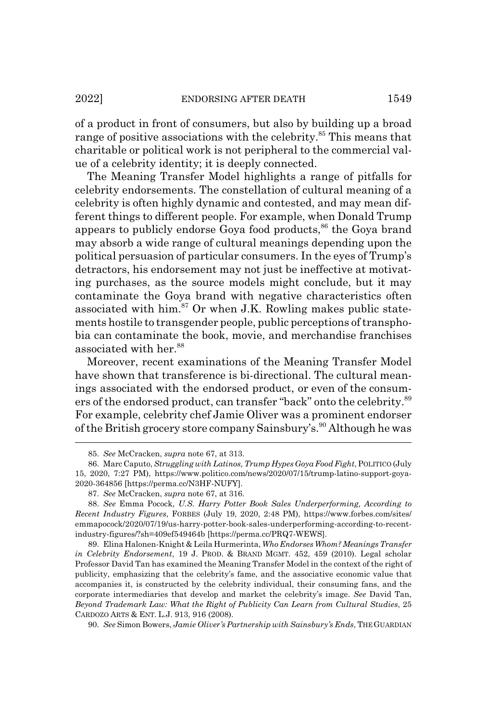of a product in front of consumers, but also by building up a broad range of positive associations with the celebrity.<sup>85</sup> This means that charitable or political work is not peripheral to the commercial value of a celebrity identity; it is deeply connected.

The Meaning Transfer Model highlights a range of pitfalls for celebrity endorsements. The constellation of cultural meaning of a celebrity is often highly dynamic and contested, and may mean different things to different people. For example, when Donald Trump appears to publicly endorse Goya food products,<sup>86</sup> the Goya brand may absorb a wide range of cultural meanings depending upon the political persuasion of particular consumers. In the eyes of Trump's detractors, his endorsement may not just be ineffective at motivating purchases, as the source models might conclude, but it may contaminate the Goya brand with negative characteristics often associated with him. $87$  Or when J.K. Rowling makes public statements hostile to transgender people, public perceptions of transphobia can contaminate the book, movie, and merchandise franchises associated with her.<sup>88</sup>

Moreover, recent examinations of the Meaning Transfer Model have shown that transference is bi-directional. The cultural meanings associated with the endorsed product, or even of the consumers of the endorsed product, can transfer "back" onto the celebrity.<sup>89</sup> For example, celebrity chef Jamie Oliver was a prominent endorser of the British grocery store company Sainsbury's.<sup>90</sup> Although he was

89. Elina Halonen-Knight & Leila Hurmerinta, *Who Endorses Whom? Meanings Transfer in Celebrity Endorsement*, 19 J. PROD.&BRAND MGMT. 452, 459 (2010). Legal scholar Professor David Tan has examined the Meaning Transfer Model in the context of the right of publicity, emphasizing that the celebrity's fame, and the associative economic value that accompanies it, is constructed by the celebrity individual, their consuming fans, and the corporate intermediaries that develop and market the celebrity's image. *See* David Tan, *Beyond Trademark Law: What the Right of Publicity Can Learn from Cultural Studies*, 25 CARDOZO ARTS & ENT. L.J. 913, 916 (2008).

90. *See* Simon Bowers, *Jamie Oliver's Partnership with Sainsbury's Ends*, THE GUARDIAN

<sup>85.</sup> *See* McCracken, *supra* note 67, at 313.

<sup>86.</sup> Marc Caputo, *Struggling with Latinos, Trump Hypes Goya Food Fight*, POLITICO (July 15, 2020, 7:27 PM), https://www.politico.com/news/2020/07/15/trump-latino-support-goya-2020-364856 [https://perma.cc/N3HF-NUFY].

<sup>87.</sup> *See* McCracken, *supra* note 67, at 316.

<sup>88.</sup> *See* Emma Pocock, *U.S. Harry Potter Book Sales Underperforming, According to Recent Industry Figures*, FORBES (July 19, 2020, 2:48 PM), https://www.forbes.com/sites/ emmapocock/2020/07/19/us-harry-potter-book-sales-underperforming-according-to-recentindustry-figures/?sh=409ef549464b [https://perma.cc/PRQ7-WEWS].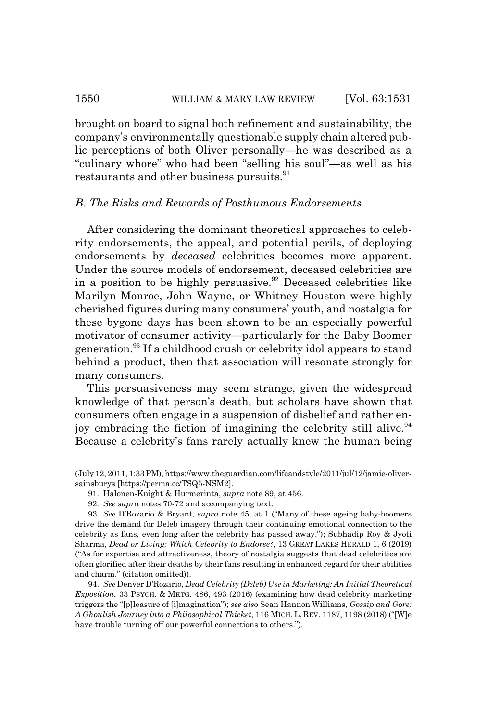brought on board to signal both refinement and sustainability, the company's environmentally questionable supply chain altered public perceptions of both Oliver personally—he was described as a "culinary whore" who had been "selling his soul"—as well as his restaurants and other business pursuits.<sup>91</sup>

## *B. The Risks and Rewards of Posthumous Endorsements*

After considering the dominant theoretical approaches to celebrity endorsements, the appeal, and potential perils, of deploying endorsements by *deceased* celebrities becomes more apparent. Under the source models of endorsement, deceased celebrities are in a position to be highly persuasive.<sup>92</sup> Deceased celebrities like Marilyn Monroe, John Wayne, or Whitney Houston were highly cherished figures during many consumers' youth, and nostalgia for these bygone days has been shown to be an especially powerful motivator of consumer activity—particularly for the Baby Boomer generation.93 If a childhood crush or celebrity idol appears to stand behind a product, then that association will resonate strongly for many consumers.

This persuasiveness may seem strange, given the widespread knowledge of that person's death, but scholars have shown that consumers often engage in a suspension of disbelief and rather enjoy embracing the fiction of imagining the celebrity still alive. $94$ Because a celebrity's fans rarely actually knew the human being

<sup>(</sup>July 12, 2011, 1:33 PM), https://www.theguardian.com/lifeandstyle/2011/jul/12/jamie-oliversainsburys [https://perma.cc/TSQ5-NSM2].

<sup>91.</sup> Halonen-Knight & Hurmerinta, *supra* note 89, at 456.

<sup>92.</sup> *See supra* notes 70-72 and accompanying text.

<sup>93.</sup> *See* D'Rozario & Bryant, *supra* note 45, at 1 ("Many of these ageing baby-boomers drive the demand for Deleb imagery through their continuing emotional connection to the celebrity as fans, even long after the celebrity has passed away."); Subhadip Roy & Jyoti Sharma, *Dead or Living: Which Celebrity to Endorse?*, 13 GREAT LAKES HERALD 1, 6 (2019) ("As for expertise and attractiveness, theory of nostalgia suggests that dead celebrities are often glorified after their deaths by their fans resulting in enhanced regard for their abilities and charm." (citation omitted)).

<sup>94.</sup> *See* Denver D'Rozario, *Dead Celebrity (Deleb) Use in Marketing: An Initial Theoretical Exposition*, 33 PSYCH.&MKTG. 486, 493 (2016) (examining how dead celebrity marketing triggers the "[p]leasure of [i]magination"); *see also* Sean Hannon Williams, *Gossip and Gore: A Ghoulish Journey into a Philosophical Thicket*, 116 MICH. L. REV. 1187, 1198 (2018) ("[W]e have trouble turning off our powerful connections to others.").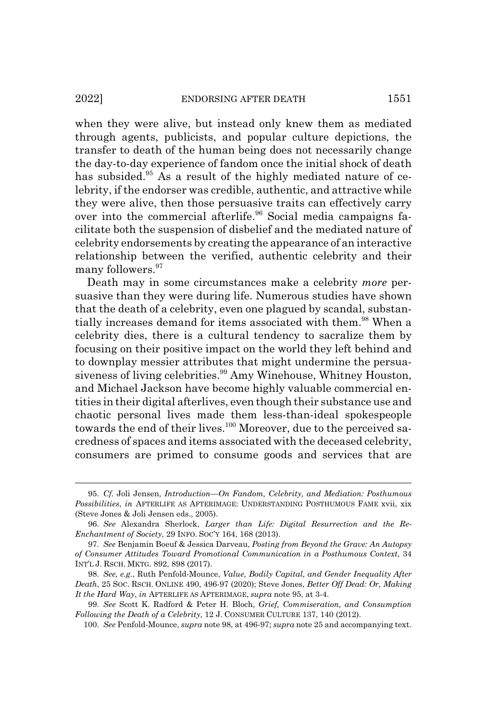when they were alive, but instead only knew them as mediated through agents, publicists, and popular culture depictions, the transfer to death of the human being does not necessarily change the day-to-day experience of fandom once the initial shock of death has subsided.<sup>95</sup> As a result of the highly mediated nature of celebrity, if the endorser was credible, authentic, and attractive while they were alive, then those persuasive traits can effectively carry over into the commercial afterlife.<sup>96</sup> Social media campaigns facilitate both the suspension of disbelief and the mediated nature of celebrity endorsements by creating the appearance of an interactive relationship between the verified, authentic celebrity and their many followers.<sup>97</sup>

Death may in some circumstances make a celebrity *more* persuasive than they were during life. Numerous studies have shown that the death of a celebrity, even one plagued by scandal, substantially increases demand for items associated with them.<sup>98</sup> When a celebrity dies, there is a cultural tendency to sacralize them by focusing on their positive impact on the world they left behind and to downplay messier attributes that might undermine the persuasiveness of living celebrities.<sup>99</sup> Amy Winehouse, Whitney Houston, and Michael Jackson have become highly valuable commercial entities in their digital afterlives, even though their substance use and chaotic personal lives made them less-than-ideal spokespeople towards the end of their lives.<sup>100</sup> Moreover, due to the perceived sacredness of spaces and items associated with the deceased celebrity, consumers are primed to consume goods and services that are

<sup>95.</sup> *Cf.* Joli Jensen, *Introduction—On Fandom, Celebrity, and Mediation: Posthumous Possibilities*, *in* AFTERLIFE AS AFTERIMAGE: UNDERSTANDING POSTHUMOUS FAME xvii, xix (Steve Jones & Joli Jensen eds., 2005).

<sup>96.</sup> *See* Alexandra Sherlock, *Larger than Life: Digital Resurrection and the Re-Enchantment of Society*, 29 INFO. SOC'Y 164, 168 (2013).

<sup>97.</sup> *See* Benjamin Boeuf & Jessica Darveau, *Posting from Beyond the Grave: An Autopsy of Consumer Attitudes Toward Promotional Communication in a Posthumous Context*, 34 INT'L J. RSCH. MKTG. 892, 898 (2017).

<sup>98.</sup> *See, e.g.*, Ruth Penfold-Mounce, *Value, Bodily Capital, and Gender Inequality After Death*, 25 SOC. RSCH. ONLINE 490, 496-97 (2020); Steve Jones, *Better Off Dead: Or, Making It the Hard Way*, *in* AFTERLIFE AS AFTERIMAGE, *supra* note 95, at 3-4.

<sup>99.</sup> *See* Scott K. Radford & Peter H. Bloch, *Grief, Commiseration, and Consumption Following the Death of a Celebrity*, 12 J. CONSUMER CULTURE 137, 140 (2012).

<sup>100.</sup> *See* Penfold-Mounce, *supra* note 98, at 496-97; *supra* note 25 and accompanying text.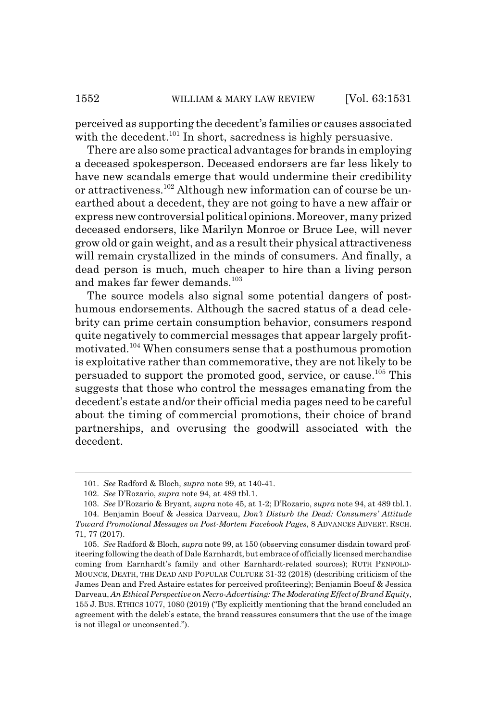perceived as supporting the decedent's families or causes associated with the decedent.<sup>101</sup> In short, sacredness is highly persuasive.

There are also some practical advantages for brands in employing a deceased spokesperson. Deceased endorsers are far less likely to have new scandals emerge that would undermine their credibility or attractiveness.102 Although new information can of course be unearthed about a decedent, they are not going to have a new affair or express new controversial political opinions. Moreover, many prized deceased endorsers, like Marilyn Monroe or Bruce Lee, will never grow old or gain weight, and as a result their physical attractiveness will remain crystallized in the minds of consumers. And finally, a dead person is much, much cheaper to hire than a living person and makes far fewer demands.<sup>103</sup>

The source models also signal some potential dangers of posthumous endorsements. Although the sacred status of a dead celebrity can prime certain consumption behavior, consumers respond quite negatively to commercial messages that appear largely profitmotivated.104 When consumers sense that a posthumous promotion is exploitative rather than commemorative, they are not likely to be persuaded to support the promoted good, service, or cause.105 This suggests that those who control the messages emanating from the decedent's estate and/or their official media pages need to be careful about the timing of commercial promotions, their choice of brand partnerships, and overusing the goodwill associated with the decedent.

<sup>101.</sup> *See* Radford & Bloch, *supra* note 99, at 140-41.

<sup>102.</sup> *See* D'Rozario, *supra* note 94, at 489 tbl.1.

<sup>103.</sup> *See* D'Rozario & Bryant, *supra* note 45, at 1-2; D'Rozario, *supra* note 94, at 489 tbl.1. 104. Benjamin Boeuf & Jessica Darveau, *Don't Disturb the Dead: Consumers' Attitude*

*Toward Promotional Messages on Post-Mortem Facebook Pages*, 8 ADVANCES ADVERT. RSCH. 71, 77 (2017).

<sup>105.</sup> *See* Radford & Bloch, *supra* note 99, at 150 (observing consumer disdain toward profiteering following the death of Dale Earnhardt, but embrace of officially licensed merchandise coming from Earnhardt's family and other Earnhardt-related sources); RUTH PENFOLD-MOUNCE, DEATH, THE DEAD AND POPULAR CULTURE 31-32 (2018) (describing criticism of the James Dean and Fred Astaire estates for perceived profiteering); Benjamin Boeuf & Jessica Darveau, *An Ethical Perspective on Necro-Advertising: The Moderating Effect of Brand Equity*, 155 J. BUS. ETHICS 1077, 1080 (2019) ("By explicitly mentioning that the brand concluded an agreement with the deleb's estate, the brand reassures consumers that the use of the image is not illegal or unconsented.").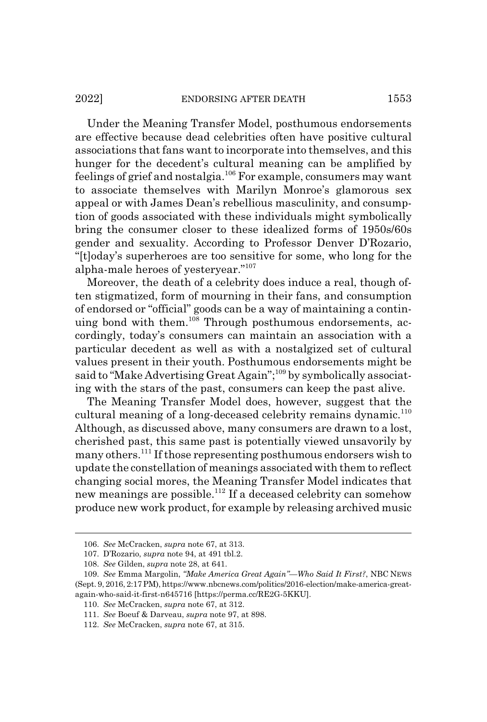#### 2022] ENDORSING AFTER DEATH 1553

Under the Meaning Transfer Model, posthumous endorsements are effective because dead celebrities often have positive cultural associations that fans want to incorporate into themselves, and this hunger for the decedent's cultural meaning can be amplified by feelings of grief and nostalgia.106 For example, consumers may want to associate themselves with Marilyn Monroe's glamorous sex appeal or with James Dean's rebellious masculinity, and consumption of goods associated with these individuals might symbolically bring the consumer closer to these idealized forms of 1950s/60s gender and sexuality. According to Professor Denver D'Rozario, "[t]oday's superheroes are too sensitive for some, who long for the alpha-male heroes of yesteryear."107

Moreover, the death of a celebrity does induce a real, though often stigmatized, form of mourning in their fans, and consumption of endorsed or "official" goods can be a way of maintaining a continuing bond with them.<sup>108</sup> Through posthumous endorsements, accordingly, today's consumers can maintain an association with a particular decedent as well as with a nostalgized set of cultural values present in their youth. Posthumous endorsements might be said to "Make Advertising Great Again";<sup>109</sup> by symbolically associating with the stars of the past, consumers can keep the past alive.

The Meaning Transfer Model does, however, suggest that the cultural meaning of a long-deceased celebrity remains dynamic.<sup>110</sup> Although, as discussed above, many consumers are drawn to a lost, cherished past, this same past is potentially viewed unsavorily by many others.111 If those representing posthumous endorsers wish to update the constellation of meanings associated with them to reflect changing social mores, the Meaning Transfer Model indicates that new meanings are possible.<sup>112</sup> If a deceased celebrity can somehow produce new work product, for example by releasing archived music

<sup>106.</sup> *See* McCracken, *supra* note 67, at 313.

<sup>107.</sup> D'Rozario, *supra* note 94, at 491 tbl.2.

<sup>108.</sup> *See* Gilden, *supra* note 28, at 641.

<sup>109.</sup> *See* Emma Margolin, *"Make America Great Again"—Who Said It First?*, NBC NEWS (Sept. 9, 2016, 2:17 PM), https://www.nbcnews.com/politics/2016-election/make-america-greatagain-who-said-it-first-n645716 [https://perma.cc/RE2G-5KKU].

<sup>110.</sup> *See* McCracken, *supra* note 67, at 312.

<sup>111.</sup> *See* Boeuf & Darveau, *supra* note 97, at 898.

<sup>112.</sup> *See* McCracken, *supra* note 67, at 315.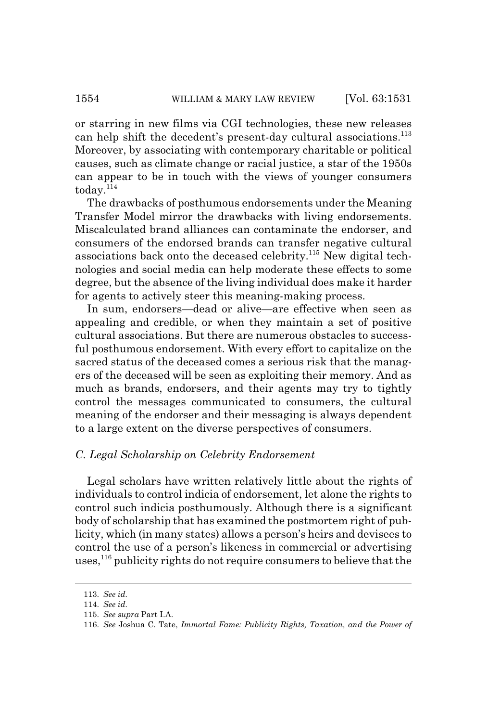or starring in new films via CGI technologies, these new releases can help shift the decedent's present-day cultural associations.<sup>113</sup> Moreover, by associating with contemporary charitable or political causes, such as climate change or racial justice, a star of the 1950s can appear to be in touch with the views of younger consumers  $\text{today.}^{114}$ 

The drawbacks of posthumous endorsements under the Meaning Transfer Model mirror the drawbacks with living endorsements. Miscalculated brand alliances can contaminate the endorser, and consumers of the endorsed brands can transfer negative cultural associations back onto the deceased celebrity.115 New digital technologies and social media can help moderate these effects to some degree, but the absence of the living individual does make it harder for agents to actively steer this meaning-making process.

In sum, endorsers—dead or alive—are effective when seen as appealing and credible, or when they maintain a set of positive cultural associations. But there are numerous obstacles to successful posthumous endorsement. With every effort to capitalize on the sacred status of the deceased comes a serious risk that the managers of the deceased will be seen as exploiting their memory. And as much as brands, endorsers, and their agents may try to tightly control the messages communicated to consumers, the cultural meaning of the endorser and their messaging is always dependent to a large extent on the diverse perspectives of consumers.

#### *C. Legal Scholarship on Celebrity Endorsement*

Legal scholars have written relatively little about the rights of individuals to control indicia of endorsement, let alone the rights to control such indicia posthumously. Although there is a significant body of scholarship that has examined the postmortem right of publicity, which (in many states) allows a person's heirs and devisees to control the use of a person's likeness in commercial or advertising uses,<sup>116</sup> publicity rights do not require consumers to believe that the

<sup>113.</sup> *See id.*

<sup>114.</sup> *See id.*

<sup>115.</sup> *See supra* Part I.A.

<sup>116.</sup> *See* Joshua C. Tate, *Immortal Fame: Publicity Rights, Taxation, and the Power of*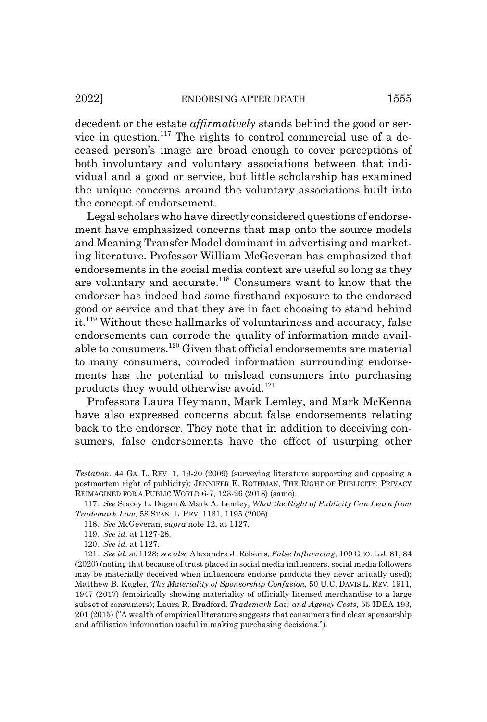decedent or the estate *affirmatively* stands behind the good or service in question.<sup>117</sup> The rights to control commercial use of a deceased person's image are broad enough to cover perceptions of both involuntary and voluntary associations between that individual and a good or service, but little scholarship has examined the unique concerns around the voluntary associations built into the concept of endorsement.

Legal scholars who have directly considered questions of endorsement have emphasized concerns that map onto the source models and Meaning Transfer Model dominant in advertising and marketing literature. Professor William McGeveran has emphasized that endorsements in the social media context are useful so long as they are voluntary and accurate.<sup>118</sup> Consumers want to know that the endorser has indeed had some firsthand exposure to the endorsed good or service and that they are in fact choosing to stand behind it.<sup>119</sup> Without these hallmarks of voluntariness and accuracy, false endorsements can corrode the quality of information made available to consumers.120 Given that official endorsements are material to many consumers, corroded information surrounding endorsements has the potential to mislead consumers into purchasing products they would otherwise avoid. $121$ 

Professors Laura Heymann, Mark Lemley, and Mark McKenna have also expressed concerns about false endorsements relating back to the endorser. They note that in addition to deceiving consumers, false endorsements have the effect of usurping other

*Testation*, 44 GA. L. REV. 1, 19-20 (2009) (surveying literature supporting and opposing a postmortem right of publicity); JENNIFER E. ROTHMAN, THE RIGHT OF PUBLICITY: PRIVACY REIMAGINED FOR A PUBLIC WORLD 6-7, 123-26 (2018) (same).

<sup>117.</sup> *See* Stacey L. Dogan & Mark A. Lemley, *What the Right of Publicity Can Learn from Trademark Law*, 58 STAN. L. REV. 1161, 1195 (2006).

<sup>118.</sup> *See* McGeveran, *supra* note 12, at 1127.

<sup>119.</sup> *See id.* at 1127-28.

<sup>120.</sup> *See id.* at 1127.

<sup>121.</sup> *See id.* at 1128; *see also* Alexandra J. Roberts, *False Influencing*, 109 GEO. L.J. 81, 84 (2020) (noting that because of trust placed in social media influencers, social media followers may be materially deceived when influencers endorse products they never actually used); Matthew B. Kugler, *The Materiality of Sponsorship Confusion*, 50 U.C. DAVIS L. REV. 1911, 1947 (2017) (empirically showing materiality of officially licensed merchandise to a large subset of consumers); Laura R. Bradford, *Trademark Law and Agency Costs*, 55 IDEA 193, 201 (2015) ("A wealth of empirical literature suggests that consumers find clear sponsorship and affiliation information useful in making purchasing decisions.").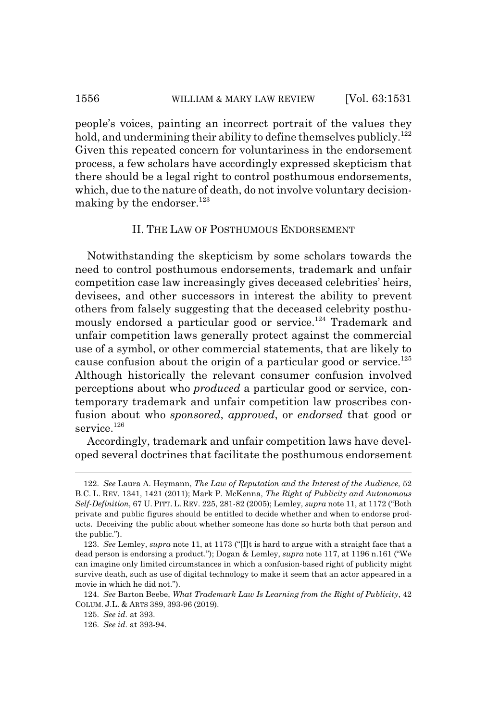#### 1556 WILLIAM & MARY LAW REVIEW [Vol. 63:1531]

people's voices, painting an incorrect portrait of the values they hold, and undermining their ability to define themselves publicly.<sup>122</sup> Given this repeated concern for voluntariness in the endorsement process, a few scholars have accordingly expressed skepticism that there should be a legal right to control posthumous endorsements, which, due to the nature of death, do not involve voluntary decisionmaking by the endorser. $123$ 

#### II. THE LAW OF POSTHUMOUS ENDORSEMENT

Notwithstanding the skepticism by some scholars towards the need to control posthumous endorsements, trademark and unfair competition case law increasingly gives deceased celebrities' heirs, devisees, and other successors in interest the ability to prevent others from falsely suggesting that the deceased celebrity posthumously endorsed a particular good or service.<sup>124</sup> Trademark and unfair competition laws generally protect against the commercial use of a symbol, or other commercial statements, that are likely to cause confusion about the origin of a particular good or service. $125$ Although historically the relevant consumer confusion involved perceptions about who *produced* a particular good or service, contemporary trademark and unfair competition law proscribes confusion about who *sponsored*, *approved*, or *endorsed* that good or service.<sup>126</sup>

Accordingly, trademark and unfair competition laws have developed several doctrines that facilitate the posthumous endorsement

<sup>122.</sup> *See* Laura A. Heymann, *The Law of Reputation and the Interest of the Audience*, 52 B.C. L. REV. 1341, 1421 (2011); Mark P. McKenna, *The Right of Publicity and Autonomous Self-Definition*, 67 U. PITT. L. REV. 225, 281-82 (2005); Lemley, *supra* note 11, at 1172 ("Both private and public figures should be entitled to decide whether and when to endorse products. Deceiving the public about whether someone has done so hurts both that person and the public.").

<sup>123.</sup> *See* Lemley, *supra* note 11, at 1173 ("[I]t is hard to argue with a straight face that a dead person is endorsing a product."); Dogan & Lemley, *supra* note 117, at 1196 n.161 ("We can imagine only limited circumstances in which a confusion-based right of publicity might survive death, such as use of digital technology to make it seem that an actor appeared in a movie in which he did not.").

<sup>124.</sup> *See* Barton Beebe, *What Trademark Law Is Learning from the Right of Publicity*, 42 COLUM. J.L. & ARTS 389, 393-96 (2019).

<sup>125.</sup> *See id.* at 393.

<sup>126.</sup> *See id.* at 393-94.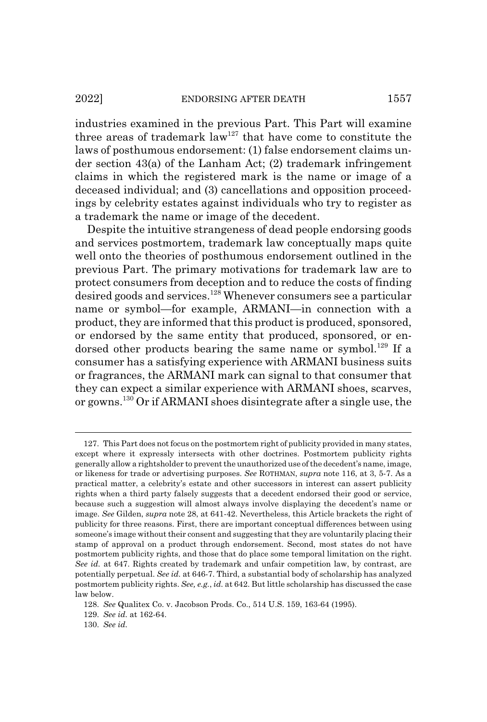industries examined in the previous Part. This Part will examine three areas of trademark  $law^{127}$  that have come to constitute the laws of posthumous endorsement: (1) false endorsement claims under section 43(a) of the Lanham Act; (2) trademark infringement claims in which the registered mark is the name or image of a deceased individual; and (3) cancellations and opposition proceedings by celebrity estates against individuals who try to register as a trademark the name or image of the decedent.

Despite the intuitive strangeness of dead people endorsing goods and services postmortem, trademark law conceptually maps quite well onto the theories of posthumous endorsement outlined in the previous Part. The primary motivations for trademark law are to protect consumers from deception and to reduce the costs of finding desired goods and services.<sup>128</sup> Whenever consumers see a particular name or symbol—for example, ARMANI—in connection with a product, they are informed that this product is produced, sponsored, or endorsed by the same entity that produced, sponsored, or endorsed other products bearing the same name or symbol.<sup>129</sup> If a consumer has a satisfying experience with ARMANI business suits or fragrances, the ARMANI mark can signal to that consumer that they can expect a similar experience with ARMANI shoes, scarves, or gowns.130 Or if ARMANI shoes disintegrate after a single use, the

<sup>127.</sup> This Part does not focus on the postmortem right of publicity provided in many states, except where it expressly intersects with other doctrines. Postmortem publicity rights generally allow a rightsholder to prevent the unauthorized use of the decedent's name, image, or likeness for trade or advertising purposes. *See* ROTHMAN, *supra* note 116, at 3, 5-7. As a practical matter, a celebrity's estate and other successors in interest can assert publicity rights when a third party falsely suggests that a decedent endorsed their good or service, because such a suggestion will almost always involve displaying the decedent's name or image. *See* Gilden, *supra* note 28, at 641-42. Nevertheless, this Article brackets the right of publicity for three reasons. First, there are important conceptual differences between using someone's image without their consent and suggesting that they are voluntarily placing their stamp of approval on a product through endorsement. Second, most states do not have postmortem publicity rights, and those that do place some temporal limitation on the right. *See id.* at 647. Rights created by trademark and unfair competition law, by contrast, are potentially perpetual. *See id.* at 646-7. Third, a substantial body of scholarship has analyzed postmortem publicity rights. *See, e.g.*, *id.* at 642. But little scholarship has discussed the case law below.

<sup>128.</sup> *See* Qualitex Co. v. Jacobson Prods. Co., 514 U.S. 159, 163-64 (1995).

<sup>129.</sup> *See id.* at 162-64.

<sup>130.</sup> *See id.*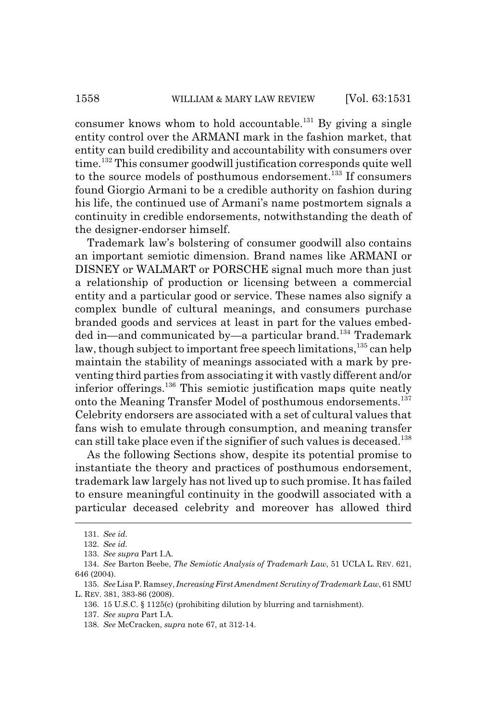consumer knows whom to hold accountable.<sup>131</sup> By giving a single entity control over the ARMANI mark in the fashion market, that entity can build credibility and accountability with consumers over time.132 This consumer goodwill justification corresponds quite well to the source models of posthumous endorsement.<sup>133</sup> If consumers found Giorgio Armani to be a credible authority on fashion during his life, the continued use of Armani's name postmortem signals a continuity in credible endorsements, notwithstanding the death of the designer-endorser himself.

Trademark law's bolstering of consumer goodwill also contains an important semiotic dimension. Brand names like ARMANI or DISNEY or WALMART or PORSCHE signal much more than just a relationship of production or licensing between a commercial entity and a particular good or service. These names also signify a complex bundle of cultural meanings, and consumers purchase branded goods and services at least in part for the values embedded in—and communicated by—a particular brand.<sup>134</sup> Trademark law, though subject to important free speech limitations, <sup>135</sup> can help maintain the stability of meanings associated with a mark by preventing third parties from associating it with vastly different and/or inferior offerings.136 This semiotic justification maps quite neatly onto the Meaning Transfer Model of posthumous endorsements.137 Celebrity endorsers are associated with a set of cultural values that fans wish to emulate through consumption, and meaning transfer can still take place even if the signifier of such values is deceased.<sup>138</sup>

As the following Sections show, despite its potential promise to instantiate the theory and practices of posthumous endorsement, trademark law largely has not lived up to such promise. It has failed to ensure meaningful continuity in the goodwill associated with a particular deceased celebrity and moreover has allowed third

<sup>131.</sup> *See id.*

<sup>132.</sup> *See id.*

<sup>133.</sup> *See supra* Part I.A.

<sup>134.</sup> *See* Barton Beebe, *The Semiotic Analysis of Trademark Law*, 51 UCLA L. REV. 621, 646 (2004).

<sup>135.</sup> *See* Lisa P. Ramsey, *Increasing First Amendment Scrutiny of Trademark Law*, 61 SMU L. REV. 381, 383-86 (2008).

<sup>136. 15</sup> U.S.C. § 1125(c) (prohibiting dilution by blurring and tarnishment).

<sup>137.</sup> *See supra* Part I.A.

<sup>138.</sup> *See* McCracken, *supra* note 67, at 312-14.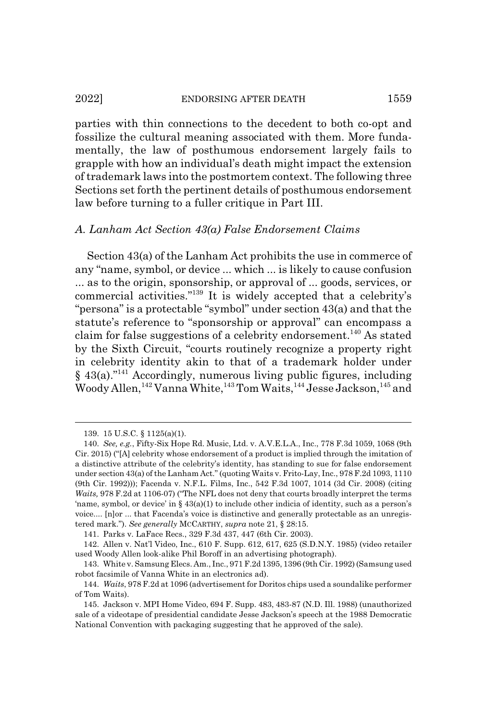#### 2022] ENDORSING AFTER DEATH 1559

parties with thin connections to the decedent to both co-opt and fossilize the cultural meaning associated with them. More fundamentally, the law of posthumous endorsement largely fails to grapple with how an individual's death might impact the extension of trademark laws into the postmortem context. The following three Sections set forth the pertinent details of posthumous endorsement law before turning to a fuller critique in Part III.

#### *A. Lanham Act Section 43(a) False Endorsement Claims*

Section 43(a) of the Lanham Act prohibits the use in commerce of any "name, symbol, or device ... which ... is likely to cause confusion ... as to the origin, sponsorship, or approval of ... goods, services, or commercial activities."139 It is widely accepted that a celebrity's "persona" is a protectable "symbol" under section 43(a) and that the statute's reference to "sponsorship or approval" can encompass a claim for false suggestions of a celebrity endorsement.<sup>140</sup> As stated by the Sixth Circuit, "courts routinely recognize a property right in celebrity identity akin to that of a trademark holder under  $§$  43(a).<sup>"141</sup> Accordingly, numerous living public figures, including Woody Allen,  $^{142}$  Vanna White,  $^{143}$  Tom Waits,  $^{144}$  Jesse Jackson,  $^{145}$  and

141. Parks v. LaFace Recs., 329 F.3d 437, 447 (6th Cir. 2003).

<sup>139. 15</sup> U.S.C. § 1125(a)(1).

<sup>140.</sup> *See, e.g.*, Fifty-Six Hope Rd. Music, Ltd. v. A.V.E.L.A., Inc., 778 F.3d 1059, 1068 (9th Cir. 2015) ("[A] celebrity whose endorsement of a product is implied through the imitation of a distinctive attribute of the celebrity's identity, has standing to sue for false endorsement under section 43(a) of the Lanham Act." (quoting Waits v. Frito-Lay, Inc., 978 F.2d 1093, 1110 (9th Cir. 1992))); Facenda v. N.F.L. Films, Inc., 542 F.3d 1007, 1014 (3d Cir. 2008) (citing *Waits,* 978 F.2d at 1106-07) ("The NFL does not deny that courts broadly interpret the terms 'name, symbol, or device' in  $\S 43(a)(1)$  to include other indicia of identity, such as a person's voice.... [n]or ... that Facenda's voice is distinctive and generally protectable as an unregistered mark."). *See generally* MCCARTHY, *supra* note 21, § 28:15.

<sup>142.</sup> Allen v. Nat'l Video, Inc., 610 F. Supp. 612, 617, 625 (S.D.N.Y. 1985) (video retailer used Woody Allen look-alike Phil Boroff in an advertising photograph).

<sup>143.</sup> White v. Samsung Elecs. Am., Inc., 971 F.2d 1395, 1396 (9th Cir. 1992) (Samsung used robot facsimile of Vanna White in an electronics ad).

<sup>144.</sup> *Waits*, 978 F.2d at 1096 (advertisement for Doritos chips used a soundalike performer of Tom Waits).

<sup>145.</sup> Jackson v. MPI Home Video, 694 F. Supp. 483, 483-87 (N.D. Ill. 1988) (unauthorized sale of a videotape of presidential candidate Jesse Jackson's speech at the 1988 Democratic National Convention with packaging suggesting that he approved of the sale).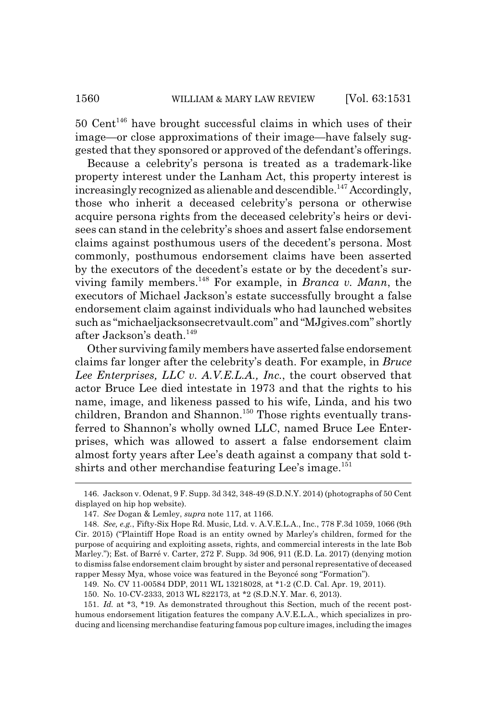$50$  Cent<sup>146</sup> have brought successful claims in which uses of their image—or close approximations of their image—have falsely suggested that they sponsored or approved of the defendant's offerings.

Because a celebrity's persona is treated as a trademark-like property interest under the Lanham Act, this property interest is increasingly recognized as alienable and descendible.<sup>147</sup> Accordingly, those who inherit a deceased celebrity's persona or otherwise acquire persona rights from the deceased celebrity's heirs or devisees can stand in the celebrity's shoes and assert false endorsement claims against posthumous users of the decedent's persona. Most commonly, posthumous endorsement claims have been asserted by the executors of the decedent's estate or by the decedent's surviving family members.148 For example, in *Branca v. Mann*, the executors of Michael Jackson's estate successfully brought a false endorsement claim against individuals who had launched websites such as "michaeljacksonsecretvault.com" and "MJgives.com" shortly after Jackson's death.149

Other surviving family members have asserted false endorsement claims far longer after the celebrity's death. For example, in *Bruce Lee Enterprises, LLC v. A.V.E.L.A., Inc.*, the court observed that actor Bruce Lee died intestate in 1973 and that the rights to his name, image, and likeness passed to his wife, Linda, and his two children, Brandon and Shannon.<sup>150</sup> Those rights eventually transferred to Shannon's wholly owned LLC, named Bruce Lee Enterprises, which was allowed to assert a false endorsement claim almost forty years after Lee's death against a company that sold tshirts and other merchandise featuring Lee's image.<sup>151</sup>

151. *Id.* at \*3, \*19. As demonstrated throughout this Section, much of the recent posthumous endorsement litigation features the company A.V.E.L.A., which specializes in producing and licensing merchandise featuring famous pop culture images, including the images

<sup>146.</sup> Jackson v. Odenat, 9 F. Supp. 3d 342, 348-49 (S.D.N.Y. 2014) (photographs of 50 Cent displayed on hip hop website).

<sup>147.</sup> *See* Dogan & Lemley, *supra* note 117, at 1166.

<sup>148.</sup> *See, e.g.*, Fifty-Six Hope Rd. Music, Ltd. v. A.V.E.L.A., Inc., 778 F.3d 1059, 1066 (9th Cir. 2015) ("Plaintiff Hope Road is an entity owned by Marley's children, formed for the purpose of acquiring and exploiting assets, rights, and commercial interests in the late Bob Marley."); Est. of Barré v. Carter, 272 F. Supp. 3d 906, 911 (E.D. La. 2017) (denying motion to dismiss false endorsement claim brought by sister and personal representative of deceased rapper Messy Mya, whose voice was featured in the Beyoncé song "Formation").

<sup>149.</sup> No. CV 11-00584 DDP, 2011 WL 13218028, at \*1-2 (C.D. Cal. Apr. 19, 2011).

<sup>150.</sup> No. 10-CV-2333, 2013 WL 822173, at \*2 (S.D.N.Y. Mar. 6, 2013).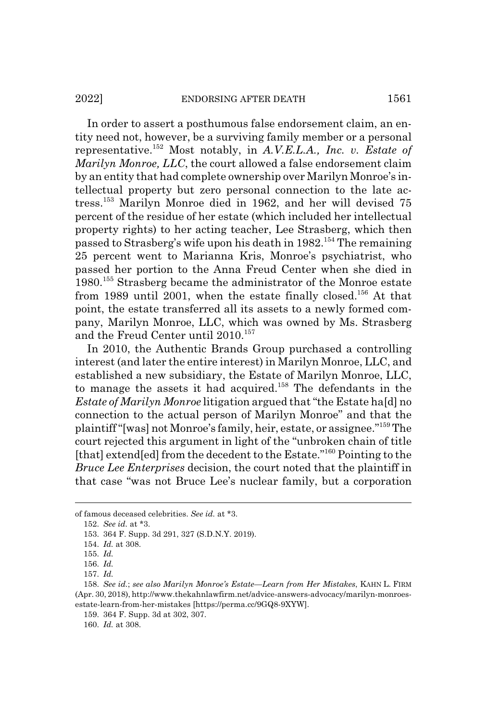In order to assert a posthumous false endorsement claim, an entity need not, however, be a surviving family member or a personal representative.152 Most notably, in *A.V.E.L.A., Inc. v. Estate of Marilyn Monroe, LLC*, the court allowed a false endorsement claim by an entity that had complete ownership over Marilyn Monroe's intellectual property but zero personal connection to the late actress.<sup>153</sup> Marilyn Monroe died in 1962, and her will devised 75 percent of the residue of her estate (which included her intellectual property rights) to her acting teacher, Lee Strasberg, which then passed to Strasberg's wife upon his death in  $1982$ <sup>154</sup>. The remaining 25 percent went to Marianna Kris, Monroe's psychiatrist, who passed her portion to the Anna Freud Center when she died in 1980.155 Strasberg became the administrator of the Monroe estate from 1989 until 2001, when the estate finally closed.<sup>156</sup> At that point, the estate transferred all its assets to a newly formed company, Marilyn Monroe, LLC, which was owned by Ms. Strasberg and the Freud Center until 2010.<sup>157</sup>

In 2010, the Authentic Brands Group purchased a controlling interest (and later the entire interest) in Marilyn Monroe, LLC, and established a new subsidiary, the Estate of Marilyn Monroe, LLC, to manage the assets it had acquired.<sup>158</sup> The defendants in the *Estate of Marilyn Monroe* litigation argued that "the Estate ha[d] no connection to the actual person of Marilyn Monroe" and that the plaintiff "[was] not Monroe's family, heir, estate, or assignee."159 The court rejected this argument in light of the "unbroken chain of title [that] extend[ed] from the decedent to the Estate."<sup>160</sup> Pointing to the *Bruce Lee Enterprises* decision, the court noted that the plaintiff in that case "was not Bruce Lee's nuclear family, but a corporation

of famous deceased celebrities. *See id.* at \*3.

<sup>152.</sup> *See id.* at \*3.

<sup>153. 364</sup> F. Supp. 3d 291, 327 (S.D.N.Y. 2019).

<sup>154.</sup> *Id.* at 308.

<sup>155.</sup> *Id.*

<sup>156.</sup> *Id.*

<sup>157.</sup> *Id.*

<sup>158.</sup> *See id.*; *see also Marilyn Monroe's Estate—Learn from Her Mistakes*, KAHN L. FIRM (Apr. 30, 2018), http://www.thekahnlawfirm.net/advice-answers-advocacy/marilyn-monroesestate-learn-from-her-mistakes [https://perma.cc/9GQ8-9XYW].

<sup>159. 364</sup> F. Supp. 3d at 302, 307.

<sup>160.</sup> *Id.* at 308.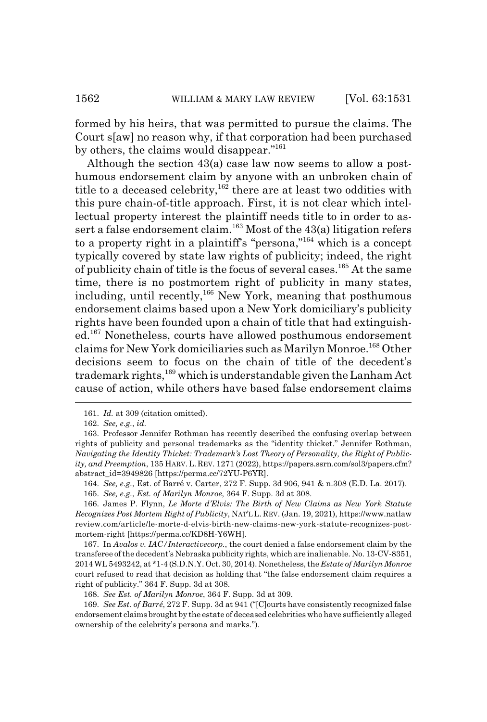formed by his heirs, that was permitted to pursue the claims. The Court s[aw] no reason why, if that corporation had been purchased by others, the claims would disappear."161

Although the section 43(a) case law now seems to allow a posthumous endorsement claim by anyone with an unbroken chain of title to a deceased celebrity,  $162$  there are at least two oddities with this pure chain-of-title approach. First, it is not clear which intellectual property interest the plaintiff needs title to in order to assert a false endorsement claim.<sup>163</sup> Most of the  $43(a)$  litigation refers to a property right in a plaintiff's "persona,"164 which is a concept typically covered by state law rights of publicity; indeed, the right of publicity chain of title is the focus of several cases.<sup>165</sup> At the same time, there is no postmortem right of publicity in many states, including, until recently,<sup>166</sup> New York, meaning that posthumous endorsement claims based upon a New York domiciliary's publicity rights have been founded upon a chain of title that had extinguished.167 Nonetheless, courts have allowed posthumous endorsement claims for New York domiciliaries such as Marilyn Monroe.168 Other decisions seem to focus on the chain of title of the decedent's trademark rights,<sup>169</sup> which is understandable given the Lanham Act cause of action, while others have based false endorsement claims

167. In *Avalos v. IAC/Interactivecorp.*, the court denied a false endorsement claim by the transferee of the decedent's Nebraska publicity rights, which are inalienable. No. 13-CV-8351, 2014 WL 5493242, at \*1-4 (S.D.N.Y. Oct. 30, 2014). Nonetheless, the *Estate of Marilyn Monroe* court refused to read that decision as holding that "the false endorsement claim requires a right of publicity." 364 F. Supp. 3d at 308.

<sup>161.</sup> *Id.* at 309 (citation omitted).

<sup>162.</sup> *See, e.g.*, *id.*

<sup>163.</sup> Professor Jennifer Rothman has recently described the confusing overlap between rights of publicity and personal trademarks as the "identity thicket." Jennifer Rothman, *Navigating the Identity Thicket: Trademark's Lost Theory of Personality, the Right of Publicity, and Preemption*, 135 HARV. L. REV. 1271 (2022), https://papers.ssrn.com/sol3/papers.cfm? abstract\_id=3949826 [https://perma.cc/72YU-P6YR].

<sup>164.</sup> *See, e.g.*, Est. of Barré v. Carter, 272 F. Supp. 3d 906, 941 & n.308 (E.D. La. 2017).

<sup>165.</sup> *See, e.g.*, *Est. of Marilyn Monroe*, 364 F. Supp. 3d at 308.

<sup>166.</sup> James P. Flynn, *Le Morte d'Elvis: The Birth of New Claims as New York Statute Recognizes Post Mortem Right of Publicity*, NAT'L L. REV. (Jan. 19, 2021), https://www.natlaw review.com/article/le-morte-d-elvis-birth-new-claims-new-york-statute-recognizes-postmortem-right [https://perma.cc/KD8H-Y6WH].

<sup>168.</sup> *See Est. of Marilyn Monroe*, 364 F. Supp. 3d at 309.

<sup>169.</sup> *See Est. of Barré*, 272 F. Supp. 3d at 941 ("[C]ourts have consistently recognized false endorsement claims brought by the estate of deceased celebrities who have sufficiently alleged ownership of the celebrity's persona and marks.").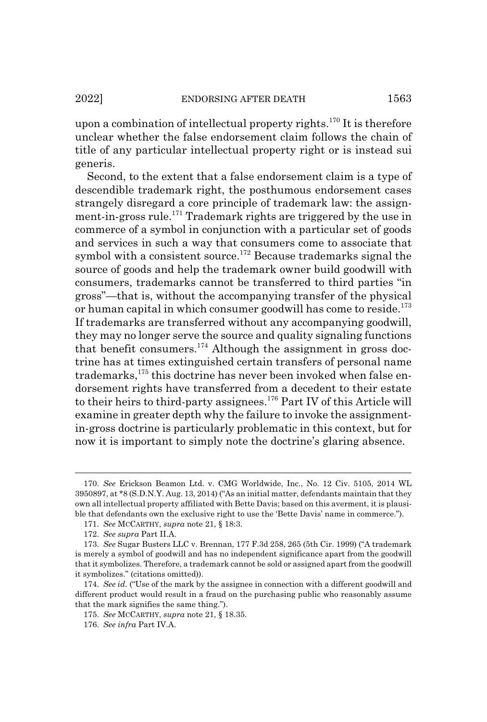title of any particular intellectual property right or is instead sui

upon a combination of intellectual property rights.<sup>170</sup> It is therefore unclear whether the false endorsement claim follows the chain of

generis. Second, to the extent that a false endorsement claim is a type of descendible trademark right, the posthumous endorsement cases strangely disregard a core principle of trademark law: the assignment-in-gross rule.171 Trademark rights are triggered by the use in commerce of a symbol in conjunction with a particular set of goods and services in such a way that consumers come to associate that symbol with a consistent source.<sup>172</sup> Because trademarks signal the source of goods and help the trademark owner build goodwill with consumers, trademarks cannot be transferred to third parties "in gross"—that is, without the accompanying transfer of the physical or human capital in which consumer goodwill has come to reside.<sup>173</sup> If trademarks are transferred without any accompanying goodwill, they may no longer serve the source and quality signaling functions that benefit consumers.<sup>174</sup> Although the assignment in gross doctrine has at times extinguished certain transfers of personal name trademarks,<sup>175</sup> this doctrine has never been invoked when false endorsement rights have transferred from a decedent to their estate to their heirs to third-party assignees.<sup>176</sup> Part IV of this Article will examine in greater depth why the failure to invoke the assignmentin-gross doctrine is particularly problematic in this context, but for now it is important to simply note the doctrine's glaring absence.

<sup>170.</sup> *See* Erickson Beamon Ltd. v. CMG Worldwide, Inc., No. 12 Civ. 5105, 2014 WL 3950897, at \*8 (S.D.N.Y. Aug. 13, 2014) ("As an initial matter, defendants maintain that they own all intellectual property affiliated with Bette Davis; based on this averment, it is plausible that defendants own the exclusive right to use the 'Bette Davis' name in commerce.").

<sup>171.</sup> *See* MCCARTHY, *supra* note 21, § 18:3.

<sup>172.</sup> *See supra* Part II.A.

<sup>173.</sup> *See* Sugar Busters LLC v. Brennan, 177 F.3d 258, 265 (5th Cir. 1999) ("A trademark is merely a symbol of goodwill and has no independent significance apart from the goodwill that it symbolizes. Therefore, a trademark cannot be sold or assigned apart from the goodwill it symbolizes." (citations omitted)).

<sup>174.</sup> *See id.* ("Use of the mark by the assignee in connection with a different goodwill and different product would result in a fraud on the purchasing public who reasonably assume that the mark signifies the same thing.").

<sup>175.</sup> *See* MCCARTHY, *supra* note 21, § 18.35.

<sup>176.</sup> *See infra* Part IV.A.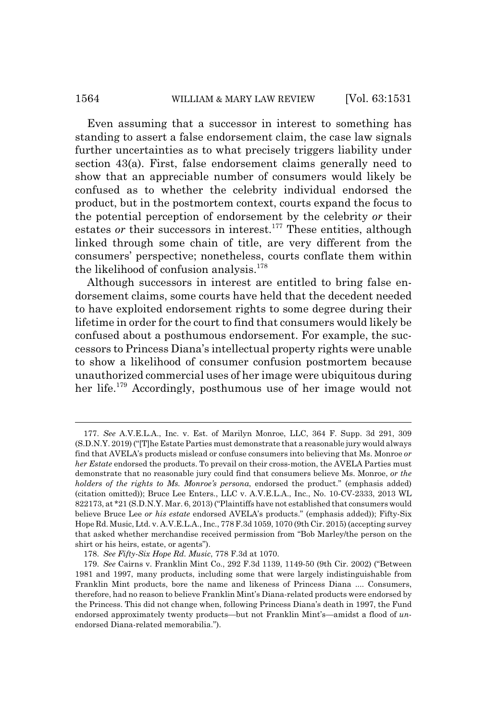#### 1564 WILLIAM & MARY LAW REVIEW [Vol. 63:1531]

Even assuming that a successor in interest to something has standing to assert a false endorsement claim, the case law signals further uncertainties as to what precisely triggers liability under section 43(a). First, false endorsement claims generally need to show that an appreciable number of consumers would likely be confused as to whether the celebrity individual endorsed the product, but in the postmortem context, courts expand the focus to the potential perception of endorsement by the celebrity *or* their estates *or* their successors in interest.<sup>177</sup> These entities, although linked through some chain of title, are very different from the consumers' perspective; nonetheless, courts conflate them within the likelihood of confusion analysis.<sup>178</sup>

Although successors in interest are entitled to bring false endorsement claims, some courts have held that the decedent needed to have exploited endorsement rights to some degree during their lifetime in order for the court to find that consumers would likely be confused about a posthumous endorsement. For example, the successors to Princess Diana's intellectual property rights were unable to show a likelihood of consumer confusion postmortem because unauthorized commercial uses of her image were ubiquitous during her life.179 Accordingly, posthumous use of her image would not

<sup>177.</sup> *See* A.V.E.L.A., Inc. v. Est. of Marilyn Monroe, LLC, 364 F. Supp. 3d 291, 309 (S.D.N.Y. 2019) ("[T]he Estate Parties must demonstrate that a reasonable jury would always find that AVELA's products mislead or confuse consumers into believing that Ms. Monroe *or her Estate* endorsed the products. To prevail on their cross-motion, the AVELA Parties must demonstrate that no reasonable jury could find that consumers believe Ms. Monroe, *or the holders of the rights to Ms. Monroe's persona*, endorsed the product." (emphasis added) (citation omitted)); Bruce Lee Enters., LLC v. A.V.E.L.A., Inc., No. 10-CV-2333, 2013 WL 822173, at \*21 (S.D.N.Y. Mar. 6, 2013) ("Plaintiffs have not established that consumers would believe Bruce Lee *or his estate* endorsed AVELA's products." (emphasis added)); Fifty-Six Hope Rd. Music, Ltd. v. A.V.E.L.A., Inc., 778 F.3d 1059, 1070 (9th Cir. 2015) (accepting survey that asked whether merchandise received permission from "Bob Marley/the person on the shirt or his heirs, estate, or agents").

<sup>178.</sup> *See Fifty-Six Hope Rd. Music*, 778 F.3d at 1070.

<sup>179.</sup> *See* Cairns v. Franklin Mint Co., 292 F.3d 1139, 1149-50 (9th Cir. 2002) ("Between 1981 and 1997, many products, including some that were largely indistinguishable from Franklin Mint products, bore the name and likeness of Princess Diana .... Consumers, therefore, had no reason to believe Franklin Mint's Diana-related products were endorsed by the Princess. This did not change when, following Princess Diana's death in 1997, the Fund endorsed approximately twenty products—but not Franklin Mint's—amidst a flood of *un*endorsed Diana-related memorabilia.").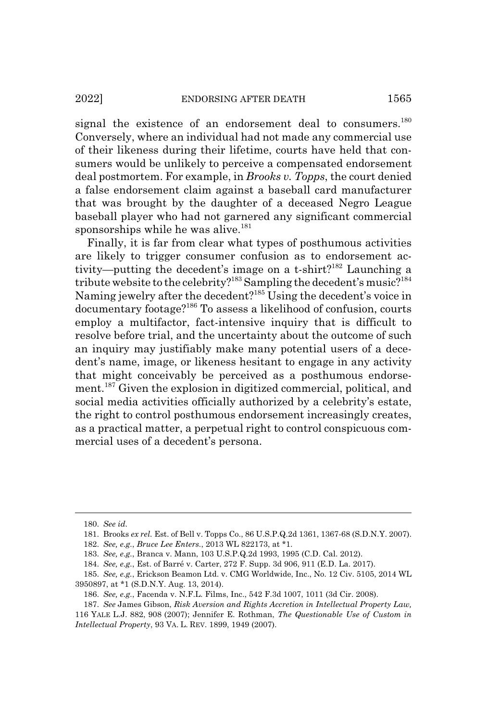signal the existence of an endorsement deal to consumers.<sup>180</sup> Conversely, where an individual had not made any commercial use of their likeness during their lifetime, courts have held that consumers would be unlikely to perceive a compensated endorsement deal postmortem. For example, in *Brooks v. Topps*, the court denied a false endorsement claim against a baseball card manufacturer that was brought by the daughter of a deceased Negro League baseball player who had not garnered any significant commercial sponsorships while he was alive.<sup>181</sup>

Finally, it is far from clear what types of posthumous activities are likely to trigger consumer confusion as to endorsement activity—putting the decedent's image on a t-shirt?<sup>182</sup> Launching a tribute website to the celebrity?<sup>183</sup> Sampling the decedent's music?<sup>184</sup> Naming jewelry after the decedent?185 Using the decedent's voice in documentary footage?186 To assess a likelihood of confusion, courts employ a multifactor, fact-intensive inquiry that is difficult to resolve before trial, and the uncertainty about the outcome of such an inquiry may justifiably make many potential users of a decedent's name, image, or likeness hesitant to engage in any activity that might conceivably be perceived as a posthumous endorsement.<sup>187</sup> Given the explosion in digitized commercial, political, and social media activities officially authorized by a celebrity's estate, the right to control posthumous endorsement increasingly creates, as a practical matter, a perpetual right to control conspicuous commercial uses of a decedent's persona.

<sup>180.</sup> *See id.*

<sup>181.</sup> Brooks *ex rel.* Est. of Bell v. Topps Co., 86 U.S.P.Q.2d 1361, 1367-68 (S.D.N.Y. 2007).

<sup>182.</sup> *See, e.g.*, *Bruce Lee Enters.*, 2013 WL 822173, at \*1.

<sup>183.</sup> *See, e.g.*, Branca v. Mann, 103 U.S.P.Q.2d 1993, 1995 (C.D. Cal. 2012).

<sup>184.</sup> *See, e.g.*, Est. of Barré v. Carter, 272 F. Supp. 3d 906, 911 (E.D. La. 2017).

<sup>185.</sup> *See, e.g.*, Erickson Beamon Ltd. v. CMG Worldwide, Inc., No. 12 Civ. 5105, 2014 WL 3950897, at \*1 (S.D.N.Y. Aug. 13, 2014).

<sup>186.</sup> *See, e.g.*, Facenda v. N.F.L. Films, Inc., 542 F.3d 1007, 1011 (3d Cir. 2008).

<sup>187.</sup> *See* James Gibson, *Risk Aversion and Rights Accretion in Intellectual Property Law,* 116 YALE L.J. 882, 908 (2007); Jennifer E. Rothman, *The Questionable Use of Custom in Intellectual Property*, 93 VA. L. REV. 1899, 1949 (2007).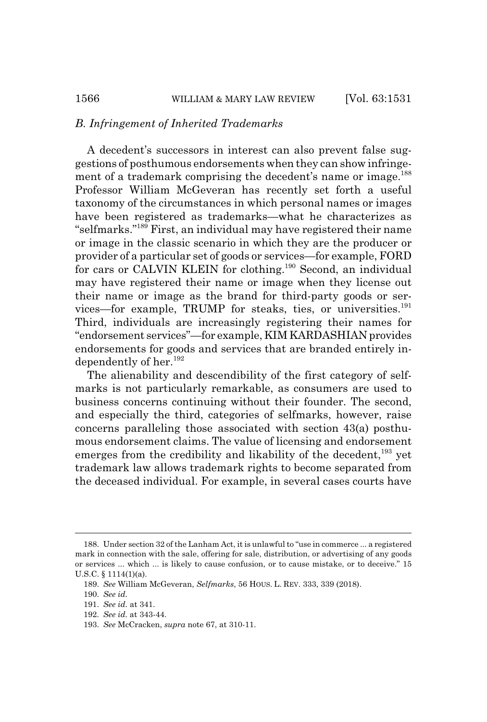#### *B. Infringement of Inherited Trademarks*

A decedent's successors in interest can also prevent false suggestions of posthumous endorsements when they can show infringement of a trademark comprising the decedent's name or image.<sup>188</sup> Professor William McGeveran has recently set forth a useful taxonomy of the circumstances in which personal names or images have been registered as trademarks—what he characterizes as "selfmarks."189 First, an individual may have registered their name or image in the classic scenario in which they are the producer or provider of a particular set of goods or services—for example, FORD for cars or CALVIN KLEIN for clothing.<sup>190</sup> Second, an individual may have registered their name or image when they license out their name or image as the brand for third-party goods or services—for example, TRUMP for steaks, ties, or universities.<sup>191</sup> Third, individuals are increasingly registering their names for "endorsement services"—for example, KIM KARDASHIAN provides endorsements for goods and services that are branded entirely independently of her.<sup>192</sup>

The alienability and descendibility of the first category of selfmarks is not particularly remarkable, as consumers are used to business concerns continuing without their founder. The second, and especially the third, categories of selfmarks, however, raise concerns paralleling those associated with section 43(a) posthumous endorsement claims. The value of licensing and endorsement emerges from the credibility and likability of the decedent,<sup>193</sup> yet trademark law allows trademark rights to become separated from the deceased individual. For example, in several cases courts have

<sup>188.</sup> Under section 32 of the Lanham Act, it is unlawful to "use in commerce ... a registered mark in connection with the sale, offering for sale, distribution, or advertising of any goods or services ... which ... is likely to cause confusion, or to cause mistake, or to deceive." 15 U.S.C. § 1114(1)(a).

<sup>189.</sup> *See* William McGeveran, *Selfmarks*, 56 HOUS. L. REV. 333, 339 (2018).

<sup>190.</sup> *See id.*

<sup>191.</sup> *See id.* at 341.

<sup>192.</sup> *See id.* at 343-44.

<sup>193.</sup> *See* McCracken, *supra* note 67, at 310-11.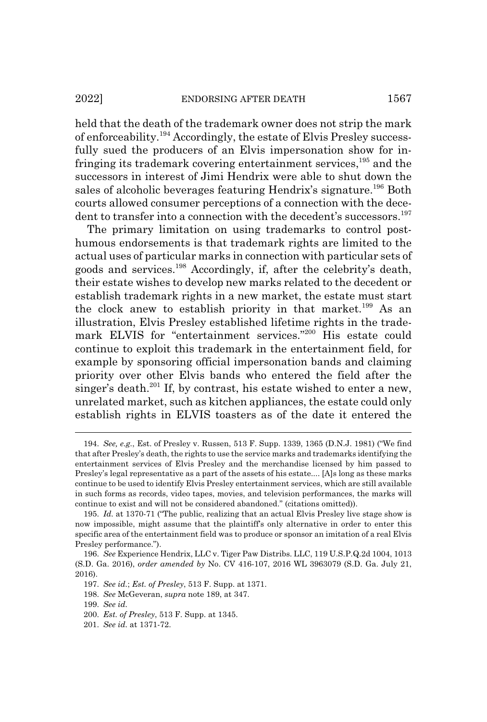held that the death of the trademark owner does not strip the mark of enforceability.194 Accordingly, the estate of Elvis Presley successfully sued the producers of an Elvis impersonation show for infringing its trademark covering entertainment services,<sup>195</sup> and the successors in interest of Jimi Hendrix were able to shut down the sales of alcoholic beverages featuring Hendrix's signature.<sup>196</sup> Both courts allowed consumer perceptions of a connection with the decedent to transfer into a connection with the decedent's successors.<sup>197</sup>

The primary limitation on using trademarks to control posthumous endorsements is that trademark rights are limited to the actual uses of particular marks in connection with particular sets of goods and services.198 Accordingly, if, after the celebrity's death, their estate wishes to develop new marks related to the decedent or establish trademark rights in a new market, the estate must start the clock anew to establish priority in that market.<sup>199</sup> As an illustration, Elvis Presley established lifetime rights in the trademark ELVIS for "entertainment services."<sup>200</sup> His estate could continue to exploit this trademark in the entertainment field, for example by sponsoring official impersonation bands and claiming priority over other Elvis bands who entered the field after the singer's death.<sup>201</sup> If, by contrast, his estate wished to enter a new, unrelated market, such as kitchen appliances, the estate could only establish rights in ELVIS toasters as of the date it entered the

<sup>194.</sup> *See, e.g.*, Est. of Presley v. Russen, 513 F. Supp. 1339, 1365 (D.N.J. 1981) ("We find that after Presley's death, the rights to use the service marks and trademarks identifying the entertainment services of Elvis Presley and the merchandise licensed by him passed to Presley's legal representative as a part of the assets of his estate.... [A]s long as these marks continue to be used to identify Elvis Presley entertainment services, which are still available in such forms as records, video tapes, movies, and television performances, the marks will continue to exist and will not be considered abandoned." (citations omitted)).

<sup>195.</sup> *Id.* at 1370-71 ("The public, realizing that an actual Elvis Presley live stage show is now impossible, might assume that the plaintiff's only alternative in order to enter this specific area of the entertainment field was to produce or sponsor an imitation of a real Elvis Presley performance.").

<sup>196.</sup> *See* Experience Hendrix, LLC v. Tiger Paw Distribs. LLC, 119 U.S.P.Q.2d 1004, 1013 (S.D. Ga. 2016), *order amended by* No. CV 416-107, 2016 WL 3963079 (S.D. Ga. July 21, 2016).

<sup>197.</sup> *See id.*; *Est. of Presley*, 513 F. Supp. at 1371.

<sup>198.</sup> *See* McGeveran, *supra* note 189, at 347.

<sup>199.</sup> *See id.*

<sup>200.</sup> *Est. of Presley*, 513 F. Supp. at 1345.

<sup>201.</sup> *See id.* at 1371-72.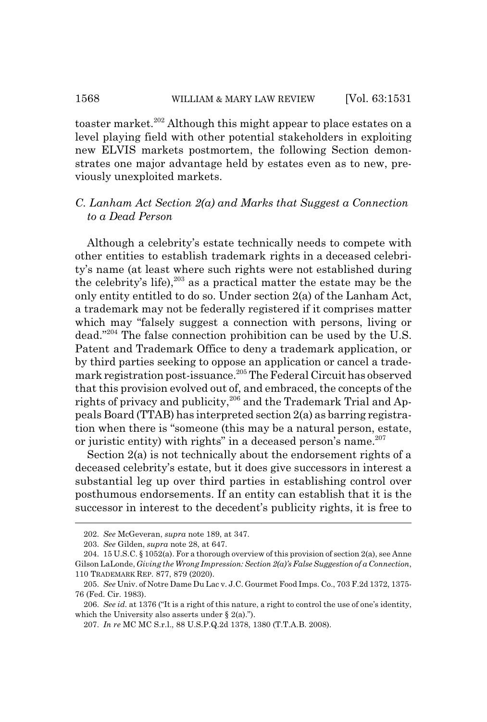toaster market.<sup>202</sup> Although this might appear to place estates on a level playing field with other potential stakeholders in exploiting new ELVIS markets postmortem, the following Section demonstrates one major advantage held by estates even as to new, previously unexploited markets.

## *C. Lanham Act Section 2(a) and Marks that Suggest a Connection to a Dead Person*

Although a celebrity's estate technically needs to compete with other entities to establish trademark rights in a deceased celebrity's name (at least where such rights were not established during the celebrity's life),<sup>203</sup> as a practical matter the estate may be the only entity entitled to do so. Under section 2(a) of the Lanham Act, a trademark may not be federally registered if it comprises matter which may "falsely suggest a connection with persons, living or dead."204 The false connection prohibition can be used by the U.S. Patent and Trademark Office to deny a trademark application, or by third parties seeking to oppose an application or cancel a trademark registration post-issuance.205 The Federal Circuit has observed that this provision evolved out of, and embraced, the concepts of the rights of privacy and publicity,  $206$  and the Trademark Trial and Appeals Board (TTAB) has interpreted section 2(a) as barring registration when there is "someone (this may be a natural person, estate, or juristic entity) with rights" in a deceased person's name. $207$ 

Section 2(a) is not technically about the endorsement rights of a deceased celebrity's estate, but it does give successors in interest a substantial leg up over third parties in establishing control over posthumous endorsements. If an entity can establish that it is the successor in interest to the decedent's publicity rights, it is free to

<sup>202.</sup> *See* McGeveran, *supra* note 189, at 347.

<sup>203.</sup> *See* Gilden, *supra* note 28, at 647.

<sup>204. 15</sup> U.S.C. § 1052(a). For a thorough overview of this provision of section 2(a), see Anne Gilson LaLonde, *Giving the Wrong Impression: Section 2(a)'s False Suggestion of a Connection*, 110 TRADEMARK REP. 877, 879 (2020).

<sup>205.</sup> *See* Univ. of Notre Dame Du Lac v. J.C. Gourmet Food Imps. Co., 703 F.2d 1372, 1375- 76 (Fed. Cir. 1983).

<sup>206.</sup> *See id.* at 1376 ("It is a right of this nature, a right to control the use of one's identity, which the University also asserts under  $\S$  2(a).").

<sup>207.</sup> *In re* MC MC S.r.l., 88 U.S.P.Q.2d 1378, 1380 (T.T.A.B. 2008).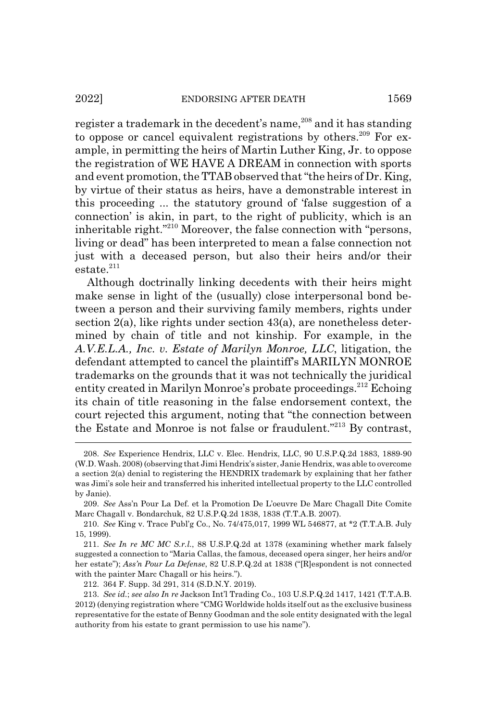register a trademark in the decedent's name,  $208$  and it has standing to oppose or cancel equivalent registrations by others.<sup>209</sup> For example, in permitting the heirs of Martin Luther King, Jr. to oppose the registration of WE HAVE A DREAM in connection with sports and event promotion, the TTAB observed that "the heirs of Dr. King, by virtue of their status as heirs, have a demonstrable interest in this proceeding ... the statutory ground of 'false suggestion of a connection' is akin, in part, to the right of publicity, which is an inheritable right."210 Moreover, the false connection with "persons, living or dead" has been interpreted to mean a false connection not just with a deceased person, but also their heirs and/or their  $estate.<sup>211</sup>$ 

Although doctrinally linking decedents with their heirs might make sense in light of the (usually) close interpersonal bond between a person and their surviving family members, rights under section  $2(a)$ , like rights under section  $43(a)$ , are nonetheless determined by chain of title and not kinship. For example, in the *A.V.E.L.A., Inc. v. Estate of Marilyn Monroe, LLC*, litigation, the defendant attempted to cancel the plaintiff's MARILYN MONROE trademarks on the grounds that it was not technically the juridical entity created in Marilyn Monroe's probate proceedings.<sup>212</sup> Echoing its chain of title reasoning in the false endorsement context, the court rejected this argument, noting that "the connection between the Estate and Monroe is not false or fraudulent."213 By contrast,

212. 364 F. Supp. 3d 291, 314 (S.D.N.Y. 2019).

<sup>208.</sup> *See* Experience Hendrix, LLC v. Elec. Hendrix, LLC, 90 U.S.P.Q.2d 1883, 1889-90 (W.D. Wash. 2008) (observing that Jimi Hendrix's sister, Janie Hendrix, was able to overcome a section 2(a) denial to registering the HENDRIX trademark by explaining that her father was Jimi's sole heir and transferred his inherited intellectual property to the LLC controlled by Janie).

<sup>209.</sup> *See* Ass'n Pour La Def. et la Promotion De L'oeuvre De Marc Chagall Dite Comite Marc Chagall v. Bondarchuk, 82 U.S.P.Q.2d 1838, 1838 (T.T.A.B. 2007).

<sup>210.</sup> *See* King v. Trace Publ'g Co., No. 74/475,017, 1999 WL 546877, at \*2 (T.T.A.B. July 15, 1999).

<sup>211.</sup> *See In re MC MC S.r.l.*, 88 U.S.P.Q.2d at 1378 (examining whether mark falsely suggested a connection to "Maria Callas, the famous, deceased opera singer, her heirs and/or her estate"); *Ass'n Pour La Defense*, 82 U.S.P.Q.2d at 1838 ("[R]espondent is not connected with the painter Marc Chagall or his heirs.").

<sup>213.</sup> *See id.*; *see also In re* Jackson Int'l Trading Co., 103 U.S.P.Q.2d 1417, 1421 (T.T.A.B. 2012) (denying registration where "CMG Worldwide holds itself out as the exclusive business representative for the estate of Benny Goodman and the sole entity designated with the legal authority from his estate to grant permission to use his name").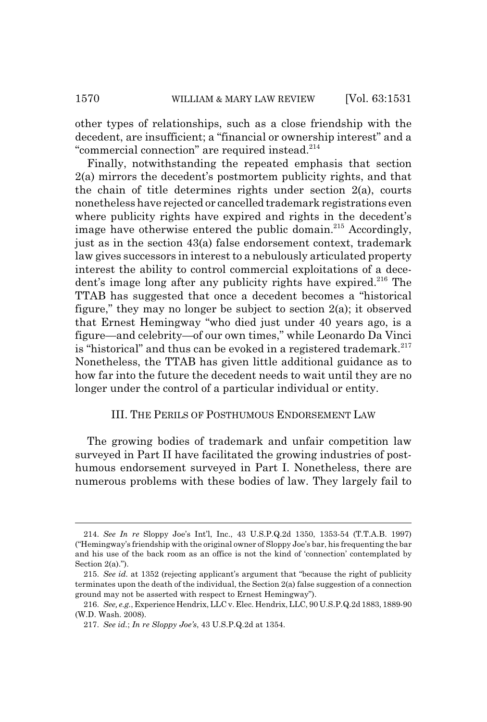other types of relationships, such as a close friendship with the decedent, are insufficient; a "financial or ownership interest" and a "commercial connection" are required instead.<sup>214</sup>

Finally, notwithstanding the repeated emphasis that section 2(a) mirrors the decedent's postmortem publicity rights, and that the chain of title determines rights under section 2(a), courts nonetheless have rejected or cancelled trademark registrations even where publicity rights have expired and rights in the decedent's image have otherwise entered the public domain.<sup>215</sup> Accordingly, just as in the section 43(a) false endorsement context, trademark law gives successors in interest to a nebulously articulated property interest the ability to control commercial exploitations of a decedent's image long after any publicity rights have expired.<sup>216</sup> The TTAB has suggested that once a decedent becomes a "historical figure," they may no longer be subject to section 2(a); it observed that Ernest Hemingway "who died just under 40 years ago, is a figure—and celebrity—of our own times," while Leonardo Da Vinci is "historical" and thus can be evoked in a registered trademark.<sup>217</sup> Nonetheless, the TTAB has given little additional guidance as to how far into the future the decedent needs to wait until they are no longer under the control of a particular individual or entity.

## III. THE PERILS OF POSTHUMOUS ENDORSEMENT LAW

The growing bodies of trademark and unfair competition law surveyed in Part II have facilitated the growing industries of posthumous endorsement surveyed in Part I. Nonetheless, there are numerous problems with these bodies of law. They largely fail to

<sup>214.</sup> *See In re* Sloppy Joe's Int'l, Inc., 43 U.S.P.Q.2d 1350, 1353-54 (T.T.A.B. 1997) ("Hemingway's friendship with the original owner of Sloppy Joe's bar, his frequenting the bar and his use of the back room as an office is not the kind of 'connection' contemplated by Section 2(a).").

<sup>215.</sup> *See id.* at 1352 (rejecting applicant's argument that "because the right of publicity terminates upon the death of the individual, the Section  $2(a)$  false suggestion of a connection ground may not be asserted with respect to Ernest Hemingway").

<sup>216.</sup> *See, e.g.*, Experience Hendrix, LLC v. Elec. Hendrix, LLC, 90 U.S.P.Q.2d 1883, 1889-90 (W.D. Wash. 2008).

<sup>217.</sup> *See id.*; *In re Sloppy Joe's*, 43 U.S.P.Q.2d at 1354.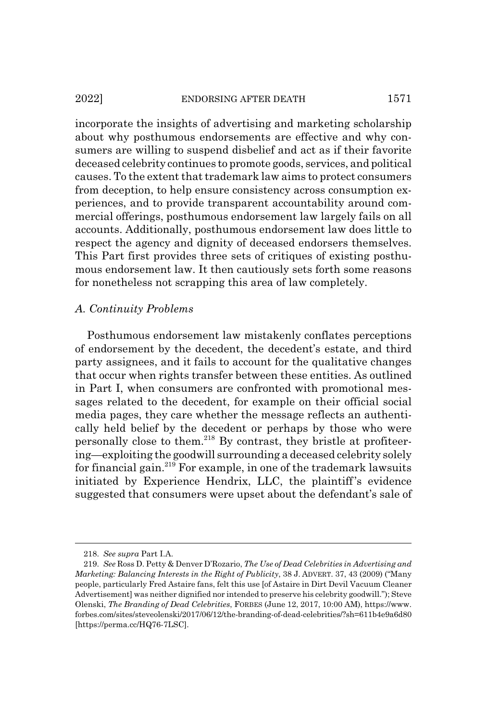#### 2022] ENDORSING AFTER DEATH 1571

incorporate the insights of advertising and marketing scholarship about why posthumous endorsements are effective and why consumers are willing to suspend disbelief and act as if their favorite deceased celebrity continues to promote goods, services, and political causes. To the extent that trademark law aims to protect consumers from deception, to help ensure consistency across consumption experiences, and to provide transparent accountability around commercial offerings, posthumous endorsement law largely fails on all accounts. Additionally, posthumous endorsement law does little to respect the agency and dignity of deceased endorsers themselves. This Part first provides three sets of critiques of existing posthumous endorsement law. It then cautiously sets forth some reasons for nonetheless not scrapping this area of law completely.

## *A. Continuity Problems*

Posthumous endorsement law mistakenly conflates perceptions of endorsement by the decedent, the decedent's estate, and third party assignees, and it fails to account for the qualitative changes that occur when rights transfer between these entities. As outlined in Part I, when consumers are confronted with promotional messages related to the decedent, for example on their official social media pages, they care whether the message reflects an authentically held belief by the decedent or perhaps by those who were personally close to them.218 By contrast, they bristle at profiteering—exploiting the goodwill surrounding a deceased celebrity solely for financial gain.<sup>219</sup> For example, in one of the trademark lawsuits initiated by Experience Hendrix, LLC, the plaintiff's evidence suggested that consumers were upset about the defendant's sale of

<sup>218.</sup> *See supra* Part I.A.

<sup>219.</sup> *See* Ross D. Petty & Denver D'Rozario, *The Use of Dead Celebrities in Advertising and Marketing: Balancing Interests in the Right of Publicity*, 38 J. ADVERT. 37, 43 (2009) ("Many people, particularly Fred Astaire fans, felt this use [of Astaire in Dirt Devil Vacuum Cleaner Advertisement] was neither dignified nor intended to preserve his celebrity goodwill."); Steve Olenski, *The Branding of Dead Celebrities*, FORBES (June 12, 2017, 10:00 AM), https://www. forbes.com/sites/steveolenski/2017/06/12/the-branding-of-dead-celebrities/?sh=611b4e9a6d80 [https://perma.cc/HQ76-7LSC].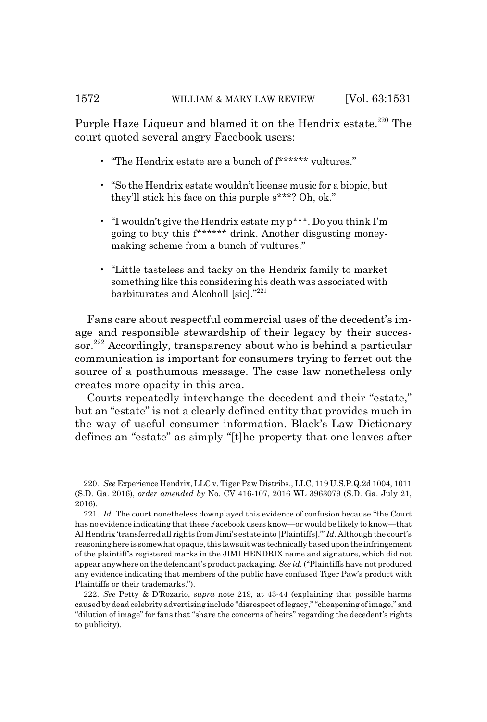Purple Haze Liqueur and blamed it on the Hendrix estate.<sup>220</sup> The court quoted several angry Facebook users:

- "The Hendrix estate are a bunch of f\*\*\*\*\*\* vultures."
- "So the Hendrix estate wouldn't license music for a biopic, but they'll stick his face on this purple s\*\*\*? Oh, ok."
- "I wouldn't give the Hendrix estate my p\*\*\*. Do you think I'm going to buy this f\*\*\*\*\*\* drink. Another disgusting moneymaking scheme from a bunch of vultures."
- "Little tasteless and tacky on the Hendrix family to market something like this considering his death was associated with barbiturates and Alcoholl [sic]."<sup>221</sup>

Fans care about respectful commercial uses of the decedent's image and responsible stewardship of their legacy by their successor.<sup>222</sup> Accordingly, transparency about who is behind a particular communication is important for consumers trying to ferret out the source of a posthumous message. The case law nonetheless only creates more opacity in this area.

Courts repeatedly interchange the decedent and their "estate," but an "estate" is not a clearly defined entity that provides much in the way of useful consumer information. Black's Law Dictionary defines an "estate" as simply "[t]he property that one leaves after

<sup>220.</sup> *See* Experience Hendrix, LLC v. Tiger Paw Distribs., LLC, 119 U.S.P.Q.2d 1004, 1011 (S.D. Ga. 2016), *order amended by* No. CV 416-107, 2016 WL 3963079 (S.D. Ga. July 21, 2016).

<sup>221.</sup> *Id.* The court nonetheless downplayed this evidence of confusion because "the Court has no evidence indicating that these Facebook users know—or would be likely to know—that Al Hendrix 'transferred all rights from Jimi's estate into [Plaintiffs].'" *Id.* Although the court's reasoning here is somewhat opaque, this lawsuit was technically based upon the infringement of the plaintiff's registered marks in the JIMI HENDRIX name and signature, which did not appear anywhere on the defendant's product packaging. *See id.* ("Plaintiffs have not produced any evidence indicating that members of the public have confused Tiger Paw's product with Plaintiffs or their trademarks.").

<sup>222.</sup> *See* Petty & D'Rozario, *supra* note 219, at 43-44 (explaining that possible harms caused by dead celebrity advertising include "disrespect of legacy," "cheapening of image," and "dilution of image" for fans that "share the concerns of heirs" regarding the decedent's rights to publicity).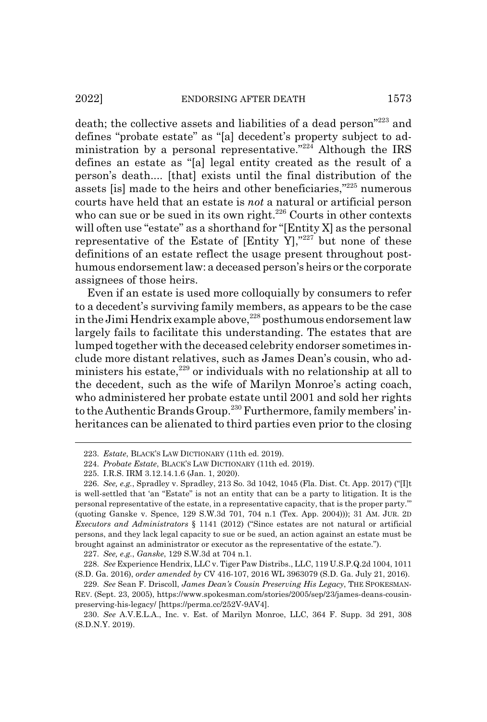death; the collective assets and liabilities of a dead person"223 and defines "probate estate" as "[a] decedent's property subject to administration by a personal representative." $224$  Although the IRS defines an estate as "[a] legal entity created as the result of a person's death.... [that] exists until the final distribution of the assets [is] made to the heirs and other beneficiaries,"225 numerous courts have held that an estate is *not* a natural or artificial person who can sue or be sued in its own right.<sup>226</sup> Courts in other contexts will often use "estate" as a shorthand for "[Entity X] as the personal representative of the Estate of  $[Entity Y]$ ,"<sup>227</sup> but none of these definitions of an estate reflect the usage present throughout posthumous endorsement law: a deceased person's heirs or the corporate assignees of those heirs.

Even if an estate is used more colloquially by consumers to refer to a decedent's surviving family members, as appears to be the case in the Jimi Hendrix example above, $228$  posthumous endorsement law largely fails to facilitate this understanding. The estates that are lumped together with the deceased celebrity endorser sometimes include more distant relatives, such as James Dean's cousin, who administers his estate, $229$  or individuals with no relationship at all to the decedent, such as the wife of Marilyn Monroe's acting coach, who administered her probate estate until 2001 and sold her rights to the Authentic Brands Group.<sup>230</sup> Furthermore, family members' inheritances can be alienated to third parties even prior to the closing

227. *See, e.g.*, *Ganske*, 129 S.W.3d at 704 n.1.

<sup>223.</sup> *Estate*, BLACK'S LAW DICTIONARY (11th ed. 2019).

<sup>224.</sup> *Probate Estate*, BLACK'S LAW DICTIONARY (11th ed. 2019).

<sup>225.</sup> I.R.S. IRM 3.12.14.1.6 (Jan. 1, 2020).

<sup>226.</sup> *See, e.g.*, Spradley v. Spradley, 213 So. 3d 1042, 1045 (Fla. Dist. Ct. App. 2017) ("[I]t is well-settled that 'an "Estate" is not an entity that can be a party to litigation. It is the personal representative of the estate, in a representative capacity, that is the proper party.'" (quoting Ganske v. Spence, 129 S.W.3d 701, 704 n.1 (Tex. App. 2004))); 31 AM. JUR. 2D *Executors and Administrators* § 1141 (2012) ("Since estates are not natural or artificial persons, and they lack legal capacity to sue or be sued, an action against an estate must be brought against an administrator or executor as the representative of the estate.").

<sup>228.</sup> *See* Experience Hendrix, LLC v. Tiger Paw Distribs., LLC, 119 U.S.P.Q.2d 1004, 1011 (S.D. Ga. 2016), *order amended by* CV 416-107, 2016 WL 3963079 (S.D. Ga. July 21, 2016).

<sup>229.</sup> *See* Sean F. Driscoll, *James Dean's Cousin Preserving His Legacy*, THE SPOKESMAN-REV. (Sept. 23, 2005), https://www.spokesman.com/stories/2005/sep/23/james-deans-cousinpreserving-his-legacy/ [https://perma.cc/252V-9AV4].

<sup>230.</sup> *See* A.V.E.L.A., Inc. v. Est. of Marilyn Monroe, LLC, 364 F. Supp. 3d 291, 308 (S.D.N.Y. 2019).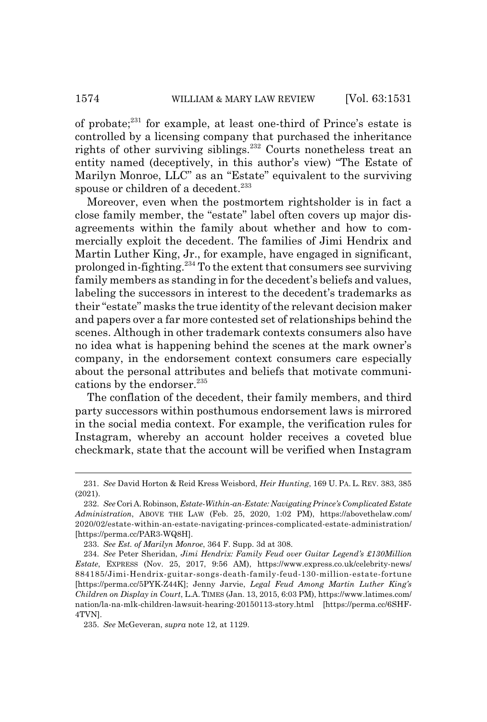of probate;231 for example, at least one-third of Prince's estate is controlled by a licensing company that purchased the inheritance rights of other surviving siblings.<sup>232</sup> Courts nonetheless treat an entity named (deceptively, in this author's view) "The Estate of Marilyn Monroe, LLC" as an "Estate" equivalent to the surviving spouse or children of a decedent.<sup>233</sup>

Moreover, even when the postmortem rightsholder is in fact a close family member, the "estate" label often covers up major disagreements within the family about whether and how to commercially exploit the decedent. The families of Jimi Hendrix and Martin Luther King, Jr., for example, have engaged in significant, prolonged in-fighting.234 To the extent that consumers see surviving family members as standing in for the decedent's beliefs and values, labeling the successors in interest to the decedent's trademarks as their "estate" masks the true identity of the relevant decision maker and papers over a far more contested set of relationships behind the scenes. Although in other trademark contexts consumers also have no idea what is happening behind the scenes at the mark owner's company, in the endorsement context consumers care especially about the personal attributes and beliefs that motivate communications by the endorser.<sup>235</sup>

The conflation of the decedent, their family members, and third party successors within posthumous endorsement laws is mirrored in the social media context. For example, the verification rules for Instagram, whereby an account holder receives a coveted blue checkmark, state that the account will be verified when Instagram

<sup>231.</sup> *See* David Horton & Reid Kress Weisbord, *Heir Hunting*, 169 U. PA. L. REV. 383, 385 (2021).

<sup>232.</sup> *See* Cori A. Robinson, *Estate-Within-an-Estate: Navigating Prince's Complicated Estate Administration*, ABOVE THE LAW (Feb. 25, 2020, 1:02 PM), https://abovethelaw.com/ 2020/02/estate-within-an-estate-navigating-princes-complicated-estate-administration/ [https://perma.cc/PAR3-WQ8H].

<sup>233.</sup> *See Est. of Marilyn Monroe*, 364 F. Supp. 3d at 308.

<sup>234.</sup> *See* Peter Sheridan, *Jimi Hendrix: Family Feud over Guitar Legend's £130Million Estate*, EXPRESS (Nov. 25, 2017, 9:56 AM), https://www.express.co.uk/celebrity-news/ 884185/Jimi-Hendrix-guitar-songs-death-family-feud-130-million-estate-fortune [https://perma.cc/5PYK-Z44K]; Jenny Jarvie, *Legal Feud Among Martin Luther King's Children on Display in Court*, L.A.TIMES (Jan. 13, 2015, 6:03 PM), https://www.latimes.com/ nation/la-na-mlk-children-lawsuit-hearing-20150113-story.html [https://perma.cc/6SHF-4TVN].

<sup>235.</sup> *See* McGeveran, *supra* note 12, at 1129.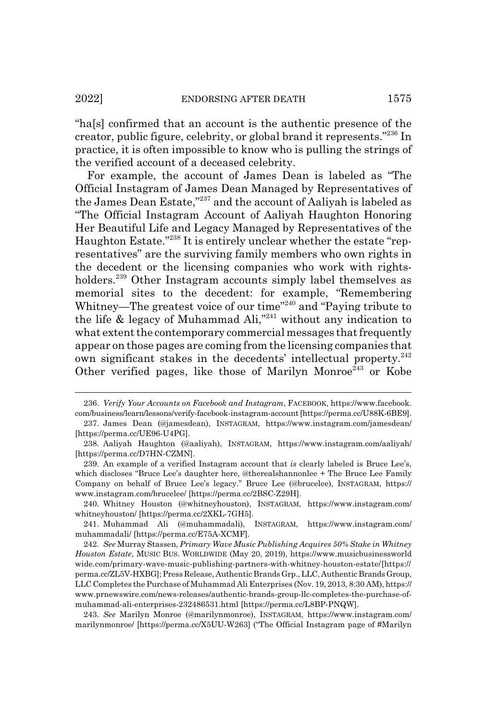"ha[s] confirmed that an account is the authentic presence of the creator, public figure, celebrity, or global brand it represents."236 In practice, it is often impossible to know who is pulling the strings of the verified account of a deceased celebrity.

For example, the account of James Dean is labeled as "The Official Instagram of James Dean Managed by Representatives of the James Dean Estate,"237 and the account of Aaliyah is labeled as "The Official Instagram Account of Aaliyah Haughton Honoring Her Beautiful Life and Legacy Managed by Representatives of the Haughton Estate."238 It is entirely unclear whether the estate "representatives" are the surviving family members who own rights in the decedent or the licensing companies who work with rightsholders.<sup>239</sup> Other Instagram accounts simply label themselves as memorial sites to the decedent: for example, "Remembering Whitney—The greatest voice of our time"240 and "Paying tribute to the life  $\&$  legacy of Muhammad Ali,"<sup>241</sup> without any indication to what extent the contemporary commercial messages that frequently appear on those pages are coming from the licensing companies that own significant stakes in the decedents' intellectual property.<sup>242</sup> Other verified pages, like those of Marilyn Monroe<sup>243</sup> or Kobe

240. Whitney Houston (@whitneyhouston), INSTAGRAM, https://www.instagram.com/ whitneyhouston/ [https://perma.cc/2XKL-7GH5].

241. Muhammad Ali (@muhammadali), INSTAGRAM, https://www.instagram.com/ muhammadali/ [https://perma.cc/E75A-XCMF].

<sup>236.</sup> *Verify Your Accounts on Facebook and Instagram*, FACEBOOK, https://www.facebook. com/business/learn/lessons/verify-facebook-instagram-account [https://perma.cc/U88K-6BE9].

<sup>237.</sup> James Dean (@jamesdean), INSTAGRAM, https://www.instagram.com/jamesdean/ [https://perma.cc/UE96-U4PG].

<sup>238.</sup> Aaliyah Haughton (@aaliyah), INSTAGRAM, https://www.instagram.com/aaliyah/ [https://perma.cc/D7HN-CZMN].

<sup>239.</sup> An example of a verified Instagram account that *is* clearly labeled is Bruce Lee's, which discloses "Bruce Lee's daughter here, @therealshannonlee + The Bruce Lee Family Company on behalf of Bruce Lee's legacy." Bruce Lee (@brucelee), INSTAGRAM, https:// www.instagram.com/brucelee/ [https://perma.cc/2BSC-Z29H].

<sup>242.</sup> *See* Murray Stassen, *Primary Wave Music Publishing Acquires 50% Stake in Whitney Houston Estate*, MUSIC BUS. WORLDWIDE (May 20, 2019), https://www.musicbusinessworld wide.com/primary-wave-music-publishing-partners-with-whitney-houston-estate/ [https:// perma.cc/ZL5V-HXBG]; Press Release, Authentic Brands Grp., LLC, Authentic Brands Group, LLC Completes the Purchase of Muhammad Ali Enterprises (Nov. 19, 2013, 8:30 AM), https:// www.prnewswire.com/news-releases/authentic-brands-group-llc-completes-the-purchase-ofmuhammad-ali-enterprises-232486531.html [https://perma.cc/L8BP-PNQW].

<sup>243.</sup> *See* Marilyn Monroe (@marilynmonroe), INSTAGRAM, https://www.instagram.com/ marilynmonroe/ [https://perma.cc/X5UU-W263] ("The Official Instagram page of #Marilyn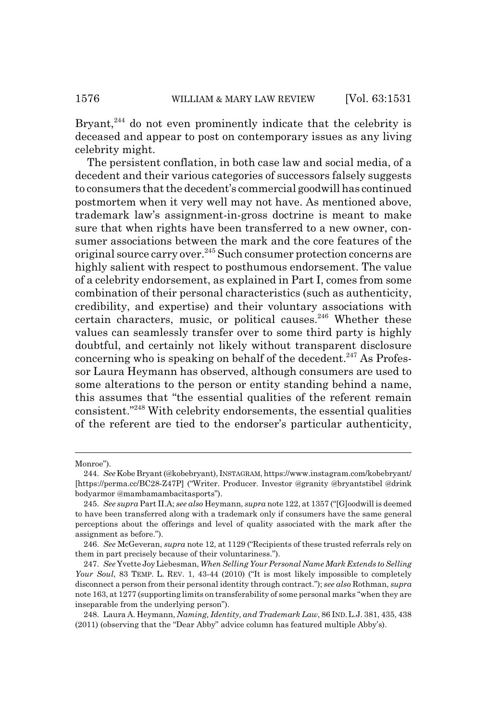Bryant, $244$  do not even prominently indicate that the celebrity is deceased and appear to post on contemporary issues as any living celebrity might.

The persistent conflation, in both case law and social media, of a decedent and their various categories of successors falsely suggests to consumers that the decedent's commercial goodwill has continued postmortem when it very well may not have. As mentioned above, trademark law's assignment-in-gross doctrine is meant to make sure that when rights have been transferred to a new owner, consumer associations between the mark and the core features of the original source carry over.<sup>245</sup> Such consumer protection concerns are highly salient with respect to posthumous endorsement. The value of a celebrity endorsement, as explained in Part I, comes from some combination of their personal characteristics (such as authenticity, credibility, and expertise) and their voluntary associations with certain characters, music, or political causes.<sup>246</sup> Whether these values can seamlessly transfer over to some third party is highly doubtful, and certainly not likely without transparent disclosure concerning who is speaking on behalf of the decedent. $247$  As Professor Laura Heymann has observed, although consumers are used to some alterations to the person or entity standing behind a name, this assumes that "the essential qualities of the referent remain consistent."248 With celebrity endorsements, the essential qualities of the referent are tied to the endorser's particular authenticity,

Monroe").

<sup>244.</sup> *See* Kobe Bryant (@kobebryant), INSTAGRAM, https://www.instagram.com/kobebryant/ [https://perma.cc/BC28-Z47P] ("Writer. Producer. Investor @granity @bryantstibel @drink bodyarmor @mambamambacitasports").

<sup>245.</sup> *See supra* Part II.A; *see also* Heymann, *supra* note 122, at 1357 ("[G]oodwill is deemed to have been transferred along with a trademark only if consumers have the same general perceptions about the offerings and level of quality associated with the mark after the assignment as before.").

<sup>246.</sup> *See* McGeveran, *supra* note 12, at 1129 ("Recipients of these trusted referrals rely on them in part precisely because of their voluntariness.").

<sup>247.</sup> *See* Yvette Joy Liebesman, *When Selling Your Personal Name Mark Extends to Selling Your Soul*, 83 TEMP. L. REV. 1, 43-44 (2010) ("It is most likely impossible to completely disconnect a person from their personal identity through contract."); *see also* Rothman, *supra* note 163, at 1277 (supporting limits on transferability of some personal marks "when they are inseparable from the underlying person").

<sup>248.</sup> Laura A. Heymann, *Naming, Identity, and Trademark Law*, 86 IND.L.J. 381, 435, 438 (2011) (observing that the "Dear Abby" advice column has featured multiple Abby's).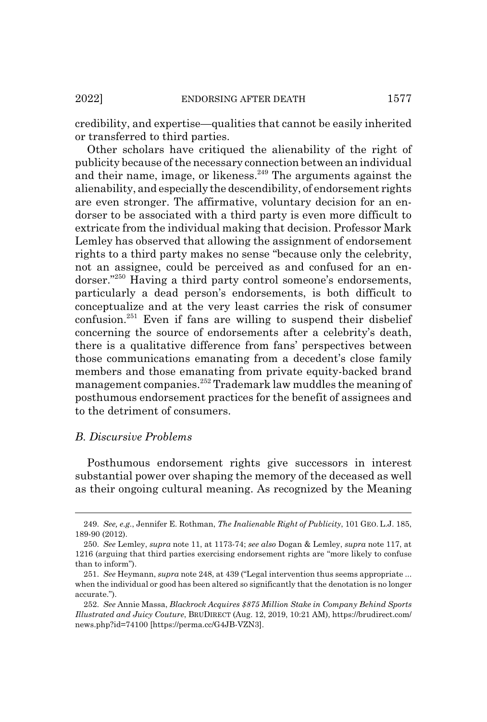credibility, and expertise—qualities that cannot be easily inherited or transferred to third parties.

Other scholars have critiqued the alienability of the right of publicity because of the necessary connection between an individual and their name, image, or likeness.<sup>249</sup> The arguments against the alienability, and especially the descendibility, of endorsement rights are even stronger. The affirmative, voluntary decision for an endorser to be associated with a third party is even more difficult to extricate from the individual making that decision. Professor Mark Lemley has observed that allowing the assignment of endorsement rights to a third party makes no sense "because only the celebrity, not an assignee, could be perceived as and confused for an endorser."250 Having a third party control someone's endorsements, particularly a dead person's endorsements, is both difficult to conceptualize and at the very least carries the risk of consumer confusion.251 Even if fans are willing to suspend their disbelief concerning the source of endorsements after a celebrity's death, there is a qualitative difference from fans' perspectives between those communications emanating from a decedent's close family members and those emanating from private equity-backed brand management companies.252 Trademark law muddles the meaning of posthumous endorsement practices for the benefit of assignees and to the detriment of consumers.

## *B. Discursive Problems*

Posthumous endorsement rights give successors in interest substantial power over shaping the memory of the deceased as well as their ongoing cultural meaning. As recognized by the Meaning

<sup>249.</sup> *See, e.g.*, Jennifer E. Rothman, *The Inalienable Right of Publicity*, 101 GEO. L.J. 185, 189-90 (2012).

<sup>250.</sup> *See* Lemley, *supra* note 11, at 1173-74; *see also* Dogan & Lemley, *supra* note 117, at 1216 (arguing that third parties exercising endorsement rights are "more likely to confuse than to inform").

<sup>251.</sup> *See* Heymann, *supra* note 248, at 439 ("Legal intervention thus seems appropriate ... when the individual or good has been altered so significantly that the denotation is no longer accurate.").

<sup>252.</sup> *See* Annie Massa, *Blackrock Acquires \$875 Million Stake in Company Behind Sports Illustrated and Juicy Couture*, BRUDIRECT (Aug. 12, 2019, 10:21 AM), https://brudirect.com/ news.php?id=74100 [https://perma.cc/G4JB-VZN3].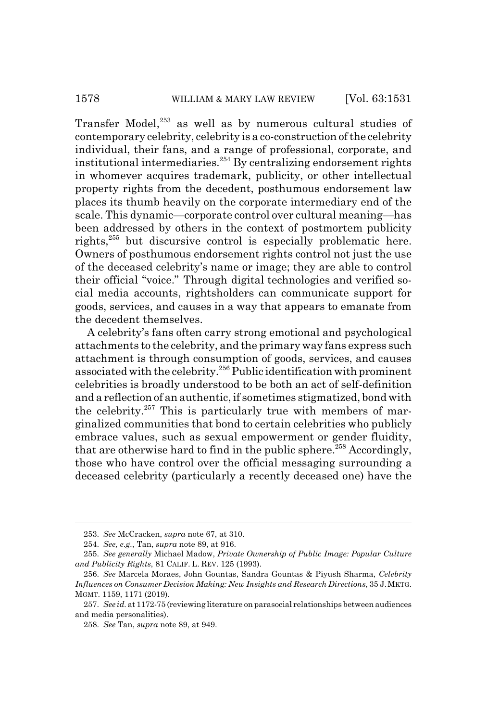Transfer Model, $253$  as well as by numerous cultural studies of contemporary celebrity, celebrity is a co-construction of the celebrity individual, their fans, and a range of professional, corporate, and institutional intermediaries.<sup>254</sup> By centralizing endorsement rights in whomever acquires trademark, publicity, or other intellectual property rights from the decedent, posthumous endorsement law places its thumb heavily on the corporate intermediary end of the scale. This dynamic—corporate control over cultural meaning—has been addressed by others in the context of postmortem publicity rights,<sup>255</sup> but discursive control is especially problematic here. Owners of posthumous endorsement rights control not just the use of the deceased celebrity's name or image; they are able to control their official "voice." Through digital technologies and verified social media accounts, rightsholders can communicate support for goods, services, and causes in a way that appears to emanate from the decedent themselves.

A celebrity's fans often carry strong emotional and psychological attachments to the celebrity, and the primary way fans express such attachment is through consumption of goods, services, and causes associated with the celebrity.256 Public identification with prominent celebrities is broadly understood to be both an act of self-definition and a reflection of an authentic, if sometimes stigmatized, bond with the celebrity.<sup>257</sup> This is particularly true with members of marginalized communities that bond to certain celebrities who publicly embrace values, such as sexual empowerment or gender fluidity, that are otherwise hard to find in the public sphere.<sup>258</sup> Accordingly, those who have control over the official messaging surrounding a deceased celebrity (particularly a recently deceased one) have the

<sup>253.</sup> *See* McCracken, *supra* note 67, at 310.

<sup>254.</sup> *See, e.g.*, Tan, *supra* note 89, at 916.

<sup>255.</sup> *See generally* Michael Madow, *Private Ownership of Public Image: Popular Culture and Publicity Rights*, 81 CALIF. L. REV. 125 (1993).

<sup>256.</sup> *See* Marcela Moraes, John Gountas, Sandra Gountas & Piyush Sharma, *Celebrity Influences on Consumer Decision Making: New Insights and Research Directions*, 35 J.MKTG. MGMT. 1159, 1171 (2019).

<sup>257.</sup> *See id.* at 1172-75 (reviewing literature on parasocial relationships between audiences and media personalities).

<sup>258.</sup> *See* Tan, *supra* note 89, at 949.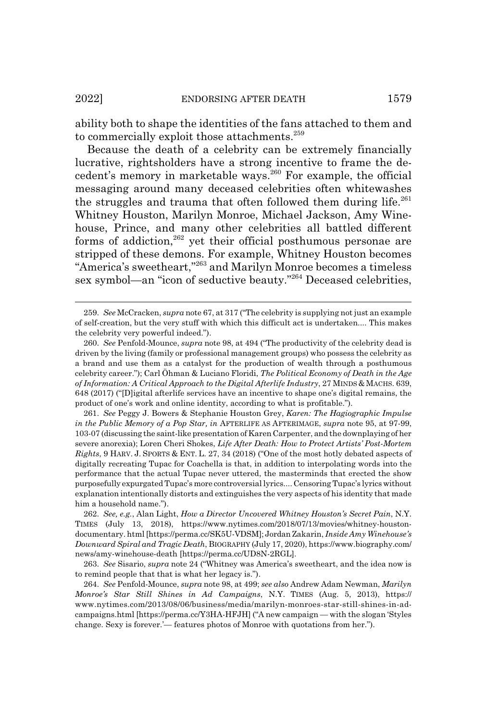ability both to shape the identities of the fans attached to them and to commercially exploit those attachments.<sup>259</sup>

Because the death of a celebrity can be extremely financially lucrative, rightsholders have a strong incentive to frame the decedent's memory in marketable ways.<sup>260</sup> For example, the official messaging around many deceased celebrities often whitewashes the struggles and trauma that often followed them during life. $^{261}$ Whitney Houston, Marilyn Monroe, Michael Jackson, Amy Winehouse, Prince, and many other celebrities all battled different forms of addiction, $262$  yet their official posthumous personae are stripped of these demons. For example, Whitney Houston becomes "America's sweetheart,"263 and Marilyn Monroe becomes a timeless sex symbol—an "icon of seductive beauty."264 Deceased celebrities,

<sup>259.</sup> *See* McCracken, *supra* note 67, at 317 ("The celebrity is supplying not just an example of self-creation, but the very stuff with which this difficult act is undertaken.... This makes the celebrity very powerful indeed.").

<sup>260.</sup> *See* Penfold-Mounce, *supra* note 98, at 494 ("The productivity of the celebrity dead is driven by the living (family or professional management groups) who possess the celebrity as a brand and use them as a catalyst for the production of wealth through a posthumous celebrity career."); Carl Öhman & Luciano Floridi, *The Political Economy of Death in the Age of Information: A Critical Approach to the Digital Afterlife Industry*, 27 MINDS & MACHS. 639, 648 (2017) ("[D]igital afterlife services have an incentive to shape one's digital remains, the product of one's work and online identity, according to what is profitable.").

<sup>261.</sup> *See* Peggy J. Bowers & Stephanie Houston Grey, *Karen: The Hagiographic Impulse in the Public Memory of a Pop Star, in* AFTERLIFE AS AFTERIMAGE, *supra* note 95, at 97-99, 103-07 (discussing the saint-like presentation of Karen Carpenter, and the downplaying of her severe anorexia); Loren Cheri Shokes, *Life After Death: How to Protect Artists' Post-Mortem Rights*, 9 HARV. J. SPORTS & ENT. L. 27, 34 (2018) ("One of the most hotly debated aspects of digitally recreating Tupac for Coachella is that, in addition to interpolating words into the performance that the actual Tupac never uttered, the masterminds that erected the show purposefully expurgated Tupac's more controversial lyrics.... Censoring Tupac's lyrics without explanation intentionally distorts and extinguishes the very aspects of his identity that made him a household name.").

<sup>262.</sup> *See, e.g.*, Alan Light, *How a Director Uncovered Whitney Houston's Secret Pain*, N.Y. TIMES (July 13, 2018), https://www.nytimes.com/2018/07/13/movies/whitney-houstondocumentary. html [https://perma.cc/SK5U-VDSM]; Jordan Zakarin, *Inside Amy Winehouse's Downward Spiral and Tragic Death*, BIOGRAPHY (July 17, 2020), https://www.biography.com/ news/amy-winehouse-death [https://perma.cc/UD8N-2RGL].

<sup>263.</sup> *See* Sisario, *supra* note 24 ("Whitney was America's sweetheart, and the idea now is to remind people that that is what her legacy is.").

<sup>264.</sup> *See* Penfold-Mounce, *supra* note 98, at 499; *see also* Andrew Adam Newman, *Marilyn Monroe's Star Still Shines in Ad Campaigns*, N.Y. TIMES (Aug. 5, 2013), https:// www.nytimes.com/2013/08/06/business/media/marilyn-monroes-star-still-shines-in-adcampaigns.html [https://perma.cc/Y3HA-HFJH] ("A new campaign — with the slogan 'Styles change. Sexy is forever.'— features photos of Monroe with quotations from her.").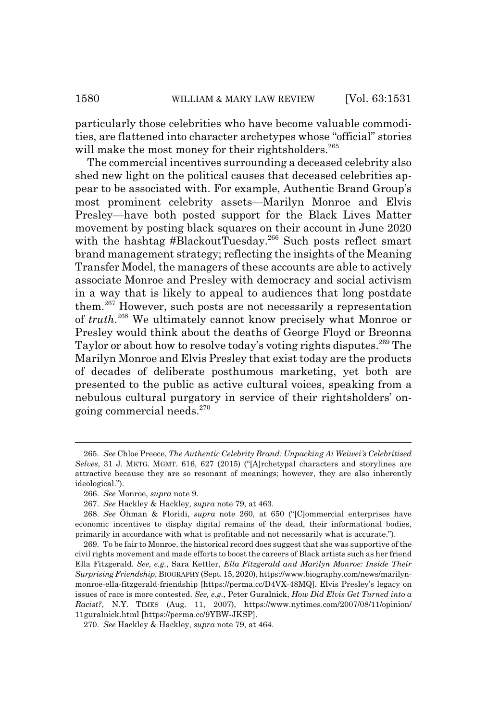particularly those celebrities who have become valuable commodities, are flattened into character archetypes whose "official" stories will make the most money for their rightsholders.<sup>265</sup>

The commercial incentives surrounding a deceased celebrity also shed new light on the political causes that deceased celebrities appear to be associated with. For example, Authentic Brand Group's most prominent celebrity assets—Marilyn Monroe and Elvis Presley—have both posted support for the Black Lives Matter movement by posting black squares on their account in June 2020 with the hashtag #BlackoutTuesday.<sup>266</sup> Such posts reflect smart brand management strategy; reflecting the insights of the Meaning Transfer Model, the managers of these accounts are able to actively associate Monroe and Presley with democracy and social activism in a way that is likely to appeal to audiences that long postdate them.267 However, such posts are not necessarily a representation of *truth*. 268 We ultimately cannot know precisely what Monroe or Presley would think about the deaths of George Floyd or Breonna Taylor or about how to resolve today's voting rights disputes.<sup>269</sup> The Marilyn Monroe and Elvis Presley that exist today are the products of decades of deliberate posthumous marketing, yet both are presented to the public as active cultural voices, speaking from a nebulous cultural purgatory in service of their rightsholders' ongoing commercial needs.<sup>270</sup>

<sup>265.</sup> *See* Chloe Preece, *The Authentic Celebrity Brand: Unpacking Ai Weiwei's Celebritised Selves*, 31 J. MKTG. MGMT. 616, 627 (2015) ("[A]rchetypal characters and storylines are attractive because they are so resonant of meanings; however, they are also inherently ideological.").

<sup>266.</sup> *See* Monroe, *supra* note 9.

<sup>267.</sup> *See* Hackley & Hackley, *supra* note 79, at 463.

<sup>268.</sup> *See* Öhman & Floridi, *supra* note 260, at 650 ("[C]ommercial enterprises have economic incentives to display digital remains of the dead, their informational bodies, primarily in accordance with what is profitable and not necessarily what is accurate.").

<sup>269.</sup> To be fair to Monroe, the historical record does suggest that she was supportive of the civil rights movement and made efforts to boost the careers of Black artists such as her friend Ella Fitzgerald. *See, e.g.*, Sara Kettler, *Ella Fitzgerald and Marilyn Monroe: Inside Their Surprising Friendship*, BIOGRAPHY (Sept. 15, 2020), https://www.biography.com/news/marilynmonroe-ella-fitzgerald-friendship [https://perma.cc/D4VX-48MQ]. Elvis Presley's legacy on issues of race is more contested. *See, e.g.*, Peter Guralnick, *How Did Elvis Get Turned into a Racist?*, N.Y. TIMES (Aug. 11, 2007), https://www.nytimes.com/2007/08/11/opinion/ 11guralnick.html [https://perma.cc/9YBW-JKSP].

<sup>270.</sup> *See* Hackley & Hackley, *supra* note 79, at 464.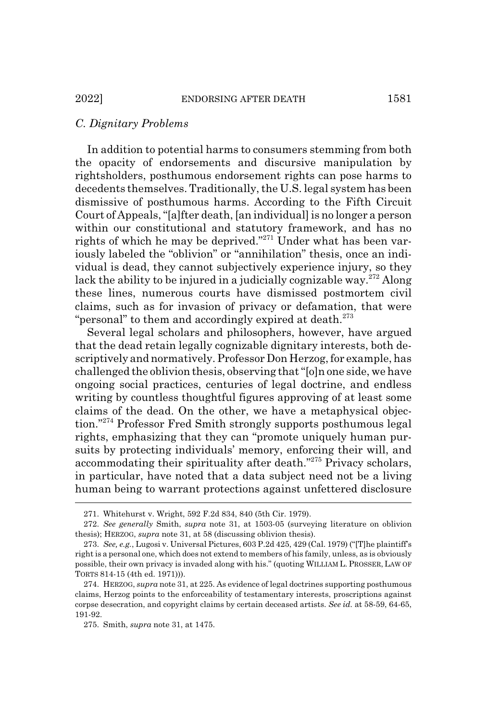#### *C. Dignitary Problems*

In addition to potential harms to consumers stemming from both the opacity of endorsements and discursive manipulation by rightsholders, posthumous endorsement rights can pose harms to decedents themselves. Traditionally, the U.S. legal system has been dismissive of posthumous harms. According to the Fifth Circuit Court of Appeals, "[a]fter death, [an individual] is no longer a person within our constitutional and statutory framework, and has no rights of which he may be deprived."271 Under what has been variously labeled the "oblivion" or "annihilation" thesis, once an individual is dead, they cannot subjectively experience injury, so they lack the ability to be injured in a judicially cognizable way.<sup>272</sup> Along these lines, numerous courts have dismissed postmortem civil claims, such as for invasion of privacy or defamation, that were "personal" to them and accordingly expired at death. $273$ 

Several legal scholars and philosophers, however, have argued that the dead retain legally cognizable dignitary interests, both descriptively and normatively. Professor Don Herzog, for example, has challenged the oblivion thesis, observing that "[o]n one side, we have ongoing social practices, centuries of legal doctrine, and endless writing by countless thoughtful figures approving of at least some claims of the dead. On the other, we have a metaphysical objection."274 Professor Fred Smith strongly supports posthumous legal rights, emphasizing that they can "promote uniquely human pursuits by protecting individuals' memory, enforcing their will, and accommodating their spirituality after death."275 Privacy scholars, in particular, have noted that a data subject need not be a living human being to warrant protections against unfettered disclosure

<sup>271.</sup> Whitehurst v. Wright, 592 F.2d 834, 840 (5th Cir. 1979).

<sup>272.</sup> *See generally* Smith, *supra* note 31, at 1503-05 (surveying literature on oblivion thesis); HERZOG, *supra* note 31, at 58 (discussing oblivion thesis).

<sup>273.</sup> *See, e.g.*, Lugosi v. Universal Pictures, 603 P.2d 425, 429 (Cal. 1979) ("[T]he plaintiff's right is a personal one, which does not extend to members of his family, unless, as is obviously possible, their own privacy is invaded along with his." (quoting WILLIAM L. PROSSER, LAW OF TORTS 814-15 (4th ed. 1971))).

<sup>274.</sup> HERZOG, *supra* note 31, at 225. As evidence of legal doctrines supporting posthumous claims, Herzog points to the enforceability of testamentary interests, proscriptions against corpse desecration, and copyright claims by certain deceased artists. *See id.* at 58-59, 64-65, 191-92.

<sup>275.</sup> Smith, *supra* note 31, at 1475.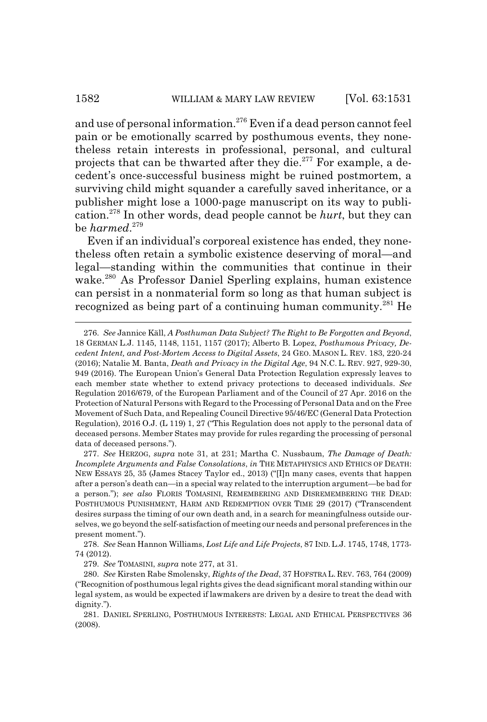and use of personal information.<sup>276</sup> Even if a dead person cannot feel pain or be emotionally scarred by posthumous events, they nonetheless retain interests in professional, personal, and cultural projects that can be thwarted after they die.<sup>277</sup> For example, a decedent's once-successful business might be ruined postmortem, a surviving child might squander a carefully saved inheritance, or a publisher might lose a 1000-page manuscript on its way to publication.278 In other words, dead people cannot be *hurt*, but they can be *harmed*. 279

Even if an individual's corporeal existence has ended, they nonetheless often retain a symbolic existence deserving of moral—and legal—standing within the communities that continue in their wake.280 As Professor Daniel Sperling explains, human existence can persist in a nonmaterial form so long as that human subject is recognized as being part of a continuing human community.281 He

278. *See* Sean Hannon Williams, *Lost Life and Life Projects*, 87 IND. L.J. 1745, 1748, 1773- 74 (2012).

279. *See* TOMASINI, *supra* note 277, at 31.

<sup>276.</sup> *See* Jannice Käll, *A Posthuman Data Subject? The Right to Be Forgotten and Beyond*, 18 GERMAN L.J. 1145, 1148, 1151, 1157 (2017); Alberto B. Lopez, *Posthumous Privacy, Decedent Intent, and Post-Mortem Access to Digital Assets*, 24 GEO. MASON L. REV. 183, 220-24 (2016); Natalie M. Banta, *Death and Privacy in the Digital Age*, 94 N.C. L. REV. 927, 929-30, 949 (2016). The European Union's General Data Protection Regulation expressly leaves to each member state whether to extend privacy protections to deceased individuals. *See* Regulation 2016/679, of the European Parliament and of the Council of 27 Apr. 2016 on the Protection of Natural Persons with Regard to the Processing of Personal Data and on the Free Movement of Such Data, and Repealing Council Directive 95/46/EC (General Data Protection Regulation), 2016 O.J. (L 119) 1, 27 ("This Regulation does not apply to the personal data of deceased persons. Member States may provide for rules regarding the processing of personal data of deceased persons.").

<sup>277.</sup> *See* HERZOG, *supra* note 31, at 231; Martha C. Nussbaum, *The Damage of Death: Incomplete Arguments and False Consolations*, *in* THE METAPHYSICS AND ETHICS OF DEATH: NEW ESSAYS 25, 35 (James Stacey Taylor ed., 2013) ("[I]n many cases, events that happen after a person's death can—in a special way related to the interruption argument—be bad for a person."); *see also* FLORIS TOMASINI, REMEMBERING AND DISREMEMBERING THE DEAD: POSTHUMOUS PUNISHMENT, HARM AND REDEMPTION OVER TIME 29 (2017) ("Transcendent desires surpass the timing of our own death and, in a search for meaningfulness outside ourselves, we go beyond the self-satisfaction of meeting our needs and personal preferences in the present moment.").

<sup>280.</sup> *See* Kirsten Rabe Smolensky, *Rights of the Dead*, 37 HOFSTRA L. REV. 763, 764 (2009) ("Recognition of posthumous legal rights gives the dead significant moral standing within our legal system, as would be expected if lawmakers are driven by a desire to treat the dead with dignity.").

<sup>281.</sup> DANIEL SPERLING, POSTHUMOUS INTERESTS: LEGAL AND ETHICAL PERSPECTIVES 36 (2008).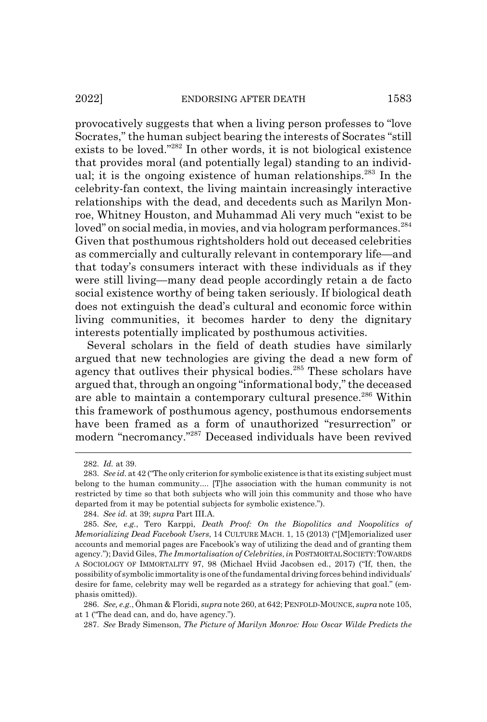provocatively suggests that when a living person professes to "love Socrates," the human subject bearing the interests of Socrates "still exists to be loved."282 In other words, it is not biological existence that provides moral (and potentially legal) standing to an individual; it is the ongoing existence of human relationships.<sup>283</sup> In the celebrity-fan context, the living maintain increasingly interactive relationships with the dead, and decedents such as Marilyn Monroe, Whitney Houston, and Muhammad Ali very much "exist to be loved" on social media, in movies, and via hologram performances.<sup>284</sup> Given that posthumous rightsholders hold out deceased celebrities as commercially and culturally relevant in contemporary life—and that today's consumers interact with these individuals as if they were still living—many dead people accordingly retain a de facto social existence worthy of being taken seriously. If biological death does not extinguish the dead's cultural and economic force within living communities, it becomes harder to deny the dignitary interests potentially implicated by posthumous activities.

Several scholars in the field of death studies have similarly argued that new technologies are giving the dead a new form of agency that outlives their physical bodies.<sup>285</sup> These scholars have argued that, through an ongoing "informational body," the deceased are able to maintain a contemporary cultural presence.<sup>286</sup> Within this framework of posthumous agency, posthumous endorsements have been framed as a form of unauthorized "resurrection" or modern "necromancy."287 Deceased individuals have been revived

<sup>282.</sup> *Id.* at 39.

<sup>283.</sup> *See id.* at 42 ("The only criterion for symbolic existence is that its existing subject must belong to the human community.... [T]he association with the human community is not restricted by time so that both subjects who will join this community and those who have departed from it may be potential subjects for symbolic existence.").

<sup>284.</sup> *See id.* at 39; *supra* Part III.A.

<sup>285.</sup> *See, e.g.*, Tero Karppi, *Death Proof: On the Biopolitics and Noopolitics of Memorializing Dead Facebook Users*, 14 CULTURE MACH. 1, 15 (2013) ("[M]emorialized user accounts and memorial pages are Facebook's way of utilizing the dead and of granting them agency."); David Giles, *The Immortalisation of Celebrities*, *in* POSTMORTAL SOCIETY:TOWARDS A SOCIOLOGY OF IMMORTALITY 97, 98 (Michael Hviid Jacobsen ed., 2017) ("If, then, the possibility of symbolic immortality is one of the fundamental driving forces behind individuals' desire for fame, celebrity may well be regarded as a strategy for achieving that goal." (emphasis omitted)).

<sup>286.</sup> *See, e.g.*, Öhman & Floridi, *supra* note 260, at 642; PENFOLD-MOUNCE, *supra* note 105, at 1 ("The dead can, and do, have agency.").

<sup>287.</sup> *See* Brady Simenson, *The Picture of Marilyn Monroe: How Oscar Wilde Predicts the*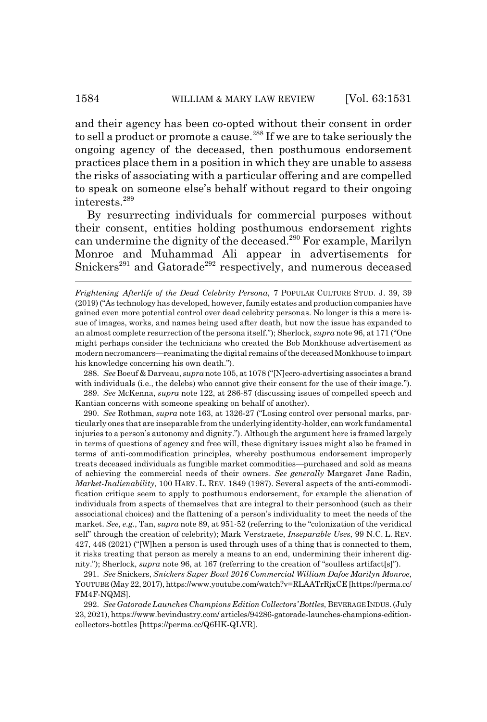and their agency has been co-opted without their consent in order to sell a product or promote a cause.<sup>288</sup> If we are to take seriously the ongoing agency of the deceased, then posthumous endorsement practices place them in a position in which they are unable to assess the risks of associating with a particular offering and are compelled to speak on someone else's behalf without regard to their ongoing interests.289

By resurrecting individuals for commercial purposes without their consent, entities holding posthumous endorsement rights can undermine the dignity of the deceased.<sup>290</sup> For example, Marilyn Monroe and Muhammad Ali appear in advertisements for Snickers<sup>291</sup> and Gatorade<sup>292</sup> respectively, and numerous deceased

288. *See* Boeuf & Darveau, *supra* note 105, at 1078 ("[N]ecro-advertising associates a brand with individuals (i.e., the delebs) who cannot give their consent for the use of their image.").

289. *See* McKenna, *supra* note 122, at 286-87 (discussing issues of compelled speech and Kantian concerns with someone speaking on behalf of another).

290. *See* Rothman, *supra* note 163, at 1326-27 ("Losing control over personal marks, particularly ones that are inseparable from the underlying identity-holder, can work fundamental injuries to a person's autonomy and dignity."). Although the argument here is framed largely in terms of questions of agency and free will, these dignitary issues might also be framed in terms of anti-commodification principles, whereby posthumous endorsement improperly treats deceased individuals as fungible market commodities—purchased and sold as means of achieving the commercial needs of their owners. *See generally* Margaret Jane Radin, *Market-Inalienability*, 100 HARV. L. REV. 1849 (1987). Several aspects of the anti-commodification critique seem to apply to posthumous endorsement, for example the alienation of individuals from aspects of themselves that are integral to their personhood (such as their associational choices) and the flattening of a person's individuality to meet the needs of the market. *See, e.g.*, Tan, *supra* note 89, at 951-52 (referring to the "colonization of the veridical self" through the creation of celebrity); Mark Verstraete, *Inseparable Uses*, 99 N.C. L. REV. 427, 448 (2021) ("[W]hen a person is used through uses of a thing that is connected to them, it risks treating that person as merely a means to an end, undermining their inherent dignity."); Sherlock, *supra* note 96, at 167 (referring to the creation of "soulless artifact[s]").

291. *See* Snickers, *Snickers Super Bowl 2016 Commercial William Dafoe Marilyn Monroe*, YOUTUBE (May 22, 2017), https://www.youtube.com/watch?v=RLAATrRjxCE [https://perma.cc/ FM4F-NQMS].

292. *See Gatorade Launches Champions Edition Collectors' Bottles*, BEVERAGE INDUS. (July 23, 2021), https://www.bevindustry.com/ articles/94286-gatorade-launches-champions-editioncollectors-bottles [https://perma.cc/Q6HK-QLVR].

*Frightening Afterlife of the Dead Celebrity Persona*, 7 POPULAR CULTURE STUD. J. 39, 39 (2019) ("As technology has developed, however, family estates and production companies have gained even more potential control over dead celebrity personas. No longer is this a mere issue of images, works, and names being used after death, but now the issue has expanded to an almost complete resurrection of the persona itself."); Sherlock, *supra* note 96, at 171 ("One might perhaps consider the technicians who created the Bob Monkhouse advertisement as modern necromancers—reanimating the digital remains of the deceased Monkhouse to impart his knowledge concerning his own death.").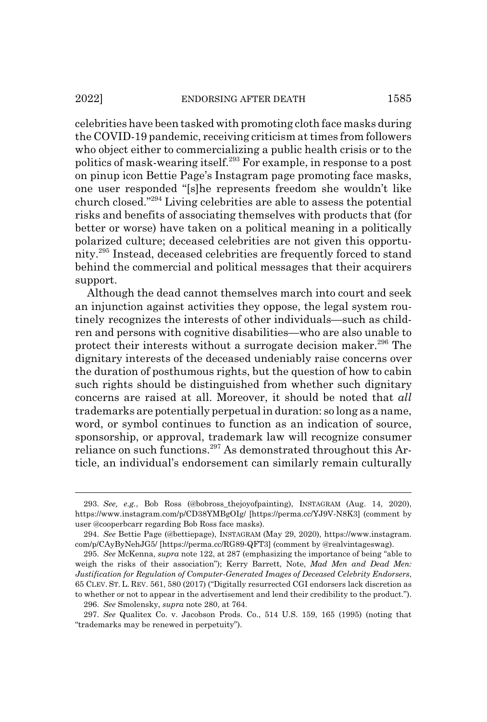celebrities have been tasked with promoting cloth face masks during the COVID-19 pandemic, receiving criticism at times from followers who object either to commercializing a public health crisis or to the politics of mask-wearing itself.293 For example, in response to a post on pinup icon Bettie Page's Instagram page promoting face masks, one user responded "[s]he represents freedom she wouldn't like

church closed."294 Living celebrities are able to assess the potential risks and benefits of associating themselves with products that (for better or worse) have taken on a political meaning in a politically polarized culture; deceased celebrities are not given this opportunity.295 Instead, deceased celebrities are frequently forced to stand behind the commercial and political messages that their acquirers support.

Although the dead cannot themselves march into court and seek an injunction against activities they oppose, the legal system routinely recognizes the interests of other individuals—such as children and persons with cognitive disabilities—who are also unable to protect their interests without a surrogate decision maker.<sup>296</sup> The dignitary interests of the deceased undeniably raise concerns over the duration of posthumous rights, but the question of how to cabin such rights should be distinguished from whether such dignitary concerns are raised at all. Moreover, it should be noted that *all* trademarks are potentially perpetual in duration: so long as a name, word, or symbol continues to function as an indication of source, sponsorship, or approval, trademark law will recognize consumer reliance on such functions.<sup>297</sup> As demonstrated throughout this Article, an individual's endorsement can similarly remain culturally

<sup>293.</sup> *See, e.g.*, Bob Ross (@bobross\_thejoyofpainting), INSTAGRAM (Aug. 14, 2020), https://www.instagram.com/p/CD38YMBgOIg/ [https://perma.cc/YJ9V-N8K3] (comment by user @cooperbcarr regarding Bob Ross face masks).

<sup>294.</sup> *See* Bettie Page (@bettiepage), INSTAGRAM (May 29, 2020), https://www.instagram. com/p/CAyByNehJG5/ [https://perma.cc/RG89-QFT3] (comment by @realvintageswag).

<sup>295.</sup> *See* McKenna, *supra* note 122, at 287 (emphasizing the importance of being "able to weigh the risks of their association"); Kerry Barrett, Note, *Mad Men and Dead Men: Justification for Regulation of Computer-Generated Images of Deceased Celebrity Endorsers*, 65 CLEV. ST. L. REV. 561, 580 (2017) ("Digitally resurrected CGI endorsers lack discretion as to whether or not to appear in the advertisement and lend their credibility to the product."). 296. *See* Smolensky, *supra* note 280, at 764.

<sup>297.</sup> *See* Qualitex Co. v. Jacobson Prods. Co., 514 U.S. 159, 165 (1995) (noting that "trademarks may be renewed in perpetuity").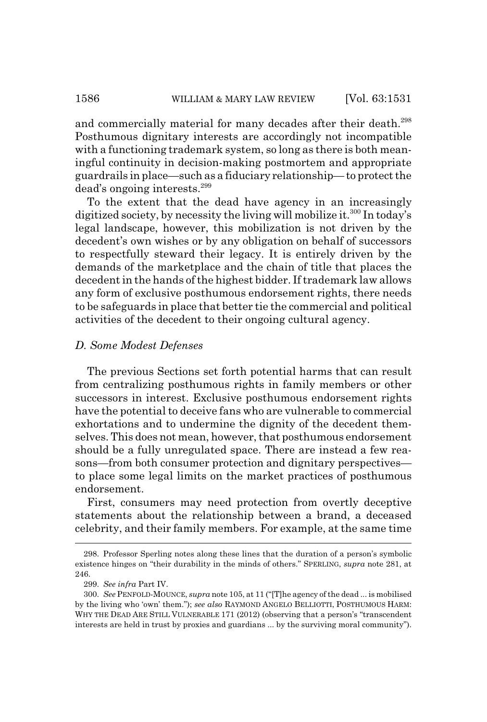and commercially material for many decades after their death.<sup>298</sup> Posthumous dignitary interests are accordingly not incompatible with a functioning trademark system, so long as there is both meaningful continuity in decision-making postmortem and appropriate guardrails in place—such as a fiduciary relationship— to protect the dead's ongoing interests.<sup>299</sup>

To the extent that the dead have agency in an increasingly digitized society, by necessity the living will mobilize it.<sup>300</sup> In today's legal landscape, however, this mobilization is not driven by the decedent's own wishes or by any obligation on behalf of successors to respectfully steward their legacy. It is entirely driven by the demands of the marketplace and the chain of title that places the decedent in the hands of the highest bidder. If trademark law allows any form of exclusive posthumous endorsement rights, there needs to be safeguards in place that better tie the commercial and political activities of the decedent to their ongoing cultural agency.

#### *D. Some Modest Defenses*

The previous Sections set forth potential harms that can result from centralizing posthumous rights in family members or other successors in interest. Exclusive posthumous endorsement rights have the potential to deceive fans who are vulnerable to commercial exhortations and to undermine the dignity of the decedent themselves. This does not mean, however, that posthumous endorsement should be a fully unregulated space. There are instead a few reasons—from both consumer protection and dignitary perspectives to place some legal limits on the market practices of posthumous endorsement.

First, consumers may need protection from overtly deceptive statements about the relationship between a brand, a deceased celebrity, and their family members. For example, at the same time

<sup>298.</sup> Professor Sperling notes along these lines that the duration of a person's symbolic existence hinges on "their durability in the minds of others." SPERLING, *supra* note 281, at 246.

<sup>299.</sup> *See infra* Part IV.

<sup>300.</sup> *See* PENFOLD-MOUNCE, *supra* note 105, at 11 ("[T]he agency of the dead ... is mobilised by the living who 'own' them."); *see also* RAYMOND ANGELO BELLIOTTI, POSTHUMOUS HARM: WHY THE DEAD ARE STILL VULNERABLE 171 (2012) (observing that a person's "transcendent interests are held in trust by proxies and guardians ... by the surviving moral community").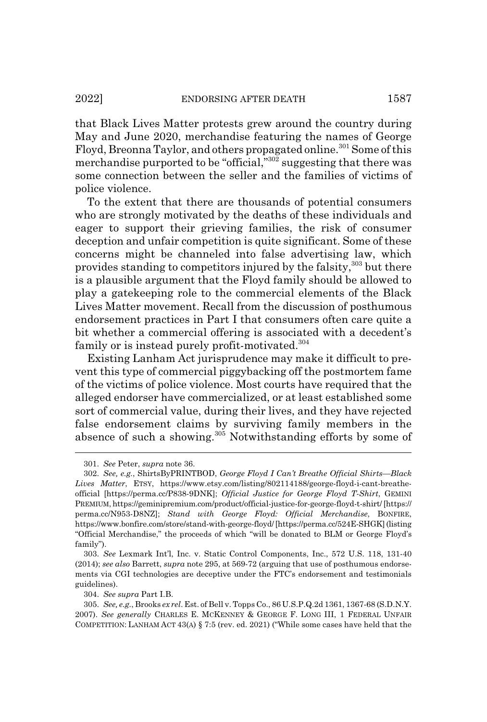that Black Lives Matter protests grew around the country during May and June 2020, merchandise featuring the names of George Floyd, Breonna Taylor, and others propagated online.<sup>301</sup> Some of this merchandise purported to be "official,"302 suggesting that there was some connection between the seller and the families of victims of police violence.

To the extent that there are thousands of potential consumers who are strongly motivated by the deaths of these individuals and eager to support their grieving families, the risk of consumer deception and unfair competition is quite significant. Some of these concerns might be channeled into false advertising law, which provides standing to competitors injured by the falsity,<sup>303</sup> but there is a plausible argument that the Floyd family should be allowed to play a gatekeeping role to the commercial elements of the Black Lives Matter movement. Recall from the discussion of posthumous endorsement practices in Part I that consumers often care quite a bit whether a commercial offering is associated with a decedent's family or is instead purely profit-motivated.<sup>304</sup>

Existing Lanham Act jurisprudence may make it difficult to prevent this type of commercial piggybacking off the postmortem fame of the victims of police violence. Most courts have required that the alleged endorser have commercialized, or at least established some sort of commercial value, during their lives, and they have rejected false endorsement claims by surviving family members in the absence of such a showing.<sup>305</sup> Notwithstanding efforts by some of

304. *See supra* Part I.B.

<sup>301.</sup> *See* Peter, *supra* note 36.

<sup>302.</sup> *See, e.g.*, ShirtsByPRINTBOD, *George Floyd I Can't Breathe Official Shirts—Black Lives Matter*, ETSY, https://www.etsy.com/listing/802114188/george-floyd-i-cant-breatheofficial [https://perma.cc/P838-9DNK]; *Official Justice for George Floyd T-Shirt*, GEMINI PREMIUM, https://geminipremium.com/product/official-justice-for-george-floyd-t-shirt/ [https:// perma.cc/N953-D8NZ]; *Stand with George Floyd: Official Merchandise*, BONFIRE, https://www.bonfire.com/store/stand-with-george-floyd/ [https://perma.cc/524E-SHGK] (listing "Official Merchandise," the proceeds of which "will be donated to BLM or George Floyd's family").

<sup>303.</sup> *See* Lexmark Int'l, Inc. v. Static Control Components, Inc., 572 U.S. 118, 131-40 (2014); *see also* Barrett, *supra* note 295, at 569-72 (arguing that use of posthumous endorsements via CGI technologies are deceptive under the FTC's endorsement and testimonials guidelines).

<sup>305.</sup> *See, e.g.*, Brooks *ex rel*. Est. of Bell v. Topps Co., 86 U.S.P.Q.2d 1361, 1367-68 (S.D.N.Y. 2007). *See generally* CHARLES E. MCKENNEY & GEORGE F. LONG III, 1 FEDERAL UNFAIR COMPETITION: LANHAM ACT 43(A) § 7:5 (rev. ed. 2021) ("While some cases have held that the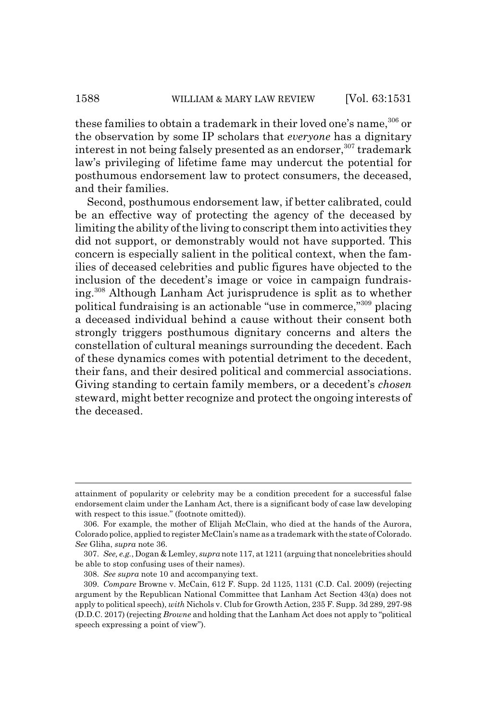these families to obtain a trademark in their loved one's name,<sup>306</sup> or the observation by some IP scholars that *everyone* has a dignitary interest in not being falsely presented as an endorser,  $307$  trademark law's privileging of lifetime fame may undercut the potential for posthumous endorsement law to protect consumers, the deceased, and their families.

Second, posthumous endorsement law, if better calibrated, could be an effective way of protecting the agency of the deceased by limiting the ability of the living to conscript them into activities they did not support, or demonstrably would not have supported. This concern is especially salient in the political context, when the families of deceased celebrities and public figures have objected to the inclusion of the decedent's image or voice in campaign fundraising.308 Although Lanham Act jurisprudence is split as to whether political fundraising is an actionable "use in commerce,"309 placing a deceased individual behind a cause without their consent both strongly triggers posthumous dignitary concerns and alters the constellation of cultural meanings surrounding the decedent. Each of these dynamics comes with potential detriment to the decedent, their fans, and their desired political and commercial associations. Giving standing to certain family members, or a decedent's *chosen* steward, might better recognize and protect the ongoing interests of the deceased.

attainment of popularity or celebrity may be a condition precedent for a successful false endorsement claim under the Lanham Act, there is a significant body of case law developing with respect to this issue." (footnote omitted)).

<sup>306.</sup> For example, the mother of Elijah McClain, who died at the hands of the Aurora, Colorado police, applied to register McClain's name as a trademark with the state of Colorado. *See* Gliha, *supra* note 36.

<sup>307.</sup> *See, e.g.*, Dogan & Lemley, *supra* note 117, at 1211 (arguing that noncelebrities should be able to stop confusing uses of their names).

<sup>308.</sup> *See supra* note 10 and accompanying text.

<sup>309.</sup> *Compare* Browne v. McCain, 612 F. Supp. 2d 1125, 1131 (C.D. Cal. 2009) (rejecting argument by the Republican National Committee that Lanham Act Section 43(a) does not apply to political speech), *with* Nichols v. Club for Growth Action, 235 F. Supp. 3d 289, 297-98 (D.D.C. 2017) (rejecting *Browne* and holding that the Lanham Act does not apply to "political speech expressing a point of view").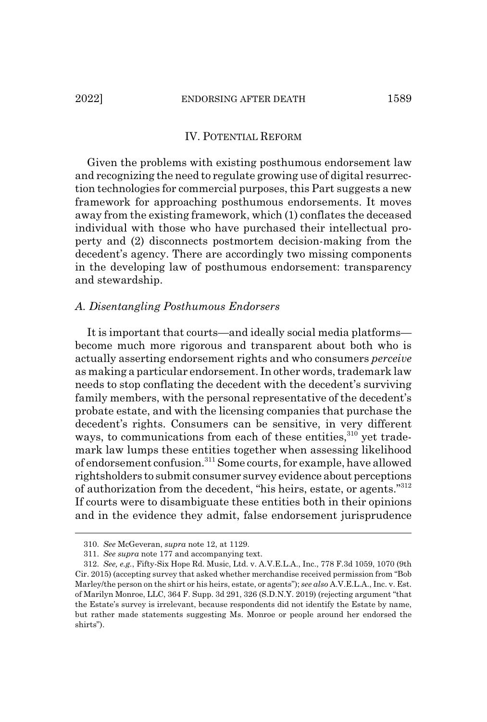#### IV. POTENTIAL REFORM

Given the problems with existing posthumous endorsement law and recognizing the need to regulate growing use of digital resurrection technologies for commercial purposes, this Part suggests a new framework for approaching posthumous endorsements. It moves away from the existing framework, which (1) conflates the deceased individual with those who have purchased their intellectual property and (2) disconnects postmortem decision-making from the decedent's agency. There are accordingly two missing components in the developing law of posthumous endorsement: transparency and stewardship.

## *A. Disentangling Posthumous Endorsers*

It is important that courts—and ideally social media platforms become much more rigorous and transparent about both who is actually asserting endorsement rights and who consumers *perceive* as making a particular endorsement. In other words, trademark law needs to stop conflating the decedent with the decedent's surviving family members, with the personal representative of the decedent's probate estate, and with the licensing companies that purchase the decedent's rights. Consumers can be sensitive, in very different ways, to communications from each of these entities, $310$  yet trademark law lumps these entities together when assessing likelihood of endorsement confusion.311 Some courts, for example, have allowed rightsholders to submit consumer survey evidence about perceptions of authorization from the decedent, "his heirs, estate, or agents."312 If courts were to disambiguate these entities both in their opinions and in the evidence they admit, false endorsement jurisprudence

<sup>310.</sup> *See* McGeveran, *supra* note 12, at 1129.

<sup>311.</sup> *See supra* note 177 and accompanying text.

<sup>312.</sup> *See, e.g.*, Fifty-Six Hope Rd. Music, Ltd. v. A.V.E.L.A., Inc., 778 F.3d 1059, 1070 (9th Cir. 2015) (accepting survey that asked whether merchandise received permission from "Bob Marley/the person on the shirt or his heirs, estate, or agents"); *see also* A.V.E.L.A., Inc. v. Est. of Marilyn Monroe, LLC, 364 F. Supp. 3d 291, 326 (S.D.N.Y. 2019) (rejecting argument "that the Estate's survey is irrelevant, because respondents did not identify the Estate by name, but rather made statements suggesting Ms. Monroe or people around her endorsed the shirts").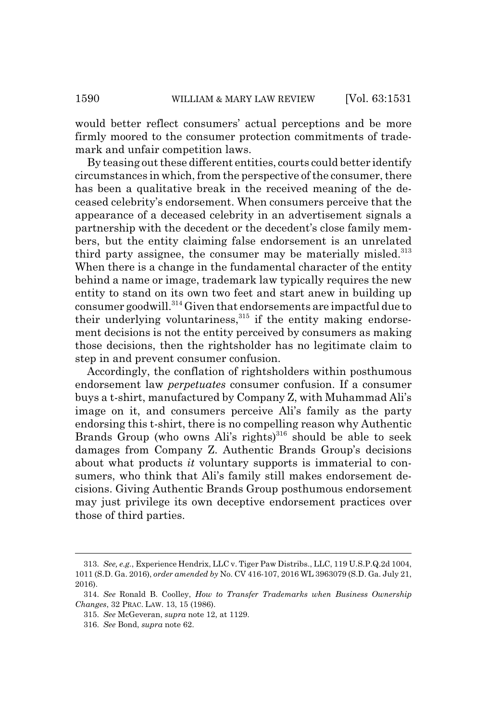would better reflect consumers' actual perceptions and be more firmly moored to the consumer protection commitments of trademark and unfair competition laws.

By teasing out these different entities, courts could better identify circumstances in which, from the perspective of the consumer, there has been a qualitative break in the received meaning of the deceased celebrity's endorsement. When consumers perceive that the appearance of a deceased celebrity in an advertisement signals a partnership with the decedent or the decedent's close family members, but the entity claiming false endorsement is an unrelated third party assignee, the consumer may be materially misled. $313$ When there is a change in the fundamental character of the entity behind a name or image, trademark law typically requires the new entity to stand on its own two feet and start anew in building up consumer goodwill.<sup>314</sup> Given that endorsements are impactful due to their underlying voluntariness,<sup>315</sup> if the entity making endorsement decisions is not the entity perceived by consumers as making those decisions, then the rightsholder has no legitimate claim to step in and prevent consumer confusion.

Accordingly, the conflation of rightsholders within posthumous endorsement law *perpetuates* consumer confusion. If a consumer buys a t-shirt, manufactured by Company Z, with Muhammad Ali's image on it, and consumers perceive Ali's family as the party endorsing this t-shirt, there is no compelling reason why Authentic Brands Group (who owns Ali's rights)<sup>316</sup> should be able to seek damages from Company Z. Authentic Brands Group's decisions about what products *it* voluntary supports is immaterial to consumers, who think that Ali's family still makes endorsement decisions. Giving Authentic Brands Group posthumous endorsement may just privilege its own deceptive endorsement practices over those of third parties.

<sup>313.</sup> *See, e.g.*, Experience Hendrix, LLC v. Tiger Paw Distribs., LLC, 119 U.S.P.Q.2d 1004, 1011 (S.D. Ga. 2016), *order amended by* No. CV 416-107, 2016 WL 3963079 (S.D. Ga. July 21, 2016).

<sup>314.</sup> *See* Ronald B. Coolley, *How to Transfer Trademarks when Business Ownership Changes*, 32 PRAC. LAW. 13, 15 (1986).

<sup>315.</sup> *See* McGeveran, *supra* note 12, at 1129.

<sup>316.</sup> *See* Bond, *supra* note 62.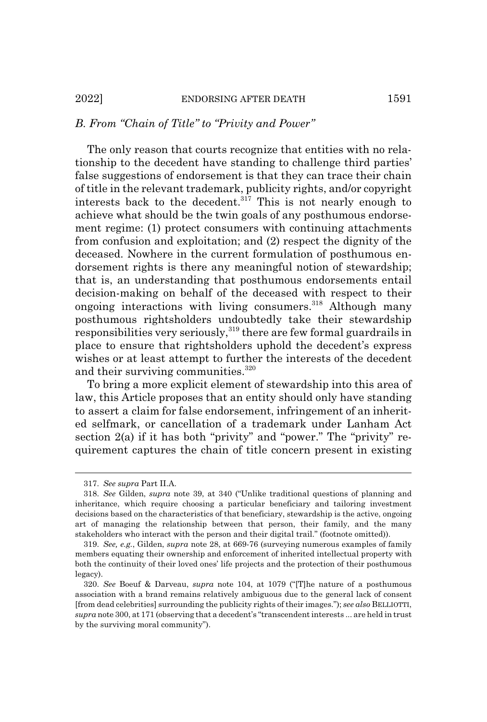#### *B. From "Chain of Title" to "Privity and Power"*

The only reason that courts recognize that entities with no relationship to the decedent have standing to challenge third parties' false suggestions of endorsement is that they can trace their chain of title in the relevant trademark, publicity rights, and/or copyright interests back to the decedent. $317$  This is not nearly enough to achieve what should be the twin goals of any posthumous endorsement regime: (1) protect consumers with continuing attachments from confusion and exploitation; and (2) respect the dignity of the deceased. Nowhere in the current formulation of posthumous endorsement rights is there any meaningful notion of stewardship; that is, an understanding that posthumous endorsements entail decision-making on behalf of the deceased with respect to their ongoing interactions with living consumers.<sup>318</sup> Although many posthumous rightsholders undoubtedly take their stewardship responsibilities very seriously,<sup>319</sup> there are few formal guardrails in place to ensure that rightsholders uphold the decedent's express wishes or at least attempt to further the interests of the decedent and their surviving communities. $320$ 

To bring a more explicit element of stewardship into this area of law, this Article proposes that an entity should only have standing to assert a claim for false endorsement, infringement of an inherited selfmark, or cancellation of a trademark under Lanham Act section 2(a) if it has both "privity" and "power." The "privity" requirement captures the chain of title concern present in existing

<sup>317.</sup> *See supra* Part II.A.

<sup>318.</sup> *See* Gilden, *supra* note 39, at 340 ("Unlike traditional questions of planning and inheritance, which require choosing a particular beneficiary and tailoring investment decisions based on the characteristics of that beneficiary, stewardship is the active, ongoing art of managing the relationship between that person, their family, and the many stakeholders who interact with the person and their digital trail." (footnote omitted)).

<sup>319.</sup> *See, e.g.*, Gilden, *supra* note 28, at 669-76 (surveying numerous examples of family members equating their ownership and enforcement of inherited intellectual property with both the continuity of their loved ones' life projects and the protection of their posthumous legacy).

<sup>320.</sup> *See* Boeuf & Darveau, *supra* note 104, at 1079 ("[T]he nature of a posthumous association with a brand remains relatively ambiguous due to the general lack of consent [from dead celebrities] surrounding the publicity rights of their images."); *see also* BELLIOTTI, *supra* note 300, at 171 (observing that a decedent's "transcendent interests ... are held in trust by the surviving moral community").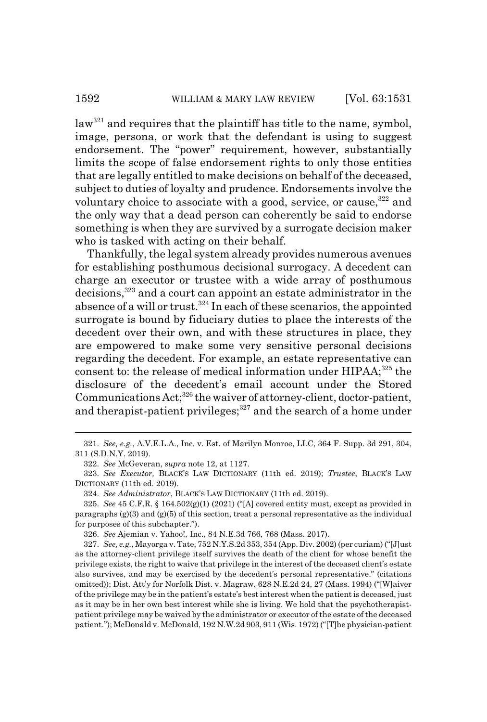law<sup>321</sup> and requires that the plaintiff has title to the name, symbol, image, persona, or work that the defendant is using to suggest endorsement. The "power" requirement, however, substantially limits the scope of false endorsement rights to only those entities that are legally entitled to make decisions on behalf of the deceased, subject to duties of loyalty and prudence. Endorsements involve the voluntary choice to associate with a good, service, or cause,  $322$  and the only way that a dead person can coherently be said to endorse something is when they are survived by a surrogate decision maker who is tasked with acting on their behalf.

Thankfully, the legal system already provides numerous avenues for establishing posthumous decisional surrogacy. A decedent can charge an executor or trustee with a wide array of posthumous decisions,<sup>323</sup> and a court can appoint an estate administrator in the absence of a will or trust.<sup>324</sup> In each of these scenarios, the appointed surrogate is bound by fiduciary duties to place the interests of the decedent over their own, and with these structures in place, they are empowered to make some very sensitive personal decisions regarding the decedent. For example, an estate representative can consent to: the release of medical information under  $HIPAA$ ;<sup>325</sup> the disclosure of the decedent's email account under the Stored Communications  $Act;^{326}$  the waiver of attorney-client, doctor-patient, and therapist-patient privileges; $327$  and the search of a home under

<sup>321.</sup> *See, e.g.*, A.V.E.L.A., Inc. v. Est. of Marilyn Monroe, LLC, 364 F. Supp. 3d 291, 304, 311 (S.D.N.Y. 2019).

<sup>322.</sup> *See* McGeveran, *supra* note 12, at 1127.

<sup>323.</sup> *See Executor,* BLACK'S LAW DICTIONARY (11th ed. 2019); *Trustee*, BLACK'S LAW DICTIONARY (11th ed. 2019).

<sup>324.</sup> *See Administrator*, BLACK'S LAW DICTIONARY (11th ed. 2019).

<sup>325.</sup> *See* 45 C.F.R. § 164.502(g)(1) (2021) ("[A] covered entity must, except as provided in paragraphs  $(g)(3)$  and  $(g)(5)$  of this section, treat a personal representative as the individual for purposes of this subchapter.").

<sup>326.</sup> *See* Ajemian v. Yahoo!, Inc., 84 N.E.3d 766, 768 (Mass. 2017).

<sup>327.</sup> *See, e.g.*, Mayorga v. Tate, 752 N.Y.S.2d 353, 354 (App. Div. 2002) (per curiam) ("[J]ust as the attorney-client privilege itself survives the death of the client for whose benefit the privilege exists, the right to waive that privilege in the interest of the deceased client's estate also survives, and may be exercised by the decedent's personal representative." (citations omitted)); Dist. Att'y for Norfolk Dist. v. Magraw, 628 N.E.2d 24, 27 (Mass. 1994) ("[W]aiver of the privilege may be in the patient's estate's best interest when the patient is deceased, just as it may be in her own best interest while she is living. We hold that the psychotherapistpatient privilege may be waived by the administrator or executor of the estate of the deceased patient."); McDonald v. McDonald, 192 N.W.2d 903, 911 (Wis. 1972) ("[T]he physician-patient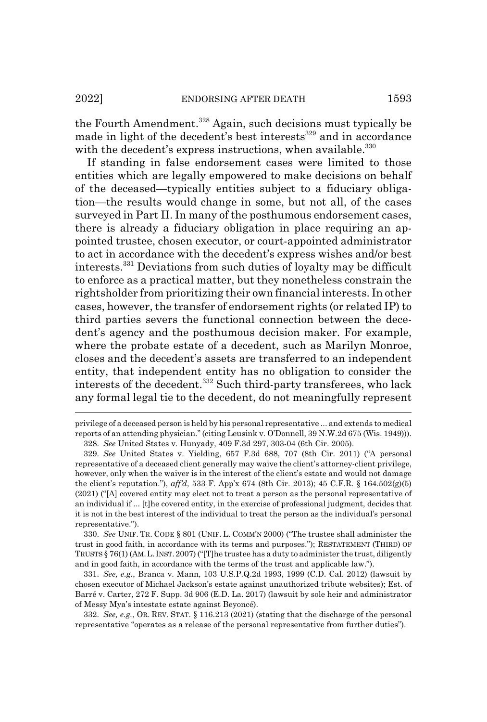the Fourth Amendment.<sup>328</sup> Again, such decisions must typically be made in light of the decedent's best interests<sup>329</sup> and in accordance with the decedent's express instructions, when available.<sup>330</sup>

If standing in false endorsement cases were limited to those entities which are legally empowered to make decisions on behalf of the deceased—typically entities subject to a fiduciary obligation—the results would change in some, but not all, of the cases surveyed in Part II. In many of the posthumous endorsement cases, there is already a fiduciary obligation in place requiring an appointed trustee, chosen executor, or court-appointed administrator to act in accordance with the decedent's express wishes and/or best interests.331 Deviations from such duties of loyalty may be difficult to enforce as a practical matter, but they nonetheless constrain the rightsholder from prioritizing their own financial interests. In other cases, however, the transfer of endorsement rights (or related IP) to third parties severs the functional connection between the decedent's agency and the posthumous decision maker. For example, where the probate estate of a decedent, such as Marilyn Monroe, closes and the decedent's assets are transferred to an independent entity, that independent entity has no obligation to consider the interests of the decedent.<sup>332</sup> Such third-party transferees, who lack any formal legal tie to the decedent, do not meaningfully represent

330. *See* UNIF. TR. CODE § 801 (UNIF. L. COMM'N 2000) ("The trustee shall administer the trust in good faith, in accordance with its terms and purposes."); RESTATEMENT (THIRD) OF TRUSTS § 76(1) (AM.L.INST.2007) ("[T]he trustee has a duty to administer the trust, diligently and in good faith, in accordance with the terms of the trust and applicable law.").

331. *See, e.g.*, Branca v. Mann, 103 U.S.P.Q.2d 1993, 1999 (C.D. Cal. 2012) (lawsuit by chosen executor of Michael Jackson's estate against unauthorized tribute websites); Est. of Barré v. Carter, 272 F. Supp. 3d 906 (E.D. La. 2017) (lawsuit by sole heir and administrator of Messy Mya's intestate estate against Beyoncé).

332. *See, e.g.*, OR. REV. STAT. § 116.213 (2021) (stating that the discharge of the personal representative "operates as a release of the personal representative from further duties").

privilege of a deceased person is held by his personal representative ... and extends to medical reports of an attending physician." (citing Leusink v. O'Donnell, 39 N.W.2d 675 (Wis. 1949))). 328. *See* United States v. Hunyady, 409 F.3d 297, 303-04 (6th Cir. 2005).

<sup>329.</sup> *See* United States v. Yielding, 657 F.3d 688, 707 (8th Cir. 2011) ("A personal representative of a deceased client generally may waive the client's attorney-client privilege, however, only when the waiver is in the interest of the client's estate and would not damage the client's reputation."), *aff'd*, 533 F. App'x 674 (8th Cir. 2013); 45 C.F.R. § 164.502(g)(5) (2021) ("[A] covered entity may elect not to treat a person as the personal representative of an individual if ... [t]he covered entity, in the exercise of professional judgment, decides that it is not in the best interest of the individual to treat the person as the individual's personal representative.").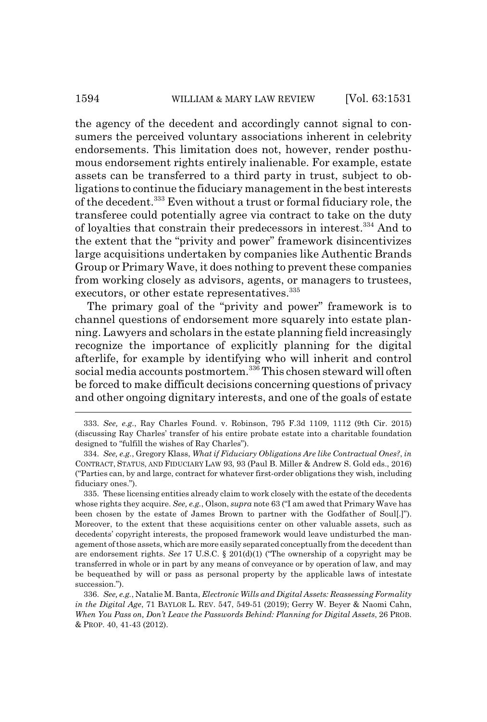the agency of the decedent and accordingly cannot signal to consumers the perceived voluntary associations inherent in celebrity endorsements. This limitation does not, however, render posthumous endorsement rights entirely inalienable. For example, estate assets can be transferred to a third party in trust, subject to obligations to continue the fiduciary management in the best interests of the decedent.<sup>333</sup> Even without a trust or formal fiduciary role, the transferee could potentially agree via contract to take on the duty of loyalties that constrain their predecessors in interest.334 And to the extent that the "privity and power" framework disincentivizes large acquisitions undertaken by companies like Authentic Brands Group or Primary Wave, it does nothing to prevent these companies from working closely as advisors, agents, or managers to trustees, executors, or other estate representatives.<sup>335</sup>

The primary goal of the "privity and power" framework is to channel questions of endorsement more squarely into estate planning. Lawyers and scholars in the estate planning field increasingly recognize the importance of explicitly planning for the digital afterlife, for example by identifying who will inherit and control social media accounts postmortem.<sup>336</sup> This chosen steward will often be forced to make difficult decisions concerning questions of privacy and other ongoing dignitary interests, and one of the goals of estate

<sup>333.</sup> *See, e.g.*, Ray Charles Found. v. Robinson, 795 F.3d 1109, 1112 (9th Cir. 2015) (discussing Ray Charles' transfer of his entire probate estate into a charitable foundation designed to "fulfill the wishes of Ray Charles").

<sup>334.</sup> *See, e.g.*, Gregory Klass, *What if Fiduciary Obligations Are like Contractual Ones?*, *in* CONTRACT, STATUS, AND FIDUCIARY LAW 93, 93 (Paul B. Miller & Andrew S. Gold eds., 2016) ("Parties can, by and large, contract for whatever first-order obligations they wish, including fiduciary ones.").

<sup>335.</sup> These licensing entities already claim to work closely with the estate of the decedents whose rights they acquire. *See, e.g.*, Olson, *supra* note 63 ("I am awed that Primary Wave has been chosen by the estate of James Brown to partner with the Godfather of Soul[.]"). Moreover, to the extent that these acquisitions center on other valuable assets, such as decedents' copyright interests, the proposed framework would leave undisturbed the management of those assets, which are more easily separated conceptually from the decedent than are endorsement rights. *See* 17 U.S.C. § 201(d)(1) ("The ownership of a copyright may be transferred in whole or in part by any means of conveyance or by operation of law, and may be bequeathed by will or pass as personal property by the applicable laws of intestate succession.").

<sup>336.</sup> *See, e.g.*, Natalie M. Banta, *Electronic Wills and Digital Assets: Reassessing Formality in the Digital Age*, 71 BAYLOR L. REV. 547, 549-51 (2019); Gerry W. Beyer & Naomi Cahn, *When You Pass on, Don't Leave the Passwords Behind: Planning for Digital Assets*, 26 PROB. & PROP. 40, 41-43 (2012).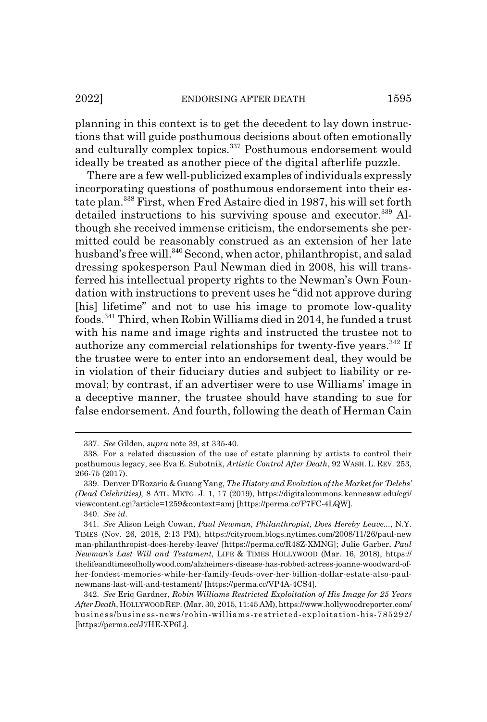planning in this context is to get the decedent to lay down instructions that will guide posthumous decisions about often emotionally and culturally complex topics.<sup>337</sup> Posthumous endorsement would ideally be treated as another piece of the digital afterlife puzzle.

There are a few well-publicized examples of individuals expressly incorporating questions of posthumous endorsement into their estate plan.338 First, when Fred Astaire died in 1987, his will set forth detailed instructions to his surviving spouse and executor.<sup>339</sup> Although she received immense criticism, the endorsements she permitted could be reasonably construed as an extension of her late husband's free will.<sup>340</sup> Second, when actor, philanthropist, and salad dressing spokesperson Paul Newman died in 2008, his will transferred his intellectual property rights to the Newman's Own Foundation with instructions to prevent uses he "did not approve during [his] lifetime" and not to use his image to promote low-quality foods.341 Third, when Robin Williams died in 2014, he funded a trust with his name and image rights and instructed the trustee not to authorize any commercial relationships for twenty-five years.<sup>342</sup> If the trustee were to enter into an endorsement deal, they would be in violation of their fiduciary duties and subject to liability or removal; by contrast, if an advertiser were to use Williams' image in a deceptive manner, the trustee should have standing to sue for false endorsement. And fourth, following the death of Herman Cain

<sup>337.</sup> *See* Gilden, *supra* note 39, at 335-40.

<sup>338.</sup> For a related discussion of the use of estate planning by artists to control their posthumous legacy, see Eva E. Subotnik, *Artistic Control After Death*, 92 WASH. L. REV. 253, 266-75 (2017).

<sup>339.</sup> Denver D'Rozario & Guang Yang, *The History and Evolution of the Market for 'Delebs' (Dead Celebrities)*, 8 ATL. MKTG. J. 1, 17 (2019), https://digitalcommons.kennesaw.edu/cgi/ viewcontent.cgi?article=1259&context=amj [https://perma.cc/F7FC-4LQW].

<sup>340.</sup> *See id.*

<sup>341.</sup> *See* Alison Leigh Cowan, *Paul Newman, Philanthropist, Does Hereby Leave...*, N.Y. TIMES (Nov. 26, 2018, 2:13 PM), https://cityroom.blogs.nytimes.com/2008/11/26/paul-new man-philanthropist-does-hereby-leave/ [https://perma.cc/R48Z-XMNG]; Julie Garber, *Paul Newman's Last Will and Testament*, LIFE & TIMES HOLLYWOOD (Mar. 16, 2018), https:// thelifeandtimesofhollywood.com/alzheimers-disease-has-robbed-actress-joanne-woodward-ofher-fondest-memories-while-her-family-feuds-over-her-billion-dollar-estate-also-paulnewmans-last-will-and-testament/ [https://perma.cc/VP4A-4CS4].

<sup>342.</sup> *See* Eriq Gardner, *Robin Williams Restricted Exploitation of His Image for 25 Years After Death*, HOLLYWOOD REP. (Mar. 30, 2015, 11:45 AM), https://www.hollywoodreporter.com/ business/business-news/robin-williams-restricted-exploitation-his-785292/ [https://perma.cc/J7HE-XP6L].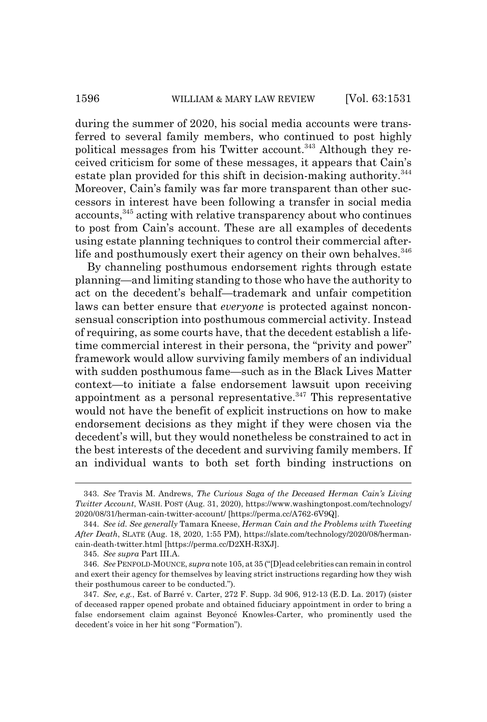during the summer of 2020, his social media accounts were transferred to several family members, who continued to post highly political messages from his Twitter account.<sup>343</sup> Although they received criticism for some of these messages, it appears that Cain's estate plan provided for this shift in decision-making authority.<sup>344</sup> Moreover, Cain's family was far more transparent than other successors in interest have been following a transfer in social media accounts,345 acting with relative transparency about who continues to post from Cain's account. These are all examples of decedents using estate planning techniques to control their commercial afterlife and posthumously exert their agency on their own behalves.<sup>346</sup>

By channeling posthumous endorsement rights through estate planning—and limiting standing to those who have the authority to act on the decedent's behalf—trademark and unfair competition laws can better ensure that *everyone* is protected against nonconsensual conscription into posthumous commercial activity. Instead of requiring, as some courts have, that the decedent establish a lifetime commercial interest in their persona, the "privity and power" framework would allow surviving family members of an individual with sudden posthumous fame—such as in the Black Lives Matter context—to initiate a false endorsement lawsuit upon receiving appointment as a personal representative. $347$  This representative would not have the benefit of explicit instructions on how to make endorsement decisions as they might if they were chosen via the decedent's will, but they would nonetheless be constrained to act in the best interests of the decedent and surviving family members. If an individual wants to both set forth binding instructions on

<sup>343.</sup> *See* Travis M. Andrews, *The Curious Saga of the Deceased Herman Cain's Living Twitter Account*, WASH. POST (Aug. 31, 2020), https://www.washingtonpost.com/technology/ 2020/08/31/herman-cain-twitter-account/ [https://perma.cc/A762-6V9Q].

<sup>344.</sup> *See id. See generally* Tamara Kneese, *Herman Cain and the Problems with Tweeting After Death*, SLATE (Aug. 18, 2020, 1:55 PM), https://slate.com/technology/2020/08/hermancain-death-twitter.html [https://perma.cc/D2XH-R3XJ].

<sup>345.</sup> *See supra* Part III.A.

<sup>346.</sup> *See* PENFOLD-MOUNCE, *supra* note 105, at 35 ("[D]ead celebrities can remain in control and exert their agency for themselves by leaving strict instructions regarding how they wish their posthumous career to be conducted.").

<sup>347.</sup> *See, e.g.*, Est. of Barré v. Carter, 272 F. Supp. 3d 906, 912-13 (E.D. La. 2017) (sister of deceased rapper opened probate and obtained fiduciary appointment in order to bring a false endorsement claim against Beyoncé Knowles-Carter, who prominently used the decedent's voice in her hit song "Formation").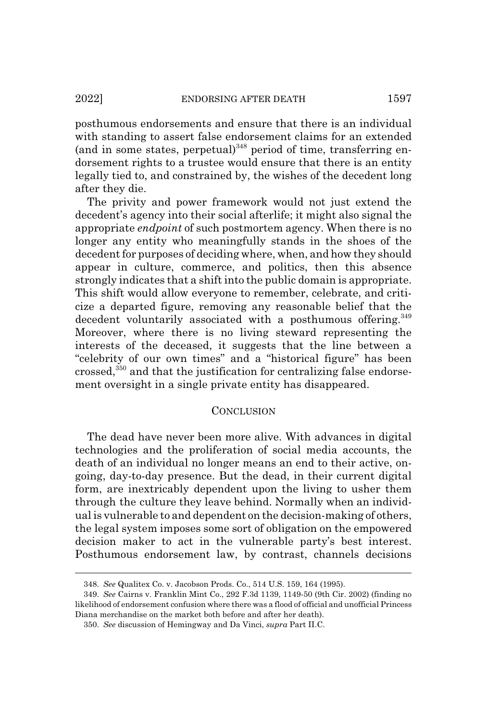posthumous endorsements and ensure that there is an individual with standing to assert false endorsement claims for an extended (and in some states, perpetual)<sup>348</sup> period of time, transferring endorsement rights to a trustee would ensure that there is an entity legally tied to, and constrained by, the wishes of the decedent long after they die.

The privity and power framework would not just extend the decedent's agency into their social afterlife; it might also signal the appropriate *endpoint* of such postmortem agency. When there is no longer any entity who meaningfully stands in the shoes of the decedent for purposes of deciding where, when, and how they should appear in culture, commerce, and politics, then this absence strongly indicates that a shift into the public domain is appropriate. This shift would allow everyone to remember, celebrate, and criticize a departed figure, removing any reasonable belief that the decedent voluntarily associated with a posthumous offering.<sup>349</sup> Moreover, where there is no living steward representing the interests of the deceased, it suggests that the line between a "celebrity of our own times" and a "historical figure" has been crossed,<sup>350</sup> and that the justification for centralizing false endorsement oversight in a single private entity has disappeared.

#### **CONCLUSION**

The dead have never been more alive. With advances in digital technologies and the proliferation of social media accounts, the death of an individual no longer means an end to their active, ongoing, day-to-day presence. But the dead, in their current digital form, are inextricably dependent upon the living to usher them through the culture they leave behind. Normally when an individual is vulnerable to and dependent on the decision-making of others, the legal system imposes some sort of obligation on the empowered decision maker to act in the vulnerable party's best interest. Posthumous endorsement law, by contrast, channels decisions

<sup>348.</sup> *See* Qualitex Co. v. Jacobson Prods. Co., 514 U.S. 159, 164 (1995).

<sup>349.</sup> *See* Cairns v. Franklin Mint Co., 292 F.3d 1139, 1149-50 (9th Cir. 2002) (finding no likelihood of endorsement confusion where there was a flood of official and unofficial Princess Diana merchandise on the market both before and after her death).

<sup>350.</sup> *See* discussion of Hemingway and Da Vinci, *supra* Part II.C.